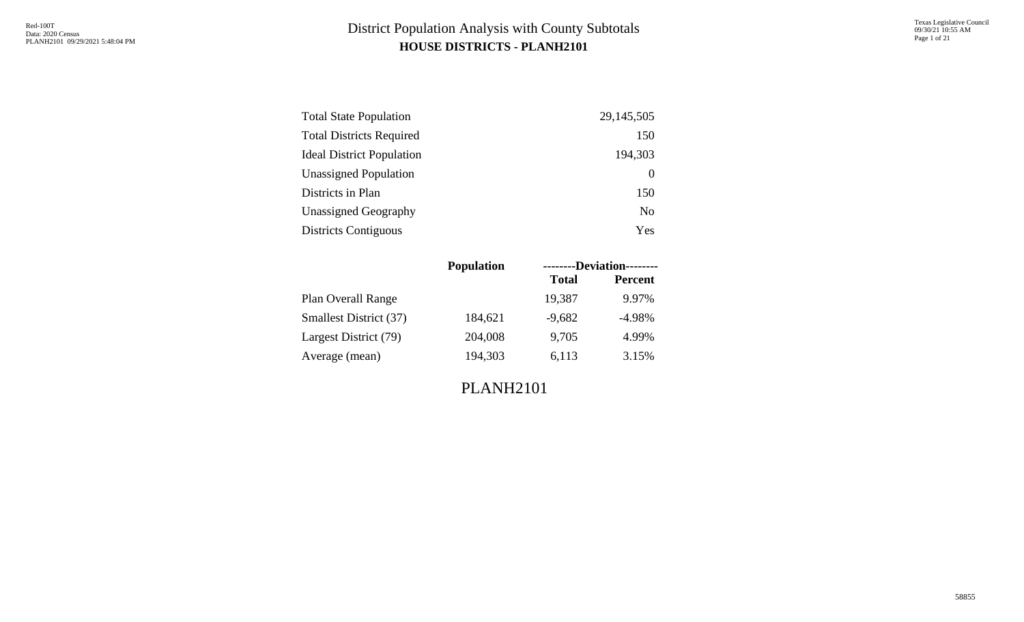| <b>Total State Population</b>    | 29, 145, 505   |
|----------------------------------|----------------|
| <b>Total Districts Required</b>  | 150            |
| <b>Ideal District Population</b> | 194,303        |
| <b>Unassigned Population</b>     | $\theta$       |
| Districts in Plan                | 150            |
| <b>Unassigned Geography</b>      | N <sub>0</sub> |
| <b>Districts Contiguous</b>      | Yes            |

| <b>Population</b> |              | --------Deviation-------- |
|-------------------|--------------|---------------------------|
|                   | <b>Total</b> | <b>Percent</b>            |
|                   | 19,387       | 9.97%                     |
| 184,621           | $-9,682$     | $-4.98%$                  |
| 204,008           | 9,705        | 4.99%                     |
| 194,303           | 6,113        | 3.15%                     |
|                   |              |                           |

PLANH2101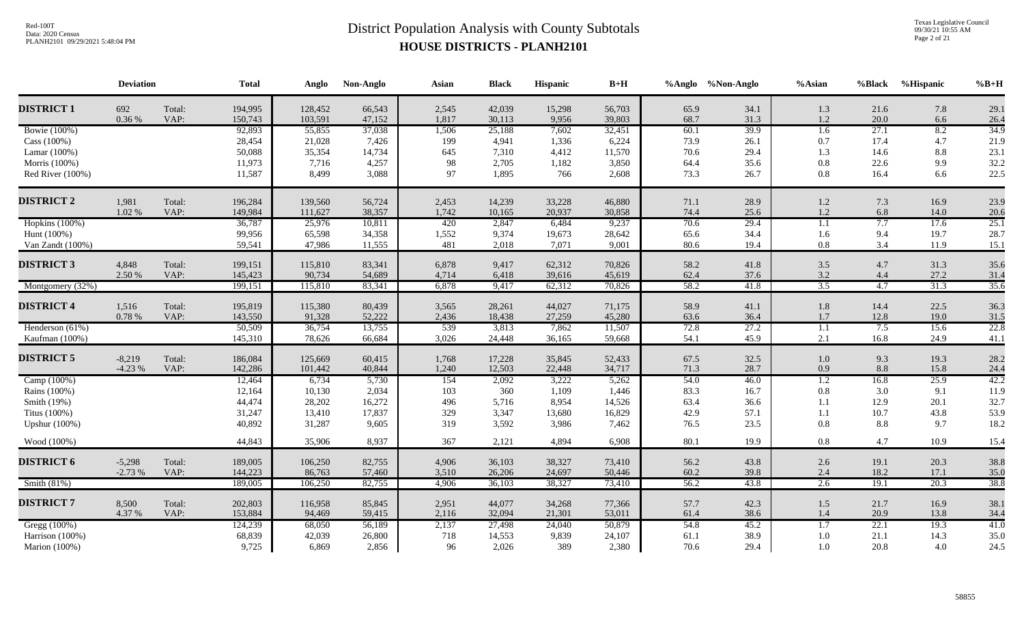Texas Legislative Council 09/30/21 10:55 AM Page 2 of 21

|                      | <b>Deviation</b> |                | <b>Total</b>       | Anglo              | Non-Anglo        | Asian          | <b>Black</b>     | Hispanic        | $B+H$            |              | %Anglo %Non-Anglo | $%$ Asian        | %Black       | %Hispanic  | $\%B+H$      |
|----------------------|------------------|----------------|--------------------|--------------------|------------------|----------------|------------------|-----------------|------------------|--------------|-------------------|------------------|--------------|------------|--------------|
| <b>DISTRICT 1</b>    | 692<br>0.36 %    | Total:<br>VAP: | 194,995<br>150,743 | 128,452<br>103,591 | 66,543<br>47,152 | 2,545<br>1,817 | 42,039<br>30,113 | 15,298<br>9,956 | 56,703<br>39,803 | 65.9<br>68.7 | 34.1<br>31.3      | 1.3<br>1.2       | 21.6<br>20.0 | 7.8<br>6.6 | 29.1<br>26.4 |
| <b>Bowie</b> (100%)  |                  |                | 92,893             | 55,855             | 37,038           | 1,506          | 25,188           | 7,602           | 32,451           | 60.1         | 39.9              | 1.6              | 27.1         | 8.2        | 34.9         |
| Cass (100%)          |                  |                | 28,454             | 21,028             | 7,426            | 199            | 4,941            | 1,336           | 6,224            | 73.9         | 26.1              | 0.7              | 17.4         | 4.7        | 21.9         |
| Lamar (100%)         |                  |                | 50,088             | 35,354             | 14,734           | 645            | 7,310            | 4,412           | 11,570           | 70.6         | 29.4              | 1.3              | 14.6         | 8.8        | 23.1         |
| Morris (100%)        |                  |                | 11,973             | 7,716              | 4,257            | 98             | 2,705            | 1,182           | 3,850            | 64.4         | 35.6              | 0.8              | 22.6         | 9.9        | 32.2         |
| Red River (100%)     |                  |                | 11,587             | 8,499              | 3,088            | 97             | 1,895            | 766             | 2,608            | 73.3         | 26.7              | 0.8              | 16.4         | 6.6        | 22.5         |
| <b>DISTRICT 2</b>    | 1,981            | Total:         | 196,284            | 139,560            | 56,724           | 2,453          | 14,239           | 33,228          | 46,880           | 71.1         | 28.9              | 1.2              | 7.3          | 16.9       | 23.9         |
|                      | 1.02 %           | VAP:           | 149,984            | 111,627            | 38,357           | 1,742          | 10,165           | 20,937          | 30,858           | 74.4         | 25.6              | $1.2\,$          | 6.8          | 14.0       | 20.6         |
| Hopkins (100%)       |                  |                | 36,787             | 25,976             | 10,811           | 420            | 2,847            | 6,484           | 9,237            | 70.6         | 29.4              | $\overline{1.1}$ | 7.7          | 17.6       | 25.1         |
| Hunt (100%)          |                  |                | 99,956             | 65,598             | 34,358           | 1,552          | 9,374            | 19,673          | 28,642           | 65.6         | 34.4              | 1.6              | 9.4          | 19.7       | 28.7         |
| Van Zandt (100%)     |                  |                | 59,541             | 47,986             | 11,555           | 481            | 2,018            | 7,071           | 9,001            | 80.6         | 19.4              | $0.8\,$          | 3.4          | 11.9       | 15.1         |
| <b>DISTRICT 3</b>    | 4,848            | Total:         | 199,151            | 115,810            | 83,341           | 6,878          | 9,417            | 62,312          | 70,826           | 58.2         | 41.8              | $3.5$            | 4.7          | 31.3       | 35.6         |
|                      | 2.50 %           | VAP:           | 145,423            | 90,734             | 54,689           | 4,714          | 6,418            | 39,616          | 45,619           | 62.4         | 37.6              | 3.2              | 4.4          | 27.2       | 31.4         |
| Montgomery (32%)     |                  |                | 199,151            | 115,810            | 83,341           | 6,878          | 9,417            | 62,312          | 70,826           | 58.2         | 41.8              | $\overline{3.5}$ | 4.7          | 31.3       | 35.6         |
|                      |                  |                |                    |                    |                  |                |                  |                 |                  |              |                   |                  |              |            |              |
| <b>DISTRICT 4</b>    | 1,516            | Total:         | 195,819            | 115,380            | 80,439           | 3,565          | 28,261           | 44,027          | 71,175           | 58.9         | 41.1              | 1.8              | 14.4         | 22.5       | 36.3         |
|                      | 0.78 %           | VAP:           | 143,550            | 91,328             | 52,222           | 2,436          | 18,438           | 27,259          | 45,280           | 63.6         | 36.4              | 1.7              | 12.8         | 19.0       | 31.5         |
| Henderson (61%)      |                  |                | 50,509             | 36,754             | 13,755           | 539            | 3,813            | 7,862           | 11,507           | 72.8         | 27.2              | $\overline{1.1}$ | 7.5          | 15.6       | 22.8         |
| Kaufman (100%)       |                  |                | 145,310            | 78,626             | 66,684           | 3,026          | 24,448           | 36,165          | 59,668           | 54.1         | 45.9              | 2.1              | 16.8         | 24.9       | 41.1         |
| <b>DISTRICT 5</b>    | $-8,219$         | Total:         | 186,084            | 125,669            | 60,415           | 1,768          | 17,228           | 35,845          | 52,433           | 67.5         | 32.5              | $1.0\,$          | 9.3          | 19.3       | 28.2         |
|                      | $-4.23%$         | VAP:           | 142,286            | 101,442            | 40,844           | 1,240          | 12,503           | 22,448          | 34,717           | 71.3         | 28.7              | 0.9              | 8.8          | 15.8       | 24.4         |
| Camp (100%)          |                  |                | 12,464             | 6,734              | 5,730            | 154            | 2,092            | 3,222           | 5,262            | 54.0         | 46.0              | $\overline{1.2}$ | 16.8         | 25.9       | 42.2         |
| Rains (100%)         |                  |                | 12,164             | 10,130             | 2,034            | 103            | 360              | 1,109           | 1,446            | 83.3         | 16.7              | $0.8\,$          | 3.0          | 9.1        | 11.9         |
| Smith (19%)          |                  |                | 44,474             | 28,202             | 16,272           | 496            | 5,716            | 8,954           | 14,526           | 63.4         | 36.6              | 1.1              | 12.9         | 20.1       | 32.7         |
| Titus (100%)         |                  |                | 31,247             | 13,410             | 17,837           | 329            | 3,347            | 13,680          | 16,829           | 42.9         | 57.1              | 1.1              | 10.7         | 43.8       | 53.9         |
| <b>Upshur</b> (100%) |                  |                | 40,892             | 31,287             | 9,605            | 319            | 3,592            | 3,986           | 7,462            | 76.5         | 23.5              | 0.8              | 8.8          | 9.7        | 18.2         |
| Wood (100%)          |                  |                | 44,843             | 35,906             | 8,937            | 367            | 2,121            | 4,894           | 6,908            | 80.1         | 19.9              | $0.8\,$          | 4.7          | 10.9       | 15.4         |
| <b>DISTRICT 6</b>    | $-5,298$         | Total:         | 189,005            | 106,250            | 82,755           | 4,906          | 36,103           | 38,327          | 73,410           | 56.2         | 43.8              | 2.6              | 19.1         | 20.3       | 38.8         |
|                      | $-2.73%$         | VAP:           | 144,223            | 86,763             | 57,460           | 3,510          | 26,206           | 24,697          | 50,446           | 60.2         | 39.8              | 2.4              | 18.2         | 17.1       | 35.0         |
| Smith $(81%)$        |                  |                | 189,005            | 106,250            | 82,755           | 4,906          | 36,103           | 38,327          | 73,410           | 56.2         | 43.8              | 2.6              | 19.1         | 20.3       | 38.8         |
| <b>DISTRICT 7</b>    | 8,500            | Total:         | 202,803            | 116,958            | 85,845           | 2,951          | 44,077           | 34,268          | 77,366           | 57.7         | 42.3              | $1.5$            | 21.7         | 16.9       | 38.1         |
|                      | 4.37 %           | VAP:           | 153,884            | 94,469             | 59,415           | 2,116          | 32,094           | 21,301          | 53,011           | 61.4         | 38.6              | 1.4              | 20.9         | 13.8       | 34.4         |
| Gregg (100%)         |                  |                | 124,239            | 68,050             | 56,189           | 2,137          | 27,498           | 24,040          | 50,879           | 54.8         | 45.2              | $\overline{1.7}$ | 22.1         | 19.3       | 41.0         |
| Harrison (100%)      |                  |                | 68,839             | 42,039             | 26,800           | 718            | 14,553           | 9,839           | 24,107           | 61.1         | 38.9              | 1.0              | 21.1         | 14.3       | 35.0         |
| Marion (100%)        |                  |                | 9,725              | 6,869              | 2,856            | 96             | 2,026            | 389             | 2,380            | 70.6         | 29.4              | 1.0              | 20.8         | 4.0        | 24.5         |
|                      |                  |                |                    |                    |                  |                |                  |                 |                  |              |                   |                  |              |            |              |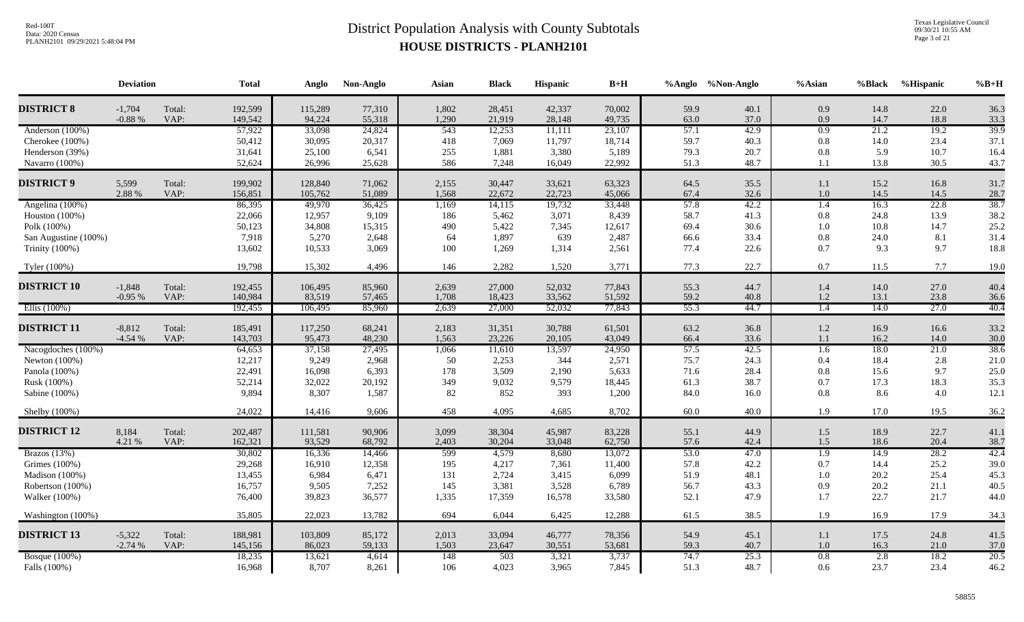Texas Legislative Council 09/30/21 10:55 AM Page 3 of 21

|                                      | <b>Deviation</b>     |                | <b>Total</b>       | Anglo             | Non-Anglo        | Asian          | <b>Black</b>     | Hispanic         | $\mathbf{B}+\mathbf{H}$ |              | %Anglo %Non-Anglo | %Asian                  | %Black       | %Hispanic    | $%B+H$       |
|--------------------------------------|----------------------|----------------|--------------------|-------------------|------------------|----------------|------------------|------------------|-------------------------|--------------|-------------------|-------------------------|--------------|--------------|--------------|
| <b>DISTRICT 8</b>                    | $-1,704$             | Total:         | 192,599            | 115,289           | 77,310           | 1,802          | 28,451           | 42,337           | 70,002                  | 59.9         | 40.1              | 0.9                     | 14.8         | 22.0         | 36.3         |
|                                      | $-0.88%$             | VAP:           | 149,542<br>57,922  | 94,224            | 55,318           | 1,290<br>543   | 21,919           | 28,148           | 49,735                  | 63.0<br>57.1 | 37.0<br>42.9      | 0.9<br>0.9              | 14.7<br>21.2 | 18.8<br>19.2 | 33.3<br>39.9 |
| Anderson (100%)<br>Cherokee (100%)   |                      |                | 50,412             | 33,098<br>30,095  | 24,824<br>20,317 | 418            | 12,253<br>7,069  | 11,111<br>11,797 | 23,107<br>18,714        | 59.7         | 40.3              | 0.8                     | 14.0         | 23.4         | 37.1         |
| Henderson (39%)                      |                      |                | 31,641             | 25,100            | 6,541            | 255            | 1,881            | 3,380            | 5,189                   | 79.3         | 20.7              | 0.8                     | 5.9          | 10.7         | 16.4         |
| Navarro (100%)                       |                      |                | 52,624             | 26,996            | 25,628           | 586            | 7,248            | 16,049           | 22,992                  | 51.3         | 48.7              | 1.1                     | 13.8         | 30.5         | 43.7         |
|                                      |                      |                |                    |                   |                  |                |                  |                  |                         |              |                   |                         |              |              |              |
| <b>DISTRICT 9</b>                    | 5,599                | Total:         | 199,902            | 128,840           | 71,062           | 2,155          | 30,447           | 33,621           | 63,323                  | 64.5         | 35.5              | 1.1                     | 15.2         | 16.8         | 31.7         |
|                                      | 2.88 %               | VAP:           | 156,851            | 105,762           | 51,089           | 1,568          | 22,672           | 22,723           | 45,066                  | 67.4         | 32.6              | 1.0                     | 14.5         | 14.5         | 28.7         |
| Angelina (100%)                      |                      |                | 86,395<br>22,066   | 49,970<br>12,957  | 36,425<br>9,109  | 1,169          | 14,115           | 19,732<br>3,071  | 33,448<br>8,439         | 57.8<br>58.7 | 42.2<br>41.3      | 1.4<br>0.8              | 16.3<br>24.8 | 22.8<br>13.9 | 38.7<br>38.2 |
| Houston (100%)<br>Polk (100%)        |                      |                | 50,123             | 34,808            | 15,315           | 186<br>490     | 5,462<br>5,422   | 7,345            | 12,617                  | 69.4         | 30.6              | 1.0                     | 10.8         | 14.7         | 25.2         |
| San Augustine (100%)                 |                      |                | 7,918              | 5,270             | 2,648            | 64             | 1,897            | 639              | 2,487                   | 66.6         | 33.4              | 0.8                     | 24.0         | 8.1          | 31.4         |
| Trinity (100%)                       |                      |                | 13,602             | 10,533            | 3,069            | 100            | 1,269            | 1,314            | 2,561                   | 77.4         | 22.6              | 0.7                     | 9.3          | 9.7          | 18.8         |
|                                      |                      |                |                    |                   |                  |                |                  |                  |                         |              |                   |                         |              |              |              |
| Tyler (100%)                         |                      |                | 19,798             | 15,302            | 4,496            | 146            | 2,282            | 1,520            | 3,771                   | 77.3         | 22.7              | 0.7                     | 11.5         | 7.7          | 19.0         |
| <b>DISTRICT 10</b>                   | $-1,848$             | Total:         | 192,455            | 106,495           | 85,960           | 2,639          | 27,000           | 52,032           | 77,843                  | 55.3         | 44.7              | 1.4                     | 14.0         | 27.0         | 40.4         |
|                                      | $-0.95%$             | VAP:           | 140,984            | 83,519            | 57,465           | 1,708          | 18,423           | 33,562           | 51,592                  | 59.2         | 40.8              | 1.2                     | 13.1         | 23.8         | 36.6         |
| Ellis $(100\%)$                      |                      |                | 192,455            | 106,495           | 85,960           | 2,639          | 27,000           | 52,032           | 77,843                  | 55.3         | 44.7              | $\overline{1.4}$        | 14.0         | 27.0         | 40.4         |
|                                      |                      |                |                    |                   |                  |                |                  |                  |                         |              |                   |                         |              |              |              |
| <b>DISTRICT 11</b>                   | $-8,812$<br>$-4.54%$ | Total:<br>VAP: | 185,491<br>143,703 | 117,250<br>95,473 | 68,241<br>48,230 | 2,183<br>1,563 | 31,351<br>23,226 | 30,788<br>20,105 | 61,501<br>43,049        | 63.2<br>66.4 | 36.8<br>33.6      | $1.2\,$<br>1.1          | 16.9<br>16.2 | 16.6<br>14.0 | 33.2<br>30.0 |
| Nacogdoches (100%)                   |                      |                | 64,653             | 37,158            | 27,495           | 1,066          | 11,610           | 13,597           | 24,950                  | 57.5         | 42.5              | $\overline{1.6}$        | 18.0         | 21.0         | 38.6         |
| Newton (100%)                        |                      |                | 12,217             | 9,249             | 2,968            | 50             | 2,253            | 344              | 2,571                   | 75.7         | 24.3              | 0.4                     | 18.4         | 2.8          | 21.0         |
| Panola (100%)                        |                      |                | 22,491             | 16,098            | 6,393            | 178            | 3,509            | 2,190            | 5,633                   | 71.6         | 28.4              | 0.8                     | 15.6         | 9.7          | 25.0         |
| Rusk (100%)                          |                      |                | 52,214             | 32,022            | 20,192           | 349            | 9,032            | 9,579            | 18,445                  | 61.3         | 38.7              | 0.7                     | 17.3         | 18.3         | 35.3         |
| Sabine (100%)                        |                      |                | 9,894              | 8,307             | 1,587            | 82             | 852              | 393              | 1,200                   | 84.0         | 16.0              | 0.8                     | 8.6          | 4.0          | 12.1         |
| Shelby (100%)                        |                      |                | 24,022             | 14,416            | 9,606            | 458            | 4,095            | 4,685            | 8,702                   | 60.0         | 40.0              | 1.9                     | 17.0         | 19.5         | 36.2         |
|                                      |                      |                |                    |                   |                  |                |                  |                  |                         |              |                   |                         |              |              |              |
| <b>DISTRICT 12</b>                   | 8,184                | Total:         | 202,487            | 111,581           | 90,906           | 3,099          | 38,304           | 45,987           | 83,228                  | 55.1         | 44.9              | 1.5                     | 18.9         | 22.7         | 41.1         |
| Brazos $(13%)$                       | 4.21 %               | VAP:           | 162,321<br>30,802  | 93,529<br>16,336  | 68,792<br>14,466 | 2,403<br>599   | 30,204<br>4,579  | 33,048<br>8,680  | 62,750<br>13,072        | 57.6<br>53.0 | 42.4<br>47.0      | 1.5<br>$\overline{1.9}$ | 18.6<br>14.9 | 20.4<br>28.2 | 38.7<br>42.4 |
| Grimes (100%)                        |                      |                | 29,268             | 16,910            | 12,358           | 195            | 4,217            | 7,361            | 11,400                  | 57.8         | 42.2              | 0.7                     | 14.4         | 25.2         | 39.0         |
| Madison (100%)                       |                      |                | 13,455             | 6,984             | 6,471            | 131            | 2,724            | 3,415            | 6,099                   | 51.9         | 48.1              | 1.0                     | 20.2         | 25.4         | 45.3         |
| Robertson (100%)                     |                      |                | 16,757             | 9,505             | 7,252            | 145            | 3,381            | 3,528            | 6,789                   | 56.7         | 43.3              | 0.9                     | 20.2         | 21.1         | 40.5         |
| Walker (100%)                        |                      |                | 76,400             | 39,823            | 36,577           | 1,335          | 17,359           | 16,578           | 33,580                  | 52.1         | 47.9              | 1.7                     | 22.7         | 21.7         | 44.0         |
| Washington (100%)                    |                      |                | 35,805             | 22,023            | 13,782           | 694            | 6,044            | 6,425            | 12,288                  | 61.5         | 38.5              | 1.9                     | 16.9         | 17.9         | 34.3         |
|                                      |                      |                |                    |                   |                  |                |                  |                  |                         |              |                   |                         |              |              |              |
| <b>DISTRICT 13</b>                   | $-5,322$             | Total:         | 188,981            | 103,809           | 85,172           | 2,013          | 33,094           | 46,777           | 78,356                  | 54.9         | 45.1              | 1.1                     | 17.5         | 24.8         | 41.5         |
|                                      | $-2.74%$             | VAP:           | 145,156            | 86,023            | 59,133           | 1,503          | 23,647           | 30,551           | 53,681                  | 59.3         | 40.7              | 1.0                     | 16.3         | 21.0         | 37.0         |
| <b>Bosque</b> (100%)<br>Falls (100%) |                      |                | 18,235<br>16,968   | 13,621<br>8,707   | 4,614<br>8,261   | 148<br>106     | 503<br>4,023     | 3,321<br>3,965   | 3,737<br>7,845          | 74.7<br>51.3 | 25.3<br>48.7      | 0.8<br>0.6              | 2.8<br>23.7  | 18.2<br>23.4 | 20.5<br>46.2 |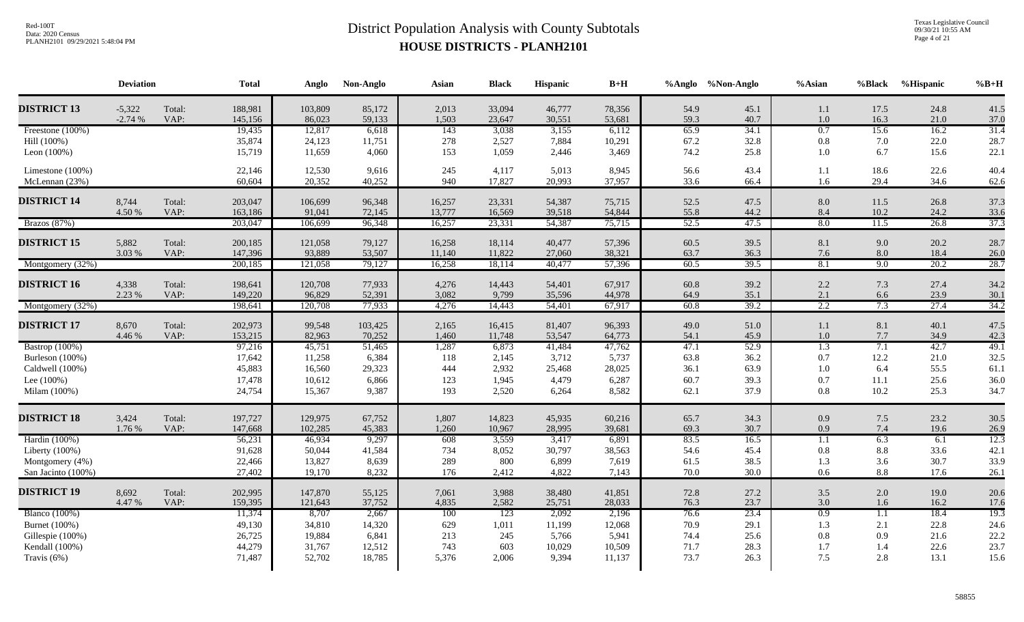Texas Legislative Council 09/30/21 10:55 AM Page 4 of 21

|                                 | <b>Deviation</b> |                | <b>Total</b>       | Anglo             | Non-Anglo        | Asian            | <b>Black</b>     | Hispanic         | $\mathbf{B}+\mathbf{H}$ |              | %Anglo %Non-Anglo | $%$ Asian        | %Black           | %Hispanic    | $%B+H$       |
|---------------------------------|------------------|----------------|--------------------|-------------------|------------------|------------------|------------------|------------------|-------------------------|--------------|-------------------|------------------|------------------|--------------|--------------|
| <b>DISTRICT 13</b>              | $-5,322$         | Total:         | 188,981            | 103,809           | 85,172           | 2,013            | 33,094           | 46,777           | 78,356                  | 54.9         | 45.1              | 1.1              | 17.5             | 24.8         | 41.5         |
|                                 | $-2.74%$         | VAP:           | 145,156            | 86,023            | 59,133           | 1,503            | 23,647           | 30,551           | 53,681                  | 59.3         | 40.7              | 1.0              | 16.3             | 21.0         | 37.0         |
| Freestone (100%)<br>Hill (100%) |                  |                | 19,435<br>35,874   | 12,817<br>24,123  | 6,618            | 143<br>278       | 3,038<br>2,527   | 3,155<br>7,884   | 6,112<br>10,291         | 65.9<br>67.2 | 34.1<br>32.8      | 0.7<br>0.8       | 15.6<br>7.0      | 16.2<br>22.0 | 31.4<br>28.7 |
| Leon $(100\%)$                  |                  |                | 15,719             | 11,659            | 11,751<br>4,060  | 153              | 1,059            | 2,446            | 3,469                   | 74.2         | 25.8              | 1.0              | 6.7              | 15.6         | 22.1         |
|                                 |                  |                |                    |                   |                  |                  |                  |                  |                         |              |                   |                  |                  |              |              |
| Limestone (100%)                |                  |                | 22,146             | 12,530            | 9,616            | 245              | 4,117            | 5,013            | 8,945                   | 56.6         | 43.4              | 1.1              | 18.6             | 22.6         | 40.4         |
| McLennan (23%)                  |                  |                | 60,604             | 20,352            | 40,252           | 940              | 17,827           | 20,993           | 37,957                  | 33.6         | 66.4              | 1.6              | 29.4             | 34.6         | 62.6         |
| <b>DISTRICT 14</b>              |                  |                |                    |                   |                  |                  |                  |                  |                         |              |                   |                  |                  |              |              |
|                                 | 8,744<br>4.50 %  | Total:<br>VAP: | 203,047<br>163,186 | 106,699<br>91,041 | 96,348<br>72,145 | 16,257<br>13,777 | 23,331<br>16,569 | 54,387<br>39,518 | 75,715<br>54,844        | 52.5<br>55.8 | 47.5<br>44.2      | 8.0<br>8.4       | 11.5<br>10.2     | 26.8<br>24.2 | 37.3<br>33.6 |
| Brazos (87%)                    |                  |                | 203,047            | 106,699           | 96,348           | 16,257           | 23,331           | 54,387           | 75,715                  | 52.5         | 47.5              | 8.0              | 11.5             | 26.8         | 37.3         |
|                                 |                  |                |                    |                   |                  |                  |                  |                  |                         |              |                   |                  |                  |              |              |
| <b>DISTRICT 15</b>              | 5,882            | Total:         | 200,185            | 121,058           | 79,127           | 16,258           | 18,114           | 40,477           | 57,396                  | 60.5         | 39.5              | 8.1              | 9.0              | 20.2         | 28.7         |
|                                 | 3.03 %           | VAP:           | 147,396            | 93,889            | 53,507           | 11,140           | 11,822           | 27,060           | 38,321                  | 63.7         | 36.3              | 7.6              | 8.0              | 18.4         | 26.0         |
| Montgomery (32%)                |                  |                | 200,185            | 121,058           | 79,127           | 16,258           | 18,114           | 40,477           | 57,396                  | 60.5         | 39.5              | 8.1              | 9.0              | 20.2         | 28.7         |
| <b>DISTRICT 16</b>              | 4,338            | Total:         | 198,641            | 120,708           | 77,933           | 4,276            | 14,443           | 54,401           | 67,917                  | 60.8         | 39.2              | 2.2              | 7.3              | 27.4         | 34.2         |
|                                 | 2.23 %           | VAP:           | 149,220            | 96,829            | 52,391           | 3,082            | 9,799            | 35,596           | 44,978                  | 64.9         | 35.1              | 2.1              | 6.6              | 23.9         | 30.1         |
| Montgomery (32%)                |                  |                | 198,641            | 120,708           | 77,933           | 4,276            | 14,443           | 54,401           | 67,917                  | 60.8         | 39.2              | 2.2              | 7.3              | 27.4         | 34.2         |
|                                 |                  |                |                    |                   |                  |                  |                  |                  |                         |              |                   |                  |                  |              |              |
| <b>DISTRICT 17</b>              | 8,670            | Total:         | 202,973            | 99,548            | 103,425          | 2,165            | 16,415           | 81,407           | 96,393                  | 49.0         | 51.0              | 1.1              | 8.1              | 40.1         | 47.5         |
|                                 | 4.46 %           | VAP:           | 153,215            | 82,963            | 70,252           | 1,460            | 11,748           | 53,547           | 64,773                  | 54.1         | 45.9              | $1.0\,$          | 7.7              | 34.9         | 42.3         |
| Bastrop (100%)                  |                  |                | 97,216             | 45,751            | 51,465           | 1,287            | 6,873            | 41,484           | 47,762                  | 47.1         | 52.9              | $\overline{1.3}$ | 7.1              | 42.7         | 49.1         |
| Burleson (100%)                 |                  |                | 17,642<br>45,883   | 11,258            | 6,384            | 118              | 2,145            | 3,712            | 5,737                   | 63.8         | 36.2              | 0.7              | 12.2             | 21.0<br>55.5 | 32.5         |
| Caldwell (100%)<br>Lee $(100%)$ |                  |                | 17,478             | 16,560<br>10,612  | 29,323<br>6,866  | 444<br>123       | 2,932<br>1,945   | 25,468<br>4,479  | 28,025<br>6,287         | 36.1<br>60.7 | 63.9<br>39.3      | 1.0<br>0.7       | 6.4<br>11.1      | 25.6         | 61.1<br>36.0 |
| Milam (100%)                    |                  |                | 24,754             | 15,367            | 9,387            | 193              | 2,520            | 6,264            | 8,582                   | 62.1         | 37.9              | $0.8\,$          | 10.2             | 25.3         | 34.7         |
|                                 |                  |                |                    |                   |                  |                  |                  |                  |                         |              |                   |                  |                  |              |              |
| <b>DISTRICT 18</b>              | 3,424            | Total:         | 197,727            | 129,975           | 67,752           | 1,807            | 14,823           | 45,935           | 60,216                  | 65.7         | 34.3              | 0.9              | 7.5              | 23.2         | 30.5         |
|                                 | 1.76 %           | VAP:           | 147,668            | 102,285           | 45,383           | 1,260            | 10,967           | 28,995           | 39,681                  | 69.3         | 30.7              | 0.9              | 7.4              | 19.6         | 26.9         |
| Hardin (100%)                   |                  |                | 56,231             | 46,934            | 9,297            | 608              | 3,559            | 3,417            | 6,891                   | 83.5         | 16.5              | $\overline{1.1}$ | 6.3              | 6.1          | 12.3         |
| Liberty (100%)                  |                  |                | 91,628             | 50,044            | 41,584           | 734              | 8,052            | 30,797           | 38,563                  | 54.6         | 45.4              | $0.8\,$          | 8.8              | 33.6         | 42.1         |
| Montgomery (4%)                 |                  |                | 22,466             | 13,827            | 8,639            | 289              | 800              | 6,899            | 7,619                   | 61.5         | 38.5              | 1.3              | 3.6              | 30.7         | 33.9         |
| San Jacinto (100%)              |                  |                | 27,402             | 19,170            | 8,232            | 176              | 2,412            | 4,822            | 7,143                   | 70.0         | 30.0              | 0.6              | 8.8              | 17.6         | 26.1         |
| <b>DISTRICT 19</b>              | 8,692            | Total:         | 202,995            | 147,870           | 55,125           | 7,061            | 3,988            | 38,480           | 41,851                  | 72.8         | 27.2              | 3.5              | 2.0              | 19.0         | 20.6         |
|                                 | 4.47 %           | VAP:           | 159,395            | 121,643           | 37,752           | 4,835            | 2,582            | 25,751           | 28,033                  | 76.3         | 23.7              | 3.0              | 1.6              | 16.2         | 17.6         |
| <b>Blanco</b> (100%)            |                  |                | 11,374             | 8,707             | 2,667            | 100              | 123              | 2,092            | 2,196                   | 76.6         | 23.4              | 0.9              | $\overline{1.1}$ | 18.4         | 19.3         |
| Burnet (100%)                   |                  |                | 49,130             | 34,810            | 14,320           | 629              | 1,011            | 11,199           | 12,068                  | 70.9         | 29.1              | 1.3              | 2.1              | 22.8         | 24.6         |
| Gillespie (100%)                |                  |                | 26,725             | 19,884            | 6,841            | 213              | 245              | 5,766            | 5,941                   | 74.4         | 25.6              | $0.8\,$          | 0.9              | 21.6         | 22.2         |
| Kendall (100%)                  |                  |                | 44,279             | 31,767            | 12,512           | 743              | 603              | 10,029           | 10,509                  | 71.7         | 28.3              | 1.7              | 1.4              | 22.6         | 23.7         |
| Travis $(6\%)$                  |                  |                | 71,487             | 52,702            | 18,785           | 5,376            | 2,006            | 9,394            | 11,137                  | 73.7         | 26.3              | 7.5              | 2.8              | 13.1         | 15.6         |
|                                 |                  |                |                    |                   |                  |                  |                  |                  |                         |              |                   |                  |                  |              |              |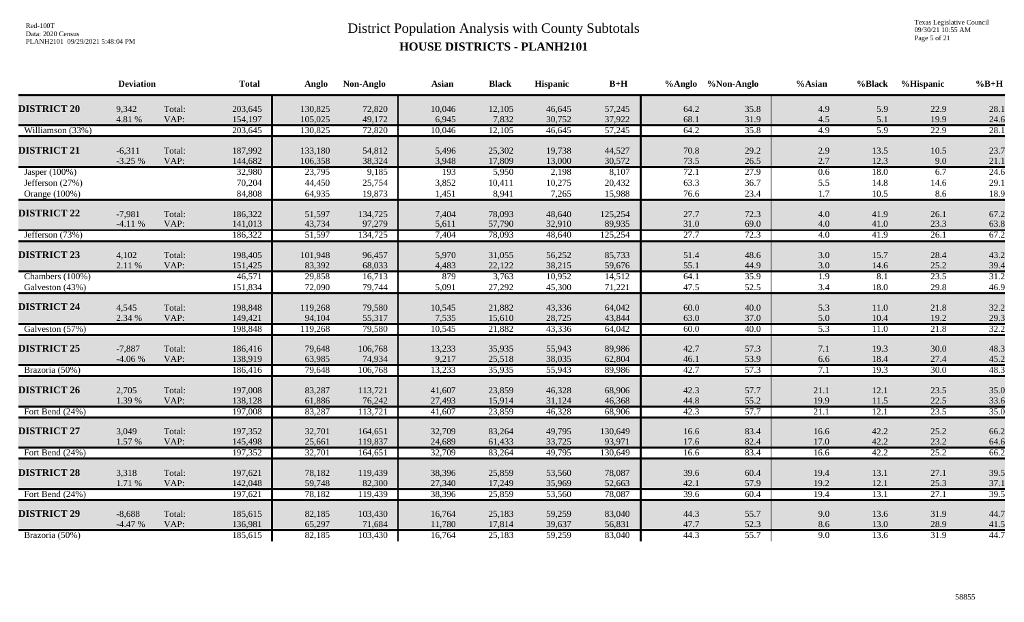Texas Legislative Council 09/30/21 10:55 AM Page 5 of 21

|                    | <b>Deviation</b>     |                | <b>Total</b>       | Anglo            | Non-Anglo         | <b>Asian</b>     | <b>Black</b>     | <b>Hispanic</b>  | $B+H$            |              | %Anglo %Non-Anglo | %Asian           | %Black           | %Hispanic    | $%B+H$       |
|--------------------|----------------------|----------------|--------------------|------------------|-------------------|------------------|------------------|------------------|------------------|--------------|-------------------|------------------|------------------|--------------|--------------|
| <b>DISTRICT 20</b> | 9,342                | Total:         | 203,645            | 130,825          | 72,820            | 10,046           | 12,105           | 46,645           | 57,245           | 64.2         | 35.8              | 4.9              | 5.9              | 22.9         | 28.1         |
|                    | 4.81 %               | VAP:           | 154,197            | 105,025          | 49,172            | 6,945            | 7,832            | 30,752           | 37,922           | 68.1         | 31.9              | 4.5              | 5.1              | 19.9         | 24.6         |
| Williamson (33%)   |                      |                | 203,645            | 130,825          | 72,820            | 10,046           | 12,105           | 46,645           | 57,245           | 64.2         | 35.8              | 4.9              | $\overline{5.9}$ | 22.9         | 28.1         |
| <b>DISTRICT 21</b> | $-6,311$             | Total:         | 187,992            | 133,180          | 54,812            | 5,496            | 25,302           | 19,738           | 44,527           | 70.8         | 29.2              | 2.9              | 13.5             | 10.5         | 23.7         |
|                    | $-3.25%$             | VAP:           | 144,682            | 106,358          | 38,324            | 3,948            | 17,809           | 13,000           | 30,572           | 73.5         | 26.5              | 2.7              | 12.3             | 9.0          | 21.1         |
| Jasper $(100\%)$   |                      |                | 32,980             | 23,795           | 9,185             | $\overline{193}$ | 5,950            | 2,198            | 8,107            | 72.1         | 27.9              | 0.6              | <b>18.0</b>      | 6.7          | 24.6         |
| Jefferson (27%)    |                      |                | 70,204             | 44,450           | 25,754            | 3,852            | 10,411           | 10,275           | 20,432           | 63.3         | 36.7              | 5.5              | 14.8             | 14.6         | 29.1         |
| Orange (100%)      |                      |                | 84,808             | 64,935           | 19,873            | 1,451            | 8,941            | 7,265            | 15,988           | 76.6         | 23.4              | 1.7              | 10.5             | 8.6          | 18.9         |
|                    |                      |                |                    |                  |                   |                  |                  |                  |                  |              |                   |                  |                  |              |              |
| <b>DISTRICT 22</b> | $-7,981$             | Total:         | 186,322            | 51,597           | 134,725           | 7,404            | 78,093           | 48,640           | 125,254          | 27.7         | 72.3              | 4.0              | 41.9             | 26.1         | 67.2         |
|                    | $-4.11%$             | VAP:           | 141,013            | 43,734           | 97,279            | 5,611            | 57,790           | 32,910           | 89,935           | 31.0         | 69.0              | 4.0              | 41.0             | 23.3         | 63.8         |
| Jefferson (73%)    |                      |                | 186,322            | 51,597           | 134,725           | 7,404            | 78,093           | 48,640           | 125,254          | 27.7         | 72.3              | 4.0              | 41.9             | 26.1         | 67.2         |
| <b>DISTRICT 23</b> | 4,102                | Total:         | 198,405            | 101,948          | 96,457            | 5,970            | 31,055           | 56,252           | 85,733           | 51.4         | 48.6              | 3.0              | 15.7             | 28.4         | 43.2         |
|                    | 2.11 %               | VAP:           | 151,425            | 83,392           | 68,033            | 4,483            | 22,122           | 38,215           | 59,676           | 55.1         | 44.9              | 3.0              | 14.6             | 25.2         | 39.4         |
| Chambers (100%)    |                      |                | 46,571             | 29,858           | 16,713            | 879              | 3,763            | 10,952           | 14,512           | 64.1         | 35.9              | $\overline{1.9}$ | 8.1              | 23.5         | 31.2         |
| Galveston (43%)    |                      |                | 151,834            | 72,090           | 79,744            | 5,091            | 27,292           | 45,300           | 71,221           | 47.5         | 52.5              | 3.4              | 18.0             | 29.8         | 46.9         |
|                    |                      |                |                    |                  |                   |                  |                  |                  |                  |              |                   |                  |                  |              |              |
| <b>DISTRICT 24</b> | 4,545                | Total:         | 198,848            | 119,268          | 79,580            | 10,545           | 21,882           | 43,336           | 64,042           | 60.0         | 40.0              | 5.3              | 11.0             | 21.8         | 32.2         |
|                    | 2.34 %               | VAP:           | 149,421            | 94,104           | 55,317            | 7,535            | 15,610           | 28,725           | 43,844           | 63.0         | 37.0              | 5.0              | 10.4             | 19.2         | 29.3         |
| Galveston (57%)    |                      |                | 198,848            | 119,268          | 79,580            | 10,545           | 21,882           | 43,336           | 64,042           | 60.0         | 40.0              | $\overline{5.3}$ | 11.0             | 21.8         | 32.2         |
| <b>DISTRICT 25</b> |                      |                |                    |                  |                   |                  |                  |                  |                  |              |                   |                  |                  |              |              |
|                    | $-7,887$<br>$-4.06%$ | Total:<br>VAP: | 186,416<br>138,919 | 79,648<br>63,985 | 106,768<br>74,934 | 13,233<br>9,217  | 35,935<br>25,518 | 55,943<br>38,035 | 89,986<br>62,804 | 42.7<br>46.1 | 57.3<br>53.9      | 7.1<br>6.6       | 19.3<br>18.4     | 30.0<br>27.4 | 48.3<br>45.2 |
| Brazoria (50%)     |                      |                | 186,416            | 79,648           | 106,768           | 13,233           | 35,935           | 55,943           | 89,986           | 42.7         | 57.3              | 7.1              | 19.3             | 30.0         | 48.3         |
|                    |                      |                |                    |                  |                   |                  |                  |                  |                  |              |                   |                  |                  |              |              |
| <b>DISTRICT 26</b> | 2,705                | Total:         | 197,008            | 83,287           | 113,721           | 41,607           | 23,859           | 46,328           | 68,906           | 42.3         | 57.7              | 21.1             | 12.1             | 23.5         | 35.0         |
|                    | 1.39 %               | VAP:           | 138,128            | 61,886           | 76,242            | 27,493           | 15,914           | 31,124           | 46,368           | 44.8         | 55.2              | 19.9             | 11.5             | 22.5         | 33.6         |
| Fort Bend (24%)    |                      |                | 197,008            | 83,287           | 113,721           | 41,607           | 23,859           | 46,328           | 68,906           | 42.3         | 57.7              | 21.1             | 12.1             | 23.5         | 35.0         |
|                    |                      |                |                    |                  |                   |                  |                  |                  |                  |              |                   |                  |                  |              |              |
| <b>DISTRICT 27</b> | 3,049                | Total:         | 197,352            | 32,701           | 164,651           | 32,709           | 83,264           | 49,795           | 130,649          | 16.6         | 83.4              | 16.6             | 42.2             | 25.2         | 66.2         |
| Fort Bend (24%)    | 1.57 %               | VAP:           | 145,498            | 25,661           | 119,837           | 24,689<br>32,709 | 61,433           | 33,725           | 93,971           | 17.6         | 82.4              | 17.0             | 42.2<br>42.2     | 23.2<br>25.2 | 64.6         |
|                    |                      |                | 197,352            | 32,701           | 164,651           |                  | 83,264           | 49,795           | 130,649          | 16.6         | 83.4              | 16.6             |                  |              | 66.2         |
| <b>DISTRICT 28</b> | 3,318                | Total:         | 197,621            | 78,182           | 119,439           | 38,396           | 25,859           | 53,560           | 78,087           | 39.6         | 60.4              | 19.4             | 13.1             | 27.1         | 39.5         |
|                    | 1.71 %               | VAP:           | 142,048            | 59,748           | 82,300            | 27,340           | 17,249           | 35,969           | 52,663           | 42.1         | 57.9              | 19.2             | 12.1             | 25.3         | 37.1         |
| Fort Bend (24%)    |                      |                | 197,621            | 78,182           | 119,439           | 38,396           | 25,859           | 53,560           | 78,087           | 39.6         | 60.4              | 19.4             | 13.1             | 27.1         | 39.5         |
|                    |                      |                |                    |                  |                   |                  |                  |                  |                  |              |                   |                  |                  |              |              |
| <b>DISTRICT 29</b> | $-8,688$             | Total:         | 185,615            | 82,185           | 103,430           | 16,764           | 25,183           | 59,259           | 83,040           | 44.3         | 55.7              | 9.0              | 13.6             | 31.9         | 44.7         |
|                    | $-4.47%$             | VAP:           | 136,981            | 65,297           | 71,684            | 11,780           | 17,814           | 39,637           | 56,831           | 47.7         | 52.3              | 8.6              | 13.0             | 28.9         | 41.5         |
| Brazoria (50%)     |                      |                | 185,615            | 82,185           | 103,430           | 16,764           | 25,183           | 59,259           | 83,040           | 44.3         | 55.7              | 9.0              | 13.6             | 31.9         | 44.7         |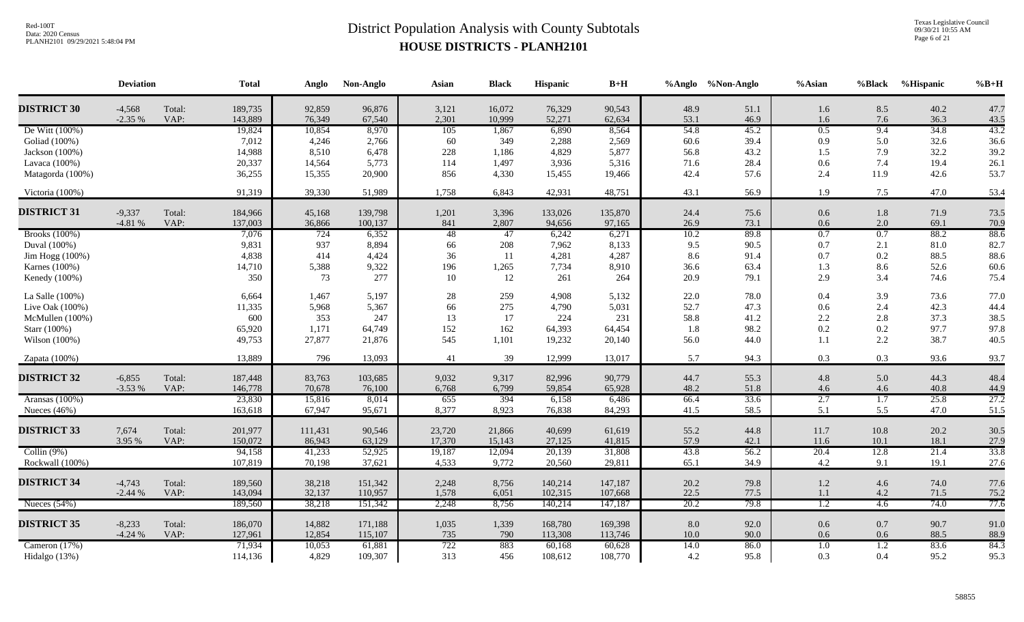Texas Legislative Council 09/30/21 10:55 AM Page 6 of 21

|                      | <b>Deviation</b>     |                | <b>Total</b>       | Anglo            | Non-Anglo          | Asian           | <b>Black</b>     | Hispanic          | $B+H$             |              | %Anglo %Non-Anglo | $%$ Asian        | %Black           | <b>%Hispanic</b> | $\%B+H$      |
|----------------------|----------------------|----------------|--------------------|------------------|--------------------|-----------------|------------------|-------------------|-------------------|--------------|-------------------|------------------|------------------|------------------|--------------|
| <b>DISTRICT 30</b>   | $-4,568$<br>$-2.35%$ | Total:<br>VAP: | 189,735<br>143,889 | 92,859<br>76,349 | 96,876<br>67,540   | 3,121<br>2,301  | 16,072<br>10,999 | 76,329<br>52,271  | 90,543<br>62,634  | 48.9<br>53.1 | 51.1<br>46.9      | 1.6<br>1.6       | 8.5<br>7.6       | 40.2<br>36.3     | 47.7<br>43.5 |
| De Witt (100%)       |                      |                | 19,824             | 10,854           | 8,970              | 105             | 1,867            | 6,890             | 8,564             | 54.8         | 45.2              | 0.5              | 9.4              | 34.8             | 43.2         |
| Goliad (100%)        |                      |                | 7,012              | 4,246            | 2,766              | 60              | 349              | 2,288             | 2,569             | 60.6         | 39.4              | 0.9              | 5.0              | 32.6             | 36.6         |
| Jackson (100%)       |                      |                | 14,988             | 8,510            | 6,478              | 228             | 1,186            | 4,829             | 5,877             | 56.8         | 43.2              | 1.5              | 7.9              | 32.2             | 39.2         |
| Lavaca (100%)        |                      |                | 20,337             | 14,564           | 5,773              | 114             | 1,497            | 3,936             | 5,316             | 71.6         | 28.4              | 0.6              | 7.4              | 19.4             | 26.1         |
| Matagorda (100%)     |                      |                | 36,255             | 15,355           | 20,900             | 856             | 4,330            | 15,455            | 19,466            | 42.4         | 57.6              | 2.4              | 11.9             | 42.6             | 53.7         |
| Victoria (100%)      |                      |                | 91,319             | 39,330           | 51,989             | 1,758           | 6,843            | 42,931            | 48,751            | 43.1         | 56.9              | 1.9              | 7.5              | 47.0             | 53.4         |
| <b>DISTRICT 31</b>   | $-9,337$<br>$-4.81%$ | Total:<br>VAP: | 184,966<br>137,003 | 45,168<br>36,866 | 139,798<br>100,137 | 1,201<br>841    | 3,396<br>2,807   | 133,026<br>94,656 | 135,870<br>97,165 | 24.4<br>26.9 | 75.6<br>73.1      | 0.6<br>0.6       | 1.8<br>2.0       | 71.9<br>69.1     | 73.5<br>70.9 |
| <b>Brooks</b> (100%) |                      |                | 7,076              | 724              | 6,352              | $\overline{48}$ | $\overline{47}$  | 6,242             | 6,271             | 10.2         | 89.8              | 0.7              | 0.7              | 88.2             | 88.6         |
| Duval (100%)         |                      |                | 9,831              | 937              | 8,894              | 66              | 208              | 7,962             | 8,133             | 9.5          | 90.5              | 0.7              | 2.1              | 81.0             | 82.7         |
| Jim Hogg (100%)      |                      |                | 4,838              | 414              | 4,424              | 36              | 11               | 4,281             | 4,287             | 8.6          | 91.4              | 0.7              | 0.2              | 88.5             | 88.6         |
| Karnes (100%)        |                      |                | 14,710             | 5,388            | 9,322              | 196             | 1,265            | 7,734             | 8,910             | 36.6         | 63.4              | 1.3              | 8.6              | 52.6             | 60.6         |
| Kenedy (100%)        |                      |                | 350                | 73               | 277                | 10              | 12               | 261               | 264               | 20.9         | 79.1              | 2.9              | 3.4              | 74.6             | 75.4         |
| La Salle (100%)      |                      |                | 6,664              | 1,467            | 5,197              | 28              | 259              | 4,908             | 5,132             | 22.0         | 78.0              | 0.4              | 3.9              | 73.6             | 77.0         |
| Live Oak (100%)      |                      |                | 11,335             | 5,968            | 5,367              | 66              | 275              | 4,790             | 5,031             | 52.7         | 47.3              | 0.6              | 2.4              | 42.3             | 44.4         |
| McMullen (100%)      |                      |                | 600                | 353              | 247                | 13              | 17               | 224               | 231               | 58.8         | 41.2              | $2.2\,$          | 2.8              | 37.3             | 38.5         |
| Starr (100%)         |                      |                | 65,920             | 1,171            | 64,749             | 152             | 162              | 64,393            | 64,454            | 1.8          | 98.2              | 0.2              | 0.2              | 97.7             | 97.8         |
| Wilson (100%)        |                      |                | 49,753             | 27,877           | 21,876             | 545             | 1,101            | 19,232            | 20,140            | 56.0         | 44.0              | 1.1              | 2.2              | 38.7             | 40.5         |
| Zapata (100%)        |                      |                | 13,889             | 796              | 13,093             | 41              | 39               | 12,999            | 13,017            | 5.7          | 94.3              | 0.3              | 0.3              | 93.6             | 93.7         |
| <b>DISTRICT 32</b>   | $-6,855$             | Total:         | 187,448            | 83,763           | 103,685            | 9,032           | 9,317            | 82,996            | 90,779            | 44.7         | 55.3              | 4.8              | 5.0              | 44.3             | 48.4         |
|                      | $-3.53%$             | VAP:           | 146,778            | 70,678           | 76,100             | 6,768           | 6,799            | 59,854            | 65,928            | 48.2         | 51.8              | 4.6              | 4.6              | 40.8             | 44.9         |
| Aransas (100%)       |                      |                | 23,830             | 15,816           | 8,014              | 655             | 394              | 6,158             | 6,486             | 66.4         | 33.6              | 2.7              | $\overline{1.7}$ | 25.8             | 27.2         |
| Nueces $(46\%)$      |                      |                | 163,618            | 67,947           | 95,671             | 8,377           | 8,923            | 76,838            | 84,293            | 41.5         | 58.5              | 5.1              | 5.5              | 47.0             | 51.5         |
| <b>DISTRICT 33</b>   | 7,674                | Total:         | 201,977            | 111,431          | 90,546             | 23,720          | 21,866           | 40,699            | 61,619            | 55.2         | 44.8              | 11.7             | 10.8             | 20.2             | 30.5         |
|                      | 3.95 %               | VAP:           | 150,072            | 86,943           | 63,129             | 17,370          | 15,143           | 27,125            | 41,815            | 57.9         | 42.1              | 11.6             | 10.1             | 18.1             | 27.9         |
| Collin $(9%)$        |                      |                | 94,158             | 41,233           | 52,925             | 19,187          | 12,094           | 20,139            | 31,808            | 43.8         | 56.2              | 20.4             | 12.8             | 21.4             | 33.8         |
| Rockwall (100%)      |                      |                | 107,819            | 70,198           | 37,621             | 4,533           | 9,772            | 20,560            | 29,811            | 65.1         | 34.9              | 4.2              | 9.1              | 19.1             | 27.6         |
| <b>DISTRICT 34</b>   | $-4,743$             | Total:         | 189,560            | 38,218           | 151,342            | 2,248           | 8,756            | 140,214           | 147,187           | 20.2         | 79.8              | $1.2\,$          | 4.6              | 74.0             | 77.6         |
|                      | $-2.44%$             | VAP:           | 143,094            | 32,137           | 110,957            | 1,578           | 6,051            | 102,315           | 107,668           | 22.5         | 77.5              | 1.1              | 4.2              | 71.5             | 75.2         |
| Nueces $(54%)$       |                      |                | 189,560            | 38,218           | 151,342            | 2,248           | 8,756            | 140,214           | 147,187           | 20.2         | 79.8              | $\overline{1.2}$ | 4.6              | 74.0             | 77.6         |
| <b>DISTRICT 35</b>   | $-8,233$             | Total:         | 186,070            | 14,882           | 171,188            | 1,035           | 1,339            | 168,780           | 169,398           | 8.0          | 92.0              | 0.6              | 0.7              | 90.7             | 91.0         |
|                      | $-4.24%$             | VAP:           | 127,961            | 12,854           | 115,107            | 735             | 790              | 113,308           | 113,746           | $10.0\,$     | 90.0              | 0.6              | 0.6              | 88.5             | 88.9         |
| Cameron (17%)        |                      |                | 71,934             | 10,053           | 61,881             | 722             | 883              | 60,168            | 60,628            | 14.0         | 86.0              | 1.0              | $\overline{1.2}$ | 83.6             | 84.3         |
| Hidalgo (13%)        |                      |                | 114,136            | 4,829            | 109,307            | 313             | 456              | 108,612           | 108,770           | 4.2          | 95.8              | 0.3              | 0.4              | 95.2             | 95.3         |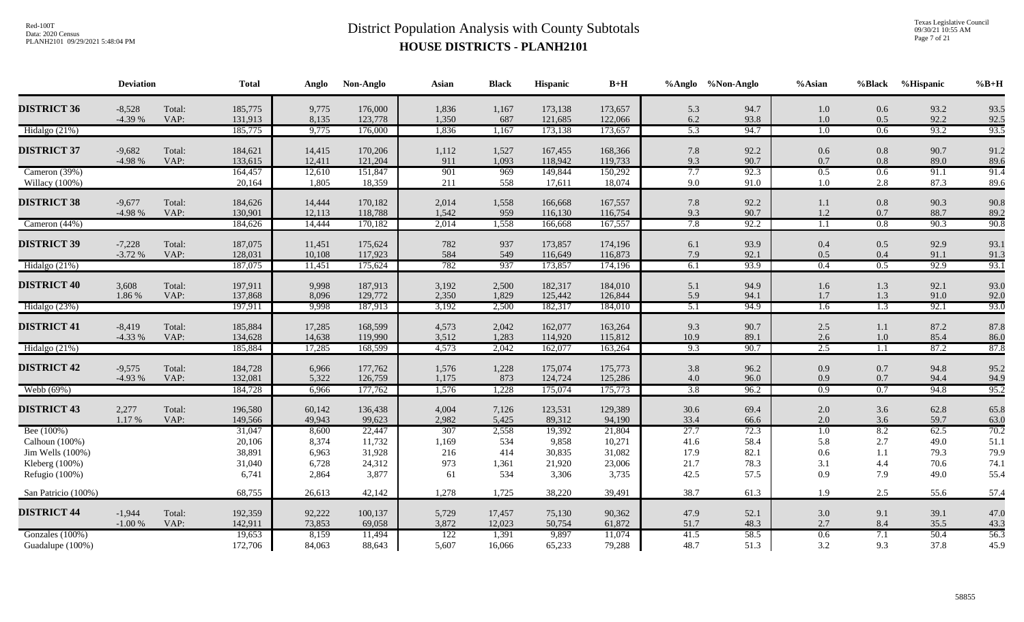Texas Legislative Council 09/30/21 10:55 AM Page 7 of 21

|                     | <b>Deviation</b> |                | <b>Total</b>       | Anglo            | Non-Anglo          | Asian          | <b>Black</b>   | <b>Hispanic</b>    | $B+H$              |                         | %Anglo %Non-Anglo | %Asian           | %Black     | %Hispanic    | $%B+H$       |
|---------------------|------------------|----------------|--------------------|------------------|--------------------|----------------|----------------|--------------------|--------------------|-------------------------|-------------------|------------------|------------|--------------|--------------|
| <b>DISTRICT 36</b>  | $-8,528$         | Total:         | 185,775            | 9,775            | 176,000            | 1,836          | 1,167          | 173,138            | 173,657            | 5.3                     | 94.7              | 1.0              | 0.6        | 93.2         | 93.5         |
|                     | $-4.39%$         | VAP:           | 131,913            | 8,135            | 123,778            | 1,350          | 687            | 121,685            | 122,066            | 6.2                     | 93.8              | 1.0              | 0.5        | 92.2         | 92.5         |
| Hidalgo (21%)       |                  |                | 185,775            | 9,775            | 176,000            | 1,836          | 1,167          | 173,138            | 173,657            | 5.3                     | 94.7              | 1.0              | 0.6        | 93.2         | 93.5         |
| <b>DISTRICT 37</b>  | $-9,682$         | Total:         | 184,621            | 14,415           | 170,206            | 1,112          | 1,527          | 167,455            | 168,366            | 7.8                     | 92.2              | 0.6              | 0.8        | 90.7         | 91.2         |
|                     | -4.98 %          | VAP:           | 133,615            | 12,411           | 121,204            | 911            | 1,093          | 118,942            | 119,733            | 9.3                     | 90.7              | 0.7              | 0.8        | 89.0         | 89.6         |
| Cameron (39%)       |                  |                | 164,457            | 12,610           | 151,847            | 901            | 969            | 149,844            | 150,292            | 7.7                     | 92.3              | 0.5              | 0.6        | 91.1         | 91.4         |
| Willacy (100%)      |                  |                | 20,164             | 1,805            | 18,359             | 211            | 558            | 17,611             | 18,074             | 9.0                     | 91.0              | 1.0              | 2.8        | 87.3         | 89.6         |
| <b>DISTRICT 38</b>  | $-9,677$         | Total:         | 184,626            | 14,444           | 170,182            | 2,014          | 1,558          | 166,668            | 167,557            | 7.8                     | 92.2              | 1.1              | 0.8        | 90.3         | 90.8         |
|                     | -4.98 %          | VAP:           | 130,901            | 12,113           | 118,788            | 1,542          | 959            | 116,130            | 116,754            | 9.3                     | 90.7              | 1.2              | 0.7        | 88.7         | 89.2         |
| Cameron $(44%)$     |                  |                | 184,626            | 14,444           | 170,182            | 2,014          | 1,558          | 166,668            | 167,557            | 7.8                     | 92.2              | 1.1              | 0.8        | 90.3         | 90.8         |
| <b>DISTRICT 39</b>  | $-7,228$         | Total:         | 187,075            |                  |                    |                |                |                    | 174,196            |                         | 93.9              |                  | 0.5        | 92.9         |              |
|                     | $-3.72%$         | VAP:           | 128,031            | 11,451<br>10,108 | 175,624<br>117,923 | 782<br>584     | 937<br>549     | 173,857<br>116,649 | 116,873            | 6.1<br>7.9              | 92.1              | 0.4<br>0.5       | 0.4        | 91.1         | 93.1<br>91.3 |
| Hidalgo (21%)       |                  |                | 187,075            | 11,451           | 175,624            | 782            | 937            | 173,857            | 174,196            | 6.1                     | 93.9              | 0.4              | 0.5        | 92.9         | 93.1         |
|                     |                  |                |                    |                  |                    |                |                |                    |                    |                         |                   |                  |            |              |              |
| <b>DISTRICT 40</b>  | 3,608            | Total:         | 197,911            | 9,998            | 187,913            | 3,192          | 2,500          | 182,317            | 184,010            | 5.1                     | 94.9              | 1.6              | 1.3        | 92.1         | 93.0         |
| Hidalgo (23%)       | 1.86 %           | VAP:           | 137,868<br>197,911 | 8,096<br>9,998   | 129,772<br>187,913 | 2,350<br>3,192 | 1,829<br>2,500 | 125,442<br>182,317 | 126,844<br>184,010 | 5.9<br>$\overline{5.1}$ | 94.1<br>94.9      | 1.7<br>1.6       | 1.3<br>1.3 | 91.0<br>92.1 | 92.0<br>93.0 |
|                     |                  |                |                    |                  |                    |                |                |                    |                    |                         |                   |                  |            |              |              |
| <b>DISTRICT 41</b>  | $-8,419$         | Total:         | 185,884            | 17,285           | 168,599            | 4,573          | 2,042          | 162,077            | 163,264            | 9.3                     | 90.7              | 2.5              | 1.1        | 87.2         | 87.8         |
|                     | $-4.33%$         | VAP:           | 134,628            | 14,638           | 119,990            | 3,512          | 1,283          | 114,920            | 115,812            | 10.9                    | 89.1              | 2.6              | 1.0        | 85.4         | 86.0         |
| Hidalgo (21%)       |                  |                | 185,884            | 17,285           | 168,599            | 4,573          | 2,042          | 162,077            | 163,264            | 9.3                     | 90.7              | 2.5              | 1.1        | 87.2         | 87.8         |
| <b>DISTRICT 42</b>  | $-9,575$         | Total:         | 184,728            | 6,966            | 177,762            | 1,576          | 1,228          | 175,074            | 175,773            | 3.8                     | 96.2              | 0.9              | 0.7        | 94.8         | 95.2         |
|                     | $-4.93%$         | VAP:           | 132,081            | 5,322            | 126,759            | 1,175          | 873            | 124,724            | 125,286            | 4.0                     | 96.0              | 0.9              | 0.7        | 94.4         | 94.9         |
| Webb (69%)          |                  |                | 184,728            | 6,966            | 177,762            | 1,576          | 1,228          | 175,074            | 175,773            | 3.8                     | 96.2              | $\overline{0.9}$ | 0.7        | 94.8         | 95.2         |
|                     |                  |                |                    |                  |                    |                |                |                    |                    |                         |                   |                  |            |              |              |
| <b>DISTRICT 43</b>  | 2,277<br>1.17 %  | Total:<br>VAP: | 196,580<br>149,566 | 60,142<br>49,943 | 136,438<br>99,623  | 4,004<br>2,982 | 7,126<br>5,425 | 123,531<br>89,312  | 129,389<br>94,190  | 30.6<br>33.4            | 69.4<br>66.6      | 2.0<br>2.0       | 3.6<br>3.6 | 62.8<br>59.7 | 65.8<br>63.0 |
| Bee (100%)          |                  |                | 31,047             | 8,600            | 22,447             | 307            | 2,558          | 19,392             | 21,804             | 27.7                    | 72.3              | $\overline{1.0}$ | 8.2        | 62.5         | 70.2         |
| Calhoun (100%)      |                  |                | 20,106             | 8,374            | 11,732             | 1,169          | 534            | 9,858              | 10,271             | 41.6                    | 58.4              | 5.8              | 2.7        | 49.0         | 51.1         |
| Jim Wells $(100\%)$ |                  |                | 38,891             | 6,963            | 31,928             | 216            | 414            | 30,835             | 31,082             | 17.9                    | 82.1              | 0.6              | 1.1        | 79.3         | 79.9         |
| Kleberg (100%)      |                  |                | 31,040             | 6,728            | 24,312             | 973            | 1,361          | 21,920             | 23,006             | 21.7                    | 78.3              | 3.1              | 4.4        | $70.6\,$     | 74.1         |
| Refugio (100%)      |                  |                | 6,741              | 2,864            | 3,877              | 61             | 534            | 3,306              | 3,735              | 42.5                    | 57.5              | 0.9              | 7.9        | 49.0         | 55.4         |
| San Patricio (100%) |                  |                | 68,755             | 26,613           | 42,142             | 1,278          | 1,725          | 38,220             | 39,491             | 38.7                    | 61.3              | 1.9              | 2.5        | 55.6         | 57.4         |
| <b>DISTRICT 44</b>  | $-1,944$         | Total:         | 192,359            | 92,222           | 100,137            | 5,729          | 17,457         | 75,130             | 90,362             | 47.9                    | 52.1              | 3.0              | 9.1        | 39.1         | 47.0         |
|                     | $-1.00%$         | VAP:           | 142,911            | 73,853           | 69,058             | 3,872          | 12,023         | 50,754             | 61,872             | 51.7                    | 48.3              | 2.7              | 8.4        | 35.5         | 43.3         |
| Gonzales (100%)     |                  |                | 19,653             | 8,159            | 11,494             | 122            | 1,391          | 9,897              | 11,074             | 41.5                    | 58.5              | 0.6              | 7.1        | 50.4         | 56.3         |
| Guadalupe (100%)    |                  |                | 172,706            | 84,063           | 88,643             | 5,607          | 16,066         | 65,233             | 79,288             | 48.7                    | 51.3              | 3.2              | 9.3        | 37.8         | 45.9         |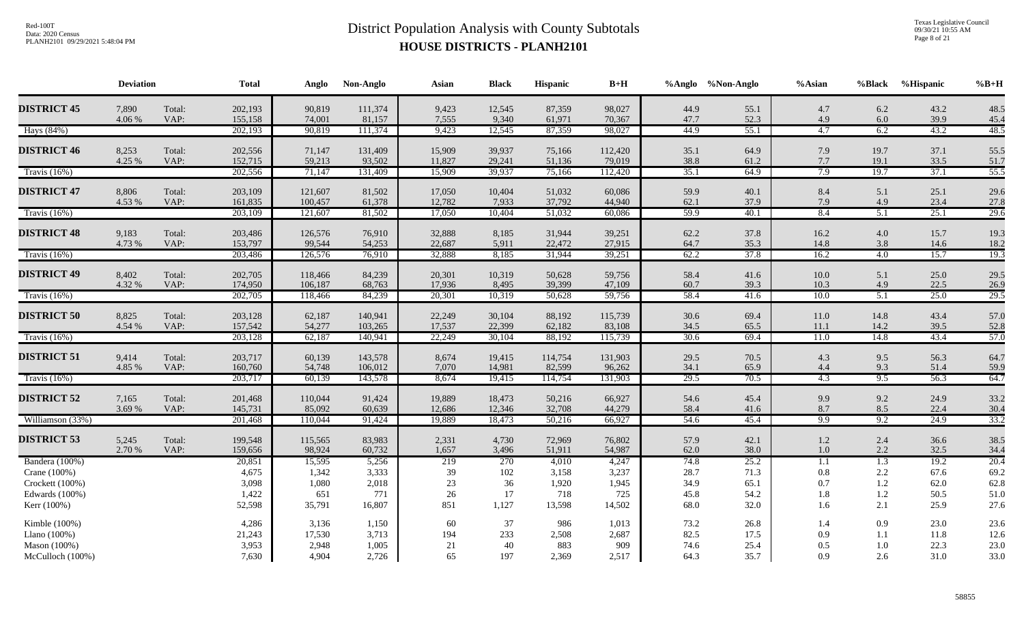Texas Legislative Council 09/30/21 10:55 AM Page 8 of 21

|                    | <b>Deviation</b> |                | <b>Total</b>       | Anglo              | Non-Anglo          | Asian            | <b>Black</b>     | <b>Hispanic</b>  | $B+H$             |              | %Anglo %Non-Anglo | %Asian           | <b>%Black</b>           | %Hispanic    | $%B+H$       |
|--------------------|------------------|----------------|--------------------|--------------------|--------------------|------------------|------------------|------------------|-------------------|--------------|-------------------|------------------|-------------------------|--------------|--------------|
| <b>DISTRICT 45</b> | 7,890            | Total:         | 202,193            | 90,819             | 111,374            | 9,423            | 12,545           | 87,359           | 98,027            | 44.9         | 55.1              | 4.7              | 6.2                     | 43.2         | 48.5         |
|                    | 4.06 %           | VAP:           | 155,158            | 74,001             | 81,157             | 7,555            | 9,340            | 61,971           | 70,367            | 47.7         | 52.3              | 4.9              | 6.0                     | 39.9         | 45.4         |
| Hays (84%)         |                  |                | 202,193            | 90,819             | 111,374            | 9,423            | 12,545           | 87,359           | 98,027            | 44.9         | 55.1              | 4.7              | 6.2                     | 43.2         | 48.5         |
| <b>DISTRICT 46</b> | 8,253            | Total:         | 202,556            | 71,147             | 131,409            | 15,909           | 39,937           | 75,166           | 112,420           | 35.1         | 64.9              | 7.9              | 19.7                    | 37.1         | 55.5         |
|                    | 4.25 %           | VAP:           | 152,715            | 59,213             | 93,502             | 11,827           | 29,241           | 51,136           | 79,019            | 38.8         | 61.2              | $7.7\,$          | 19.1                    | 33.5         | 51.7         |
| Travis $(16%)$     |                  |                | 202,556            | 71,147             | 131,409            | 15,909           | 39,937           | 75,166           | 112,420           | 35.1         | 64.9              | 7.9              | 19.7                    | 37.1         | 55.5         |
|                    |                  |                |                    |                    |                    |                  |                  |                  |                   |              |                   |                  |                         |              |              |
| <b>DISTRICT 47</b> | 8,806            | Total:         | 203,109            | 121,607            | 81,502             | 17,050           | 10,404           | 51,032           | 60,086            | 59.9         | 40.1              | 8.4              | 5.1                     | 25.1         | 29.6         |
| Travis $(16\%)$    | 4.53 %           | VAP:           | 161,835<br>203,109 | 100,457<br>121,607 | 61,378<br>81,502   | 12,782<br>17,050 | 7,933<br>10,404  | 37,792<br>51,032 | 44,940<br>60,086  | 62.1<br>59.9 | 37.9<br>40.1      | 7.9<br>8.4       | 4.9<br>$\overline{5.1}$ | 23.4<br>25.1 | 27.8<br>29.6 |
|                    |                  |                |                    |                    |                    |                  |                  |                  |                   |              |                   |                  |                         |              |              |
| <b>DISTRICT 48</b> | 9,183            | Total:         | 203,486            | 126,576            | 76,910             | 32,888           | 8,185            | 31,944           | 39,251            | 62.2         | 37.8              | 16.2             | 4.0                     | 15.7         | 19.3         |
|                    | 4.73 %           | VAP:           | 153,797            | 99,544             | 54,253             | 22,687           | 5,911            | 22,472           | 27,915            | 64.7         | 35.3              | 14.8             | 3.8                     | 14.6         | 18.2         |
| Travis $(16\%)$    |                  |                | 203,486            | 126,576            | 76,910             | 32,888           | 8,185            | 31,944           | 39,251            | 62.2         | 37.8              | 16.2             | 4.0                     | 15.7         | 19.3         |
| <b>DISTRICT 49</b> | 8,402            | Total:         | 202,705            | 118,466            | 84,239             | 20,301           | 10,319           | 50,628           | 59,756            | 58.4         | 41.6              | 10.0             | 5.1                     | 25.0         | 29.5         |
|                    | 4.32 %           | VAP:           | 174,950            | 106,187            | 68,763             | 17,936           | 8,495            | 39,399           | 47,109            | 60.7         | 39.3              | 10.3             | 4.9                     | 22.5         | 26.9         |
| Travis $(16\%)$    |                  |                | 202,705            | 118,466            | 84,239             | 20,301           | 10,319           | 50,628           | 59,756            | 58.4         | 41.6              | 10.0             | 5.1                     | 25.0         | 29.5         |
|                    |                  |                |                    |                    |                    |                  |                  |                  |                   |              |                   |                  |                         |              |              |
| <b>DISTRICT 50</b> | 8,825<br>4.54 %  | Total:<br>VAP: | 203,128<br>157,542 | 62,187<br>54,277   | 140,941<br>103,265 | 22,249<br>17,537 | 30,104<br>22,399 | 88,192<br>62,182 | 115,739<br>83,108 | 30.6<br>34.5 | 69.4<br>65.5      | 11.0<br>11.1     | 14.8<br>14.2            | 43.4<br>39.5 | 57.0<br>52.8 |
| Travis $(16\%)$    |                  |                | 203,128            | 62,187             | 140,941            | 22,249           | 30,104           | 88,192           | 115,739           | 30.6         | 69.4              | 11.0             | 14.8                    | 43.4         | 57.0         |
|                    |                  |                |                    |                    |                    |                  |                  |                  |                   |              |                   |                  |                         |              |              |
| <b>DISTRICT 51</b> | 9,414            | Total:         | 203,717            | 60,139             | 143,578            | 8,674            | 19,415           | 114,754          | 131,903           | 29.5         | 70.5              | 4.3              | 9.5                     | 56.3         | 64.7         |
|                    | 4.85 %           | VAP:           | 160,760            | 54,748             | 106,012            | 7,070            | 14,981           | 82,599           | 96,262            | 34.1         | 65.9              | 4.4              | 9.3                     | 51.4         | 59.9         |
| Travis $(16\%)$    |                  |                | 203,717            | 60,139             | 143,578            | 8,674            | 19,415           | 114,754          | 131,903           | 29.5         | 70.5              | 4.3              | 9.5                     | 56.3         | 64.7         |
| <b>DISTRICT 52</b> | 7,165            | Total:         | 201,468            | 110,044            | 91,424             | 19,889           | 18,473           | 50,216           | 66,927            | 54.6         | 45.4              | 9.9              | 9.2                     | 24.9         | 33.2         |
|                    | 3.69 %           | VAP:           | 145,731            | 85,092             | 60,639             | 12,686           | 12,346           | 32,708           | 44,279            | 58.4         | 41.6              | 8.7              | 8.5                     | 22.4         | 30.4         |
| Williamson (33%)   |                  |                | 201,468            | 110,044            | 91,424             | 19,889           | 18,473           | 50,216           | 66,927            | 54.6         | 45.4              | 9.9              | 9.2                     | 24.9         | 33.2         |
| <b>DISTRICT 53</b> | 5,245            | Total:         | 199,548            | 115,565            | 83,983             | 2,331            | 4,730            | 72,969           | 76,802            | 57.9         | 42.1              | 1.2              | 2.4                     | 36.6         | 38.5         |
|                    | 2.70 %           | VAP:           | 159,656            | 98,924             | 60,732             | 1,657            | 3,496            | 51,911           | 54,987            | 62.0         | 38.0              | 1.0              | 2.2                     | 32.5         | 34.4         |
| Bandera (100%)     |                  |                | 20,851             | 15,595             | 5,256              | 219              | 270              | 4,010            | 4,247             | 74.8         | 25.2              | $\overline{1.1}$ | 1.3                     | 19.2         | 20.4         |
| Crane $(100%)$     |                  |                | 4,675              | 1,342              | 3,333              | 39               | 102              | 3,158            | 3,237             | 28.7         | 71.3              | $0.8\,$          | 2.2                     | 67.6         | 69.2         |
| Crockett (100%)    |                  |                | 3,098              | 1,080              | 2,018              | 23               | 36               | 1,920            | 1,945             | 34.9         | 65.1              | 0.7              | 1.2                     | 62.0         | 62.8         |
| Edwards (100%)     |                  |                | 1,422              | 651                | 771                | 26               | 17               | 718              | 725               | 45.8         | 54.2              | 1.8              | 1.2                     | 50.5         | 51.0         |
| Kerr (100%)        |                  |                | 52,598             | 35,791             | 16,807             | 851              | 1,127            | 13,598           | 14,502            | 68.0         | 32.0              | 1.6              | 2.1                     | 25.9         | 27.6         |
| Kimble (100%)      |                  |                | 4,286              | 3,136              | 1,150              | 60               | 37               | 986              | 1,013             | 73.2         | 26.8              | 1.4              | 0.9                     | 23.0         | 23.6         |
| Llano $(100\%)$    |                  |                | 21,243             | 17,530             | 3,713              | 194              | 233              | 2,508            | 2,687             | 82.5         | 17.5              | 0.9              | 1.1                     | 11.8         | 12.6         |
| Mason (100%)       |                  |                | 3,953              | 2,948              | 1,005              | 21               | 40               | 883              | 909               | 74.6         | 25.4              | 0.5              | 1.0                     | 22.3         | 23.0         |
| McCulloch (100%)   |                  |                | 7,630              | 4,904              | 2,726              | 65               | 197              | 2,369            | 2,517             | 64.3         | 35.7              | 0.9              | 2.6                     | 31.0         | 33.0         |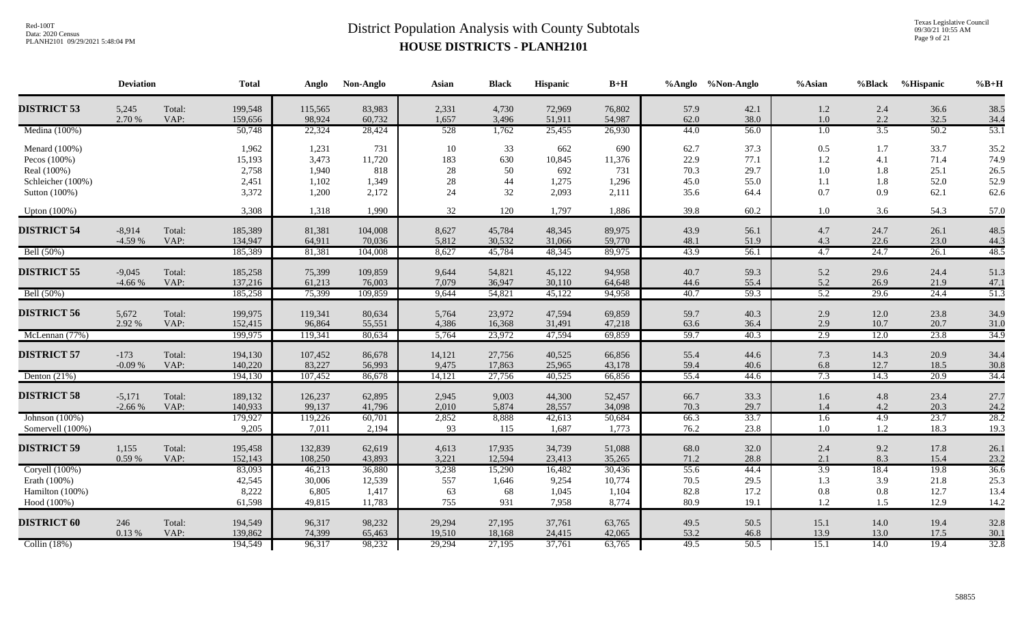Texas Legislative Council 09/30/21 10:55 AM Page 9 of 21

| <b>DISTRICT 53</b><br>5,245<br>Total:<br>199,548<br>83,983<br>4,730<br>72,969<br>76,802<br>42.1<br>2.4<br>115,565<br>2,331<br>57.9<br>1.2<br>2.70 %<br>VAP:<br>159,656<br>54,987<br>38.0<br>$1.0\,$<br>2.2<br>98,924<br>60,732<br>1,657<br>3,496<br>51,911<br>62.0<br>3.5<br>Medina (100%)<br>528<br>1,762<br>44.0<br>56.0<br>1.0<br>50,748<br>22,324<br>28,424<br>25,455<br>26,930<br>Menard (100%)<br>1,962<br>1,231<br>731<br>10<br>33<br>662<br>690<br>62.7<br>37.3<br>0.5<br>1.7<br>$1.2\,$<br>15,193<br>3,473<br>11,720<br>183<br>630<br>10,845<br>11,376<br>22.9<br>77.1<br>4.1<br>Pecos (100%)<br>Real (100%)<br>2,758<br>818<br>28<br>50<br>692<br>70.3<br>29.7<br>1.0<br>1.8<br>1,940<br>731<br>44<br>Schleicher (100%)<br>1,102<br>28<br>1,275<br>45.0<br>1.8<br>2,451<br>1,349<br>1,296<br>55.0<br>1.1<br>3,372<br>32<br>2,093<br>1,200<br>2,172<br>24<br>2,111<br>35.6<br>0.7<br>0.9<br>Sutton (100%)<br>64.4<br>3,308<br>1,990<br>32<br>120<br>1,886<br>39.8<br>60.2<br><b>Upton</b> (100%)<br>1,318<br>1,797<br>1.0<br>3.6<br><b>DISTRICT 54</b><br>$-8,914$<br>Total:<br>185,389<br>104,008<br>48,345<br>89,975<br>81,381<br>8,627<br>45,784<br>43.9<br>56.1<br>4.7<br>24.7<br>$-4.59%$<br>VAP:<br>134,947<br>59,770<br>4.3<br>64,911<br>70,036<br>5,812<br>30,532<br>31,066<br>48.1<br>51.9<br>22.6<br>24.7<br>Bell (50%)<br>8,627<br>45,784<br>89,975<br>43.9<br>4.7<br>185,389<br>48,345<br>56.1<br>81,381<br>104,008 | $\%B+H$<br>%Hispanic                                                         | %Black | $%$ Asian | %Anglo %Non-Anglo |      | $B+H$  | Hispanic | <b>Black</b> | Asian | Non-Anglo | Anglo  | <b>Total</b> |        | <b>Deviation</b> |                    |
|------------------------------------------------------------------------------------------------------------------------------------------------------------------------------------------------------------------------------------------------------------------------------------------------------------------------------------------------------------------------------------------------------------------------------------------------------------------------------------------------------------------------------------------------------------------------------------------------------------------------------------------------------------------------------------------------------------------------------------------------------------------------------------------------------------------------------------------------------------------------------------------------------------------------------------------------------------------------------------------------------------------------------------------------------------------------------------------------------------------------------------------------------------------------------------------------------------------------------------------------------------------------------------------------------------------------------------------------------------------------------------------------------------------------------------------|------------------------------------------------------------------------------|--------|-----------|-------------------|------|--------|----------|--------------|-------|-----------|--------|--------------|--------|------------------|--------------------|
|                                                                                                                                                                                                                                                                                                                                                                                                                                                                                                                                                                                                                                                                                                                                                                                                                                                                                                                                                                                                                                                                                                                                                                                                                                                                                                                                                                                                                                          | 36.6<br>38.5<br>32.5<br>34.4                                                 |        |           |                   |      |        |          |              |       |           |        |              |        |                  |                    |
|                                                                                                                                                                                                                                                                                                                                                                                                                                                                                                                                                                                                                                                                                                                                                                                                                                                                                                                                                                                                                                                                                                                                                                                                                                                                                                                                                                                                                                          | 53.1<br>50.2                                                                 |        |           |                   |      |        |          |              |       |           |        |              |        |                  |                    |
|                                                                                                                                                                                                                                                                                                                                                                                                                                                                                                                                                                                                                                                                                                                                                                                                                                                                                                                                                                                                                                                                                                                                                                                                                                                                                                                                                                                                                                          | 33.7<br>35.2<br>71.4<br>74.9<br>25.1<br>26.5<br>52.0<br>52.9<br>62.1<br>62.6 |        |           |                   |      |        |          |              |       |           |        |              |        |                  |                    |
|                                                                                                                                                                                                                                                                                                                                                                                                                                                                                                                                                                                                                                                                                                                                                                                                                                                                                                                                                                                                                                                                                                                                                                                                                                                                                                                                                                                                                                          | 54.3<br>57.0                                                                 |        |           |                   |      |        |          |              |       |           |        |              |        |                  |                    |
|                                                                                                                                                                                                                                                                                                                                                                                                                                                                                                                                                                                                                                                                                                                                                                                                                                                                                                                                                                                                                                                                                                                                                                                                                                                                                                                                                                                                                                          | 26.1<br>48.5<br>23.0<br>44.3                                                 |        |           |                   |      |        |          |              |       |           |        |              |        |                  |                    |
|                                                                                                                                                                                                                                                                                                                                                                                                                                                                                                                                                                                                                                                                                                                                                                                                                                                                                                                                                                                                                                                                                                                                                                                                                                                                                                                                                                                                                                          | 26.1<br>48.5                                                                 |        |           |                   |      |        |          |              |       |           |        |              |        |                  |                    |
| 5.2<br>$-4.66%$<br>VAP:<br>137,216<br>76,003<br>7,079<br>36,947<br>30,110<br>64,648<br>44.6<br>55.4<br>26.9<br>61,213                                                                                                                                                                                                                                                                                                                                                                                                                                                                                                                                                                                                                                                                                                                                                                                                                                                                                                                                                                                                                                                                                                                                                                                                                                                                                                                    | 24.4<br>51.3<br>21.9<br>47.1                                                 | 29.6   | 5.2       | 59.3              | 40.7 | 94,958 | 45,122   | 54,821       | 9,644 | 109,859   | 75,399 | 185,258      | Total: | $-9,045$         | <b>DISTRICT 55</b> |
| 5.2<br>59.3<br>29.6<br>Bell (50%)<br>185,258<br>75,399<br>109,859<br>9,644<br>54,821<br>45,122<br>94,958<br>40.7                                                                                                                                                                                                                                                                                                                                                                                                                                                                                                                                                                                                                                                                                                                                                                                                                                                                                                                                                                                                                                                                                                                                                                                                                                                                                                                         | 24.4<br>51.3                                                                 |        |           |                   |      |        |          |              |       |           |        |              |        |                  |                    |
| <b>DISTRICT 56</b><br>5,672<br>Total:<br>199,975<br>80,634<br>5,764<br>23,972<br>47,594<br>69,859<br>59.7<br>40.3<br>12.0<br>119,341<br>2.9<br>2.92 %<br>VAP:<br>152,415<br>47,218<br>2.9<br>96,864<br>55,551<br>4,386<br>16,368<br>31,491<br>63.6<br>36.4<br>10.7<br>2.9<br>McLennan (77%)<br>80,634<br>5,764<br>23,972<br>69,859<br>59.7<br>40.3<br>12.0<br>199,975<br>119,341<br>47,594                                                                                                                                                                                                                                                                                                                                                                                                                                                                                                                                                                                                                                                                                                                                                                                                                                                                                                                                                                                                                                               | 23.8<br>34.9<br>20.7<br>31.0<br>23.8<br>34.9                                 |        |           |                   |      |        |          |              |       |           |        |              |        |                  |                    |
| <b>DISTRICT 57</b><br>$-173$<br>194,130<br>107,452<br>86,678<br>14,121<br>27,756<br>66,856<br>14.3<br>Total:<br>40,525<br>55.4<br>44.6<br>7.3<br>$-0.09%$<br>140,220<br>83,227<br>9,475<br>6.8<br>VAP:<br>56,993<br>17,863<br>25,965<br>43,178<br>59.4<br>40.6<br>12.7                                                                                                                                                                                                                                                                                                                                                                                                                                                                                                                                                                                                                                                                                                                                                                                                                                                                                                                                                                                                                                                                                                                                                                   | 20.9<br>34.4<br>18.5<br>30.8                                                 |        |           |                   |      |        |          |              |       |           |        |              |        |                  |                    |
| 7.3<br>14.3<br>40,525<br>66,856<br>55.4<br>44.6<br>Denton $(21%)$<br>194,130<br>107,452<br>86,678<br>14,121<br>27,756                                                                                                                                                                                                                                                                                                                                                                                                                                                                                                                                                                                                                                                                                                                                                                                                                                                                                                                                                                                                                                                                                                                                                                                                                                                                                                                    | 20.9<br>34.4                                                                 |        |           |                   |      |        |          |              |       |           |        |              |        |                  |                    |
| <b>DISTRICT 58</b><br>$-5,171$<br>Total:<br>189,132<br>62,895<br>9,003<br>44,300<br>33.3<br>4.8<br>126,237<br>2,945<br>52,457<br>66.7<br>1.6<br>140,933<br>34,098<br>70.3<br>29.7<br>$-2.66%$<br>VAP:<br>99,137<br>41,796<br>2,010<br>5,874<br>28,557<br>1.4<br>4.2                                                                                                                                                                                                                                                                                                                                                                                                                                                                                                                                                                                                                                                                                                                                                                                                                                                                                                                                                                                                                                                                                                                                                                      | 23.4<br>27.7<br>20.3<br>24.2                                                 |        |           |                   |      |        |          |              |       |           |        |              |        |                  |                    |
| Johnson $(100\%)$<br>4.9<br>179,927<br>60,701<br>2,852<br>8,888<br>42,613<br>50,684<br>66.3<br>33.7<br>119,226<br>$\overline{1.6}$<br>9,205<br>1,773<br>76.2<br>1.2<br>Somervell (100%)<br>7,011<br>2,194<br>93<br>115<br>1,687<br>23.8<br>1.0                                                                                                                                                                                                                                                                                                                                                                                                                                                                                                                                                                                                                                                                                                                                                                                                                                                                                                                                                                                                                                                                                                                                                                                           | 23.7<br>28.2<br>18.3<br>19.3                                                 |        |           |                   |      |        |          |              |       |           |        |              |        |                  |                    |
| <b>DISTRICT 59</b><br>Total:<br>9.2<br>1,155<br>195,458<br>132,839<br>62,619<br>4,613<br>17,935<br>34,739<br>51,088<br>32.0<br>2.4<br>68.0<br>0.59 %<br>8.3<br>VAP:<br>152,143<br>3,221<br>23,413<br>35,265<br>71.2<br>108,250<br>43,893<br>12,594<br>28.8<br>2.1                                                                                                                                                                                                                                                                                                                                                                                                                                                                                                                                                                                                                                                                                                                                                                                                                                                                                                                                                                                                                                                                                                                                                                        | 17.8<br>26.1<br>15.4<br>23.2                                                 |        |           |                   |      |        |          |              |       |           |        |              |        |                  |                    |
| 55.6<br>3.9<br>18.4<br>Coryell (100%)<br>83,093<br>16,482<br>44.4<br>46,213<br>36,880<br>3,238<br>15,290<br>30,436<br>70.5<br>Erath (100%)<br>42,545<br>12,539<br>557<br>9,254<br>10,774<br>29.5<br>1.3<br>3.9<br>30,006<br>1,646<br>8,222<br>82.8<br>Hamilton (100%)<br>6,805<br>1,417<br>63<br>68<br>1,045<br>1,104<br>17.2<br>$0.8\,$<br>0.8<br>80.9<br>1.2<br>61,598<br>11,783<br>755<br>931<br>7,958<br>8,774<br>19.1<br>1.5<br>Hood (100%)<br>49,815                                                                                                                                                                                                                                                                                                                                                                                                                                                                                                                                                                                                                                                                                                                                                                                                                                                                                                                                                                               | 19.8<br>36.6<br>21.8<br>25.3<br>12.7<br>13.4<br>12.9<br>14.2                 |        |           |                   |      |        |          |              |       |           |        |              |        |                  |                    |
| <b>DISTRICT 60</b><br>Total:<br>98,232<br>37,761<br>63,765<br>246<br>194,549<br>96,317<br>29,294<br>27,195<br>49.5<br>50.5<br>15.1<br>14.0<br>53.2<br>0.13%<br>VAP:<br>139,862<br>13.9<br>74,399<br>65,463<br>19,510<br>24,415<br>42,065<br>46.8<br>13.0<br>18,168<br>Collin $(18%)$<br>49.5<br>15.1<br>194,549<br>96,317<br>98,232<br>29,294<br>27,195<br>37,761<br>63,765<br>50.5<br>14.0                                                                                                                                                                                                                                                                                                                                                                                                                                                                                                                                                                                                                                                                                                                                                                                                                                                                                                                                                                                                                                              | 32.8<br>19.4<br>17.5<br>30.1<br>19.4<br>32.8                                 |        |           |                   |      |        |          |              |       |           |        |              |        |                  |                    |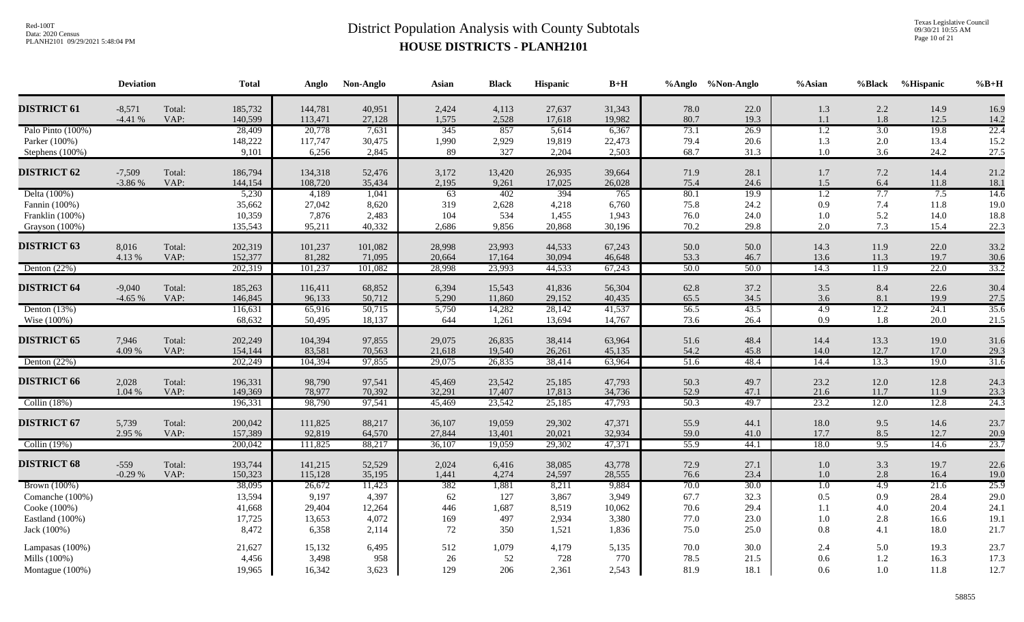Texas Legislative Council 09/30/21 10:55 AM Page 10 of 21

|                    | <b>Deviation</b> |                | <b>Total</b>       | Anglo             | Non-Anglo        | Asian            | <b>Black</b>     | Hispanic         | $\mathbf{B}+\mathbf{H}$ |              | %Anglo %Non-Anglo | %Asian           | %Black     | %Hispanic    | $%B+H$       |
|--------------------|------------------|----------------|--------------------|-------------------|------------------|------------------|------------------|------------------|-------------------------|--------------|-------------------|------------------|------------|--------------|--------------|
| <b>DISTRICT 61</b> | $-8,571$         | Total:         | 185,732            | 144,781           | 40,951           | 2,424            | 4,113            | 27,637           | 31,343                  | 78.0         | 22.0              | 1.3              | 2.2        | 14.9         | 16.9         |
|                    | $-4.41%$         | VAP:           | 140,599            | 113,471           | 27,128           | 1,575            | 2,528            | 17,618           | 19,982                  | 80.7         | 19.3              | 1.1              | 1.8        | 12.5         | 14.2         |
| Palo Pinto (100%)  |                  |                | 28,409             | 20,778            | 7,631            | 345              | 857              | 5,614            | 6,367                   | 73.1         | 26.9              | $\overline{1.2}$ | 3.0        | 19.8         | 22.4         |
| Parker (100%)      |                  |                | 148,222            | 117,747           | 30,475           | 1,990            | 2,929            | 19,819           | 22,473                  | 79.4         | 20.6              | 1.3              | 2.0        | 13.4         | 15.2         |
| Stephens (100%)    |                  |                | 9,101              | 6,256             | 2,845            | 89               | 327              | 2,204            | 2,503                   | 68.7         | 31.3              | $1.0\,$          | 3.6        | 24.2         | 27.5         |
| <b>DISTRICT 62</b> | $-7,509$         | Total:         | 186,794            | 134,318           | 52,476           | 3,172            | 13,420           | 26,935           | 39,664                  | 71.9         | 28.1              | $1.7\,$          | 7.2        | 14.4         | 21.2         |
|                    | $-3.86%$         | VAP:           | 144,154            | 108,720           | 35,434           | 2,195            | 9,261            | 17,025           | 26,028                  | 75.4         | 24.6              | 1.5              | 6.4        | 11.8         | 18.1         |
| Delta (100%)       |                  |                | 5,230              | 4,189             | 1,041            | 63               | 402              | 394              | 765                     | 80.1         | 19.9              | $\overline{1.2}$ | 7.7        | 7.5          | 14.6         |
| Fannin (100%)      |                  |                | 35,662             | 27,042            | 8,620            | 319              | 2,628            | 4,218            | 6,760                   | 75.8         | 24.2              | 0.9              | 7.4        | 11.8         | 19.0         |
| Franklin (100%)    |                  |                | 10,359             | 7,876             | 2,483            | 104              | 534              | 1,455            | 1,943                   | 76.0         | 24.0              | 1.0              | 5.2        | 14.0         | 18.8         |
| Grayson (100%)     |                  |                | 135,543            | 95,211            | 40,332           | 2,686            | 9,856            | 20,868           | 30,196                  | 70.2         | 29.8              | 2.0              | 7.3        | 15.4         | 22.3         |
| <b>DISTRICT 63</b> | 8,016            | Total:         | 202,319            | 101,237           | 101,082          | 28,998           | 23,993           | 44,533           | 67,243                  | 50.0         | 50.0              | 14.3             | 11.9       | 22.0         | 33.2         |
|                    | 4.13 %           | VAP:           | 152,377            | 81,282            | 71,095           | 20,664           | 17,164           | 30,094           | 46,648                  | 53.3         | 46.7              | 13.6             | 11.3       | 19.7         | 30.6         |
| Denton $(22%)$     |                  |                | 202,319            | 101,237           | 101,082          | 28,998           | 23,993           | 44,533           | 67,243                  | 50.0         | 50.0              | 14.3             | 11.9       | 22.0         | 33.2         |
| <b>DISTRICT 64</b> | $-9,040$         |                |                    |                   | 68,852           |                  | 15,543           |                  |                         |              | 37.2              |                  | 8.4        |              |              |
|                    | $-4.65%$         | Total:<br>VAP: | 185,263<br>146,845 | 116,411<br>96,133 | 50,712           | 6,394<br>5,290   | 11,860           | 41,836<br>29,152 | 56,304<br>40,435        | 62.8<br>65.5 | 34.5              | $3.5$<br>3.6     | 8.1        | 22.6<br>19.9 | 30.4<br>27.5 |
| Denton $(13%)$     |                  |                | 116,631            | 65,916            | 50,715           | 5,750            | 14,282           | 28,142           | 41,537                  | 56.5         | 43.5              | 4.9              | 12.2       | 24.1         | 35.6         |
| Wise (100%)        |                  |                | 68,632             | 50,495            | 18,137           | 644              | 1,261            | 13,694           | 14,767                  | 73.6         | 26.4              | 0.9              | 1.8        | 20.0         | 21.5         |
|                    |                  |                |                    |                   |                  |                  |                  |                  |                         |              |                   |                  |            |              |              |
| <b>DISTRICT 65</b> | 7,946            | Total:         | 202,249            | 104,394           | 97,855           | 29,075           | 26,835           | 38,414           | 63,964                  | 51.6         | 48.4              | 14.4             | 13.3       | 19.0         | 31.6         |
|                    | 4.09 %           | VAP:           | 154,144            | 83,581            | 70,563           | 21,618           | 19,540           | 26,261           | 45,135                  | 54.2         | 45.8              | 14.0             | 12.7       | 17.0         | 29.3         |
| Denton $(22%)$     |                  |                | 202,249            | 104,394           | 97,855           | 29,075           | 26,835           | 38,414           | 63,964                  | 51.6         | 48.4              | 14.4             | 13.3       | 19.0         | 31.6         |
| <b>DISTRICT 66</b> | 2,028            | Total:         | 196,331            | 98,790            | 97,541           | 45,469           | 23,542           | 25,185           | 47,793                  | 50.3         | 49.7              | 23.2             | 12.0       | 12.8         | 24.3         |
|                    | 1.04 %           | VAP:           | 149,369            | 78,977            | 70,392           | 32,291           | 17,407           | 17,813           | 34,736                  | 52.9         | 47.1              | 21.6             | 11.7       | 11.9         | 23.3         |
| Collin $(18%)$     |                  |                | 196,331            | 98,790            | 97,541           | 45,469           | 23,542           | 25,185           | 47,793                  | 50.3         | 49.7              | 23.2             | 12.0       | 12.8         | 24.3         |
|                    |                  |                |                    |                   |                  |                  |                  |                  |                         |              |                   |                  |            |              |              |
| <b>DISTRICT 67</b> | 5,739<br>2.95 %  | Total:<br>VAP: | 200,042<br>157,389 | 111,825<br>92,819 | 88,217<br>64,570 | 36,107<br>27,844 | 19,059<br>13,401 | 29,302<br>20,021 | 47,371<br>32,934        | 55.9<br>59.0 | 44.1<br>41.0      | 18.0<br>17.7     | 9.5<br>8.5 | 14.6<br>12.7 | 23.7<br>20.9 |
| Collin $(19%)$     |                  |                | 200,042            | 111,825           | 88,217           | 36,107           | 19,059           | 29,302           | 47,371                  | 55.9         | 44.1              | 18.0             | 9.5        | 14.6         | 23.7         |
|                    |                  |                |                    |                   |                  |                  |                  |                  |                         |              |                   |                  |            |              |              |
| <b>DISTRICT 68</b> | $-559$           | Total:         | 193,744            | 141,215           | 52,529           | 2,024            | 6,416            | 38,085           | 43,778                  | 72.9         | 27.1              | 1.0              | 3.3        | 19.7         | 22.6         |
|                    | $-0.29%$         | VAP:           | 150,323            | 115,128           | 35,195           | 1,441            | 4,274            | 24,597           | 28,555                  | 76.6         | 23.4              | $1.0\,$          | 2.8        | 16.4         | 19.0         |
| Brown (100%)       |                  |                | 38,095             | 26,672            | 11,423           | 382              | 1,881            | 8,211            | 9,884                   | 70.0         | 30.0              | $\overline{1.0}$ | 4.9        | 21.6         | 25.9         |
| Comanche (100%)    |                  |                | 13,594             | 9,197             | 4,397            | 62               | 127              | 3,867            | 3,949                   | 67.7         | 32.3              | $0.5\,$          | 0.9        | 28.4         | 29.0         |
| Cooke (100%)       |                  |                | 41,668             | 29,404            | 12,264           | 446              | 1,687            | 8,519            | 10,062                  | 70.6         | 29.4              | 1.1              | 4.0        | 20.4         | 24.1         |
| Eastland (100%)    |                  |                | 17,725             | 13,653            | 4,072            | 169              | 497              | 2,934            | 3,380                   | 77.0         | 23.0              | $1.0\,$          | 2.8        | 16.6         | 19.1         |
| Jack (100%)        |                  |                | 8,472              | 6,358             | 2,114            | 72               | 350              | 1,521            | 1,836                   | 75.0         | 25.0              | $0.8\,$          | 4.1        | 18.0         | 21.7         |
| Lampasas (100%)    |                  |                | 21,627             | 15,132            | 6,495            | 512              | 1,079            | 4,179            | 5,135                   | 70.0         | 30.0              | 2.4              | 5.0        | 19.3         | 23.7         |
| Mills (100%)       |                  |                | 4,456              | 3,498             | 958              | 26               | 52               | 728              | 770                     | 78.5         | 21.5              | 0.6              | 1.2        | 16.3         | 17.3         |
| Montague (100%)    |                  |                | 19,965             | 16,342            | 3,623            | 129              | 206              | 2,361            | 2,543                   | 81.9         | 18.1              | 0.6              | $1.0\,$    | 11.8         | 12.7         |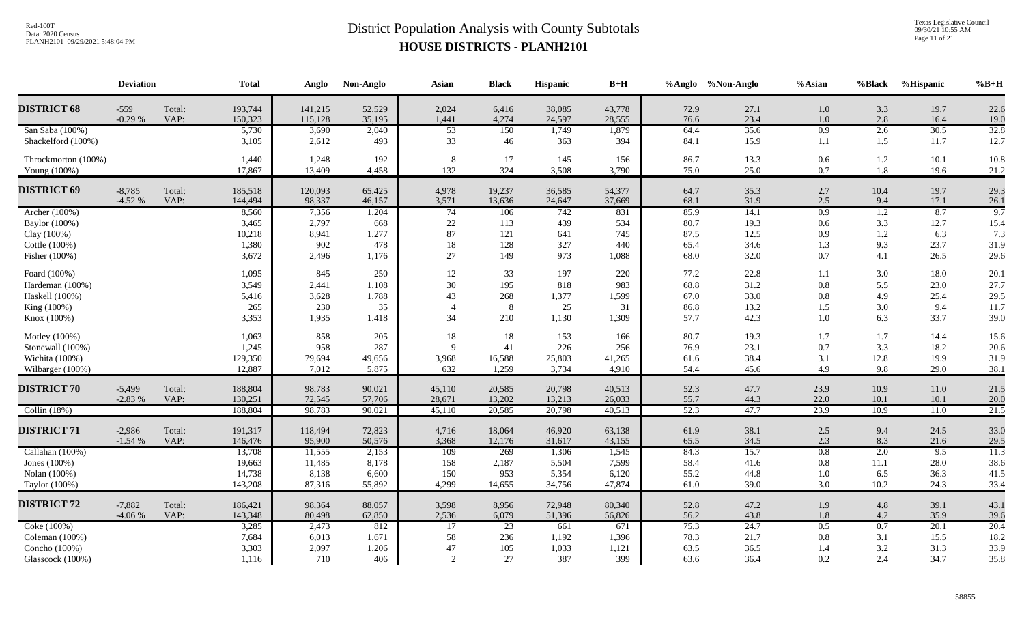Texas Legislative Council 09/30/21 10:55 AM Page 11 of 21

|                                                                                 | <b>Deviation</b>     |                | <b>Total</b>                                  | Anglo                                       | Non-Anglo                                 | Asian                                       | <b>Black</b>                                    | <b>Hispanic</b>                           | $B+H$                                     |                                      | %Anglo %Non-Anglo                    | %Asian                           | %Black                          | %Hispanic                            | $%B+H$                               |
|---------------------------------------------------------------------------------|----------------------|----------------|-----------------------------------------------|---------------------------------------------|-------------------------------------------|---------------------------------------------|-------------------------------------------------|-------------------------------------------|-------------------------------------------|--------------------------------------|--------------------------------------|----------------------------------|---------------------------------|--------------------------------------|--------------------------------------|
| <b>DISTRICT 68</b>                                                              | $-559$<br>$-0.29%$   | Total:<br>VAP: | 193,744<br>150,323                            | 141,215<br>115,128                          | 52,529<br>35,195                          | 2,024<br>1,441                              | 6,416<br>4,274                                  | 38,085<br>24,597                          | 43,778<br>28,555                          | 72.9<br>76.6                         | 27.1<br>23.4                         | 1.0<br>1.0                       | 3.3<br>2.8                      | 19.7<br>16.4                         | 22.6<br>19.0                         |
| San Saba (100%)<br>Shackelford (100%)                                           |                      |                | 5,730<br>3,105                                | 3,690<br>2,612                              | 2,040<br>493                              | $\overline{53}$<br>33                       | 150<br>46                                       | 1,749<br>363                              | 1,879<br>394                              | 64.4<br>84.1                         | 35.6<br>15.9                         | 0.9<br>1.1                       | 2.6<br>1.5                      | 30.5<br>11.7                         | 32.8<br>12.7                         |
| Throckmorton (100%)<br>Young (100%)                                             |                      |                | 1,440<br>17,867                               | 1,248<br>13,409                             | 192<br>4,458                              | 8<br>132                                    | 17<br>324                                       | 145<br>3,508                              | 156<br>3,790                              | 86.7<br>75.0                         | 13.3<br>25.0                         | 0.6<br>0.7                       | 1.2<br>1.8                      | 10.1<br>19.6                         | 10.8<br>21.2                         |
| <b>DISTRICT 69</b>                                                              | $-8,785$<br>$-4.52%$ | Total:<br>VAP: | 185,518<br>144,494                            | 120,093<br>98,337                           | 65,425<br>46,157                          | 4,978<br>3,571                              | 19,237<br>13,636                                | 36,585<br>24,647                          | 54,377<br>37,669                          | 64.7<br>68.1                         | 35.3<br>31.9                         | 2.7<br>2.5                       | 10.4<br>9.4                     | 19.7<br>17.1                         | 29.3<br>26.1                         |
| Archer (100%)<br>Baylor (100%)<br>Clay (100%)<br>Cottle (100%)<br>Fisher (100%) |                      |                | 8,560<br>3,465<br>10,218<br>1,380<br>3,672    | 7,356<br>2,797<br>8,941<br>902<br>2,496     | 1,204<br>668<br>1,277<br>478<br>1,176     | $\overline{74}$<br>$22\,$<br>87<br>18<br>27 | 106<br>113<br>121<br>128<br>149                 | 742<br>439<br>641<br>327<br>973           | 831<br>534<br>745<br>440<br>1,088         | 85.9<br>80.7<br>87.5<br>65.4<br>68.0 | 14.1<br>19.3<br>12.5<br>34.6<br>32.0 | 0.9<br>0.6<br>0.9<br>1.3<br>0.7  | 1.2<br>3.3<br>1.2<br>9.3<br>4.1 | 8.7<br>12.7<br>6.3<br>23.7<br>26.5   | 9.7<br>15.4<br>7.3<br>31.9<br>29.6   |
| Foard (100%)<br>Hardeman (100%)<br>Haskell (100%)<br>King (100%)<br>Knox (100%) |                      |                | 1,095<br>3,549<br>5,416<br>265<br>3,353       | 845<br>2,441<br>3,628<br>230<br>1,935       | 250<br>1,108<br>1,788<br>35<br>1,418      | 12<br>30<br>43<br>34                        | 33<br>195<br>268<br>8<br>210                    | 197<br>818<br>1,377<br>25<br>1,130        | 220<br>983<br>1,599<br>31<br>1,309        | 77.2<br>68.8<br>67.0<br>86.8<br>57.7 | 22.8<br>31.2<br>33.0<br>13.2<br>42.3 | 1.1<br>0.8<br>0.8<br>1.5<br>1.0  | 3.0<br>5.5<br>4.9<br>3.0<br>6.3 | 18.0<br>23.0<br>25.4<br>9.4<br>33.7  | 20.1<br>27.7<br>29.5<br>11.7<br>39.0 |
| Motley (100%)<br>Stonewall (100%)<br>Wichita (100%)<br>Wilbarger (100%)         |                      |                | 1,063<br>1,245<br>129,350<br>12,887           | 858<br>958<br>79,694<br>7,012               | 205<br>287<br>49,656<br>5,875             | 18<br>$\mathbf Q$<br>3,968<br>632           | 18<br>41<br>16,588<br>1,259                     | 153<br>226<br>25,803<br>3,734             | 166<br>256<br>41,265<br>4,910             | 80.7<br>76.9<br>61.6<br>54.4         | 19.3<br>23.1<br>38.4<br>45.6         | 1.7<br>$0.7\,$<br>3.1<br>4.9     | 1.7<br>3.3<br>12.8<br>9.8       | 14.4<br>18.2<br>19.9<br>29.0         | 15.6<br>20.6<br>31.9<br>38.1         |
| <b>DISTRICT 70</b>                                                              | $-5,499$<br>$-2.83%$ | Total:<br>VAP: | 188,804<br>130,251                            | 98,783<br>72,545                            | 90,021<br>57,706                          | 45,110<br>28,671                            | 20,585<br>13,202                                | 20,798<br>13,213                          | 40,513<br>26,033                          | 52.3<br>55.7                         | 47.7<br>44.3                         | 23.9<br>22.0                     | 10.9<br>10.1                    | 11.0<br>10.1                         | 21.5<br>20.0                         |
| Collin $(18%)$<br><b>DISTRICT 71</b>                                            | $-2,986$<br>$-1.54%$ | Total:<br>VAP: | 188,804<br>191,317<br>146,476                 | 98,783<br>118,494<br>95,900                 | 90,021<br>72,823<br>50,576                | 45,110<br>4,716<br>3,368                    | 20,585<br>18,064<br>12,176                      | 20,798<br>46,920<br>31,617                | 40,513<br>63,138<br>43,155                | 52.3<br>61.9<br>65.5                 | 47.7<br>38.1<br>34.5                 | 23.9<br>2.5<br>2.3               | 10.9<br>9.4<br>8.3              | 11.0<br>24.5<br>21.6                 | 21.5<br>33.0<br>29.5                 |
| Callahan (100%)<br>Jones (100%)<br>Nolan (100%)<br>Taylor (100%)                |                      |                | 13,708<br>19,663<br>14,738<br>143,208         | 11,555<br>11,485<br>8,138<br>87,316         | 2,153<br>8,178<br>6,600<br>55,892         | 109<br>158<br>150<br>4,299                  | 269<br>2,187<br>953<br>14,655                   | 1,306<br>5,504<br>5,354<br>34,756         | 1,545<br>7,599<br>6,120<br>47,874         | 84.3<br>58.4<br>55.2<br>61.0         | 15.7<br>41.6<br>44.8<br>39.0         | 0.8<br>$0.8\,$<br>$1.0\,$<br>3.0 | 2.0<br>11.1<br>6.5<br>10.2      | 9.5<br>28.0<br>36.3<br>24.3          | 11.3<br>38.6<br>41.5<br>33.4         |
| <b>DISTRICT 72</b><br>Coke (100%)<br>Coleman (100%)<br>Concho (100%)            | $-7,882$<br>$-4.06%$ | Total:<br>VAP: | 186,421<br>143,348<br>3,285<br>7,684<br>3,303 | 98,364<br>80,498<br>2,473<br>6,013<br>2,097 | 88,057<br>62,850<br>812<br>1,671<br>1,206 | 3,598<br>2,536<br>17<br>58<br>47            | 8,956<br>6,079<br>$\overline{23}$<br>236<br>105 | 72,948<br>51,396<br>661<br>1,192<br>1,033 | 80,340<br>56,826<br>671<br>1,396<br>1,121 | 52.8<br>56.2<br>75.3<br>78.3<br>63.5 | 47.2<br>43.8<br>24.7<br>21.7<br>36.5 | 1.9<br>1.8<br>0.5<br>0.8<br>1.4  | 4.8<br>4.2<br>0.7<br>3.1<br>3.2 | 39.1<br>35.9<br>20.1<br>15.5<br>31.3 | 43.1<br>39.6<br>20.4<br>18.2<br>33.9 |
| Glasscock (100%)                                                                |                      |                | 1,116                                         | 710                                         | 406                                       | 2                                           | 27                                              | 387                                       | 399                                       | 63.6                                 | 36.4                                 | 0.2                              | 2.4                             | 34.7                                 | 35.8                                 |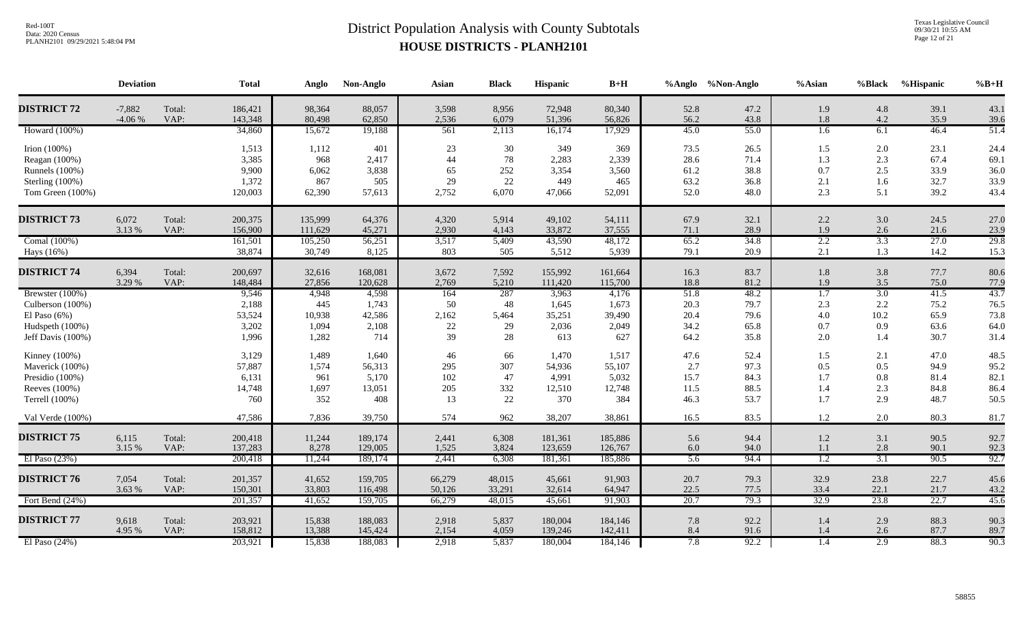Texas Legislative Council 09/30/21 10:55 AM Page 12 of 21

|                                                                                                | <b>Deviation</b>     |                | <b>Total</b>                                | Anglo                                    | Non-Anglo                                 | Asian                              | <b>Black</b>                   | Hispanic                                  | $B+H$                                     |                                      | %Anglo %Non-Anglo                    | $%$ Asian                                    | %Black                           | %Hispanic                            | $\%B+H$                              |
|------------------------------------------------------------------------------------------------|----------------------|----------------|---------------------------------------------|------------------------------------------|-------------------------------------------|------------------------------------|--------------------------------|-------------------------------------------|-------------------------------------------|--------------------------------------|--------------------------------------|----------------------------------------------|----------------------------------|--------------------------------------|--------------------------------------|
| <b>DISTRICT 72</b>                                                                             | $-7,882$<br>$-4.06%$ | Total:<br>VAP: | 186,421<br>143,348                          | 98,364<br>80,498                         | 88,057<br>62,850                          | 3,598<br>2,536                     | 8,956<br>6,079                 | 72,948<br>51,396                          | 80,340<br>56,826                          | 52.8<br>56.2                         | 47.2<br>43.8                         | 1.9<br>1.8                                   | 4.8<br>4.2                       | 39.1<br>35.9                         | 43.1<br>39.6                         |
| Howard (100%)                                                                                  |                      |                | 34,860                                      | 15,672                                   | 19,188                                    | 561                                | 2,113                          | 16,174                                    | 17,929                                    | 45.0                                 | 55.0                                 | 1.6                                          | 6.1                              | 46.4                                 | 51.4                                 |
| Irion (100%)<br>Reagan (100%)<br>Runnels (100%)<br>Sterling $(100\%)$<br>Tom Green (100%)      |                      |                | 1,513<br>3,385<br>9,900<br>1,372<br>120,003 | 1,112<br>968<br>6,062<br>867<br>62,390   | 401<br>2,417<br>3,838<br>505<br>57,613    | 23<br>44<br>65<br>29<br>2,752      | 30<br>78<br>252<br>22<br>6,070 | 349<br>2,283<br>3,354<br>449<br>47,066    | 369<br>2,339<br>3,560<br>465<br>52,091    | 73.5<br>28.6<br>61.2<br>63.2<br>52.0 | 26.5<br>71.4<br>38.8<br>36.8<br>48.0 | 1.5<br>1.3<br>0.7<br>2.1<br>2.3              | 2.0<br>2.3<br>2.5<br>1.6<br>5.1  | 23.1<br>67.4<br>33.9<br>32.7<br>39.2 | 24.4<br>69.1<br>36.0<br>33.9<br>43.4 |
| <b>DISTRICT 73</b>                                                                             | 6,072<br>3.13 %      | Total:<br>VAP: | 200,375<br>156,900                          | 135,999<br>111,629                       | 64,376<br>45,271                          | 4,320<br>2,930                     | 5,914<br>4,143                 | 49,102<br>33,872                          | 54,111<br>37,555                          | 67.9<br>71.1                         | 32.1<br>28.9                         | $2.2\,$<br>1.9                               | 3.0<br>2.6                       | 24.5<br>21.6                         | 27.0<br>23.9                         |
| Comal (100%)<br>Hays (16%)                                                                     |                      |                | 161,501<br>38,874                           | 105,250<br>30,749                        | 56,251<br>8,125                           | 3,517<br>803                       | 5,409<br>505                   | 43,590<br>5,512                           | 48,172<br>5,939                           | 65.2<br>79.1                         | 34.8<br>20.9                         | 2.2<br>2.1                                   | 3.3<br>1.3                       | 27.0<br>14.2                         | 29.8<br>15.3                         |
| <b>DISTRICT 74</b>                                                                             | 6,394<br>3.29 %      | Total:<br>VAP: | 200,697<br>148,484                          | 32,616<br>27,856                         | 168,081<br>120,628                        | 3,672<br>2,769                     | 7,592<br>5,210                 | 155,992<br>111,420                        | 161,664<br>115,700                        | 16.3<br>18.8                         | 83.7<br>81.2                         | 1.8<br>1.9                                   | 3.8<br>3.5                       | 77.7<br>75.0                         | 80.6<br>77.9                         |
| Brewster (100%)<br>Culberson (100%)<br>El Paso $(6\%)$<br>Hudspeth (100%)<br>Jeff Davis (100%) |                      |                | 9,546<br>2,188<br>53,524<br>3,202<br>1,996  | 4,948<br>445<br>10,938<br>1,094<br>1,282 | 4,598<br>1,743<br>42,586<br>2,108<br>714  | 164<br>50<br>2,162<br>$22\,$<br>39 | 287<br>48<br>5,464<br>29<br>28 | 3,963<br>1,645<br>35,251<br>2,036<br>613  | 4,176<br>1,673<br>39,490<br>2,049<br>627  | 51.8<br>20.3<br>20.4<br>34.2<br>64.2 | 48.2<br>79.7<br>79.6<br>65.8<br>35.8 | $\overline{1.7}$<br>2.3<br>4.0<br>0.7<br>2.0 | 3.0<br>2.2<br>10.2<br>0.9<br>1.4 | 41.5<br>75.2<br>65.9<br>63.6<br>30.7 | 43.7<br>76.5<br>73.8<br>64.0<br>31.4 |
| Kinney (100%)<br>Maverick (100%)<br>Presidio (100%)<br>Reeves (100%)<br>Terrell (100%)         |                      |                | 3,129<br>57,887<br>6,131<br>14,748<br>760   | 1,489<br>1,574<br>961<br>1,697<br>352    | 1,640<br>56,313<br>5,170<br>13,051<br>408 | 46<br>295<br>102<br>205<br>13      | 66<br>307<br>47<br>332<br>22   | 1,470<br>54,936<br>4,991<br>12,510<br>370 | 1,517<br>55,107<br>5,032<br>12,748<br>384 | 47.6<br>2.7<br>15.7<br>11.5<br>46.3  | 52.4<br>97.3<br>84.3<br>88.5<br>53.7 | 1.5<br>0.5<br>1.7<br>1.4<br>1.7              | 2.1<br>0.5<br>0.8<br>2.3<br>2.9  | 47.0<br>94.9<br>81.4<br>84.8<br>48.7 | 48.5<br>95.2<br>82.1<br>86.4<br>50.5 |
| Val Verde (100%)                                                                               |                      |                | 47,586                                      | 7,836                                    | 39,750                                    | 574                                | 962                            | 38,207                                    | 38,861                                    | 16.5                                 | 83.5                                 | 1.2                                          | 2.0                              | 80.3                                 | 81.7                                 |
| <b>DISTRICT 75</b>                                                                             | 6,115<br>3.15 %      | Total:<br>VAP: | 200,418<br>137,283                          | 11,244<br>8,278                          | 189,174<br>129,005                        | 2,441<br>1,525                     | 6,308<br>3,824                 | 181,361<br>123,659                        | 185,886<br>126,767                        | 5.6<br>6.0                           | 94.4<br>94.0                         | $1.2\,$<br>1.1                               | 3.1<br>2.8                       | 90.5<br>90.1                         | 92.7<br>92.3                         |
| El Paso $(23%)$                                                                                |                      |                | 200,418                                     | 11,244                                   | 189,174                                   | 2,441                              | 6,308                          | 181,361                                   | 185,886                                   | $\overline{5.6}$                     | 94.4                                 | $\overline{1.2}$                             | $\overline{3.1}$                 | 90.5                                 | 92.7                                 |
| <b>DISTRICT 76</b>                                                                             | 7,054<br>3.63 %      | Total:<br>VAP: | 201,357<br>150,301                          | 41,652<br>33,803                         | 159,705<br>116,498                        | 66,279<br>50,126                   | 48,015<br>33,291               | 45,661<br>32,614                          | 91,903<br>64,947                          | 20.7<br>22.5                         | 79.3<br>77.5                         | 32.9<br>33.4                                 | 23.8<br>22.1                     | 22.7<br>21.7                         | 45.6<br>43.2                         |
| Fort Bend (24%)                                                                                |                      |                | 201,357                                     | 41,652                                   | 159,705                                   | 66,279                             | 48,015                         | 45,661                                    | 91,903                                    | 20.7                                 | 79.3                                 | 32.9                                         | 23.8                             | 22.7                                 | 45.6                                 |
| <b>DISTRICT 77</b><br>El Paso $(24%)$                                                          | 9,618<br>4.95 %      | Total:<br>VAP: | 203,921<br>158,812<br>203,921               | 15,838<br>13,388<br>15,838               | 188,083<br>145,424<br>188,083             | 2,918<br>2,154<br>2,918            | 5,837<br>4,059<br>5,837        | 180,004<br>139,246<br>180,004             | 184,146<br>142,411<br>184,146             | 7.8<br>8.4<br>7.8                    | 92.2<br>91.6<br>92.2                 | 1.4<br>1.4<br>1.4                            | 2.9<br>2.6<br>2.9                | 88.3<br>87.7<br>88.3                 | 90.3<br>89.7<br>90.3                 |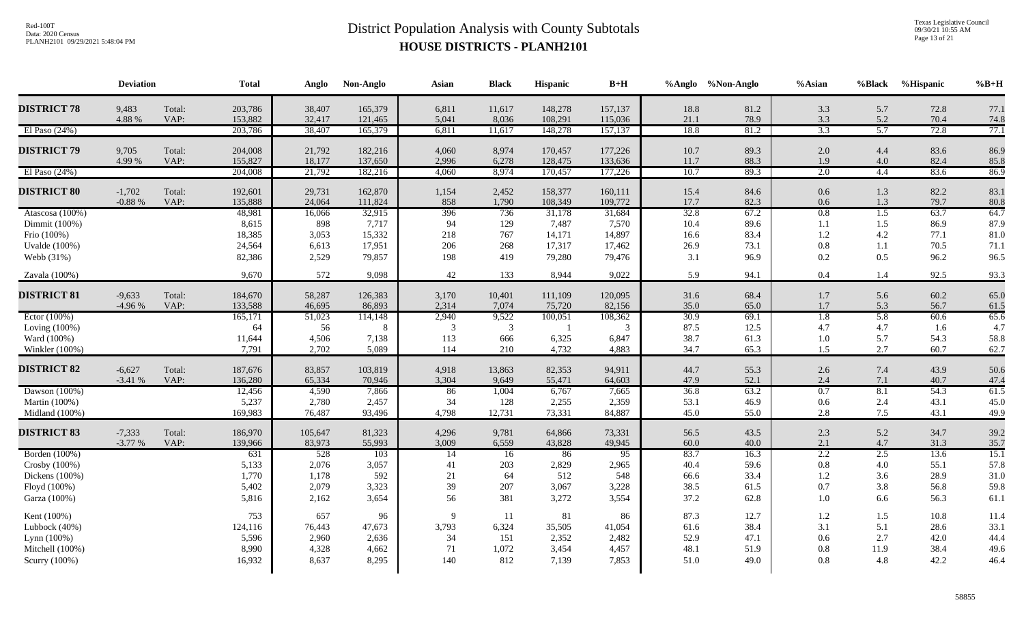Texas Legislative Council 09/30/21 10:55 AM Page 13 of 21

|                      | <b>Deviation</b> |        | <b>Total</b> | Anglo   | Non-Anglo | Asian       | <b>Black</b> | Hispanic | $B+H$   |      | %Anglo %Non-Anglo | $%$ Asian        | %Black | %Hispanic | $%B+H$ |
|----------------------|------------------|--------|--------------|---------|-----------|-------------|--------------|----------|---------|------|-------------------|------------------|--------|-----------|--------|
| <b>DISTRICT 78</b>   | 9,483            | Total: | 203,786      | 38,407  | 165,379   | 6,811       | 11,617       | 148,278  | 157,137 | 18.8 | 81.2              | 3.3              | 5.7    | 72.8      | 77.1   |
|                      | 4.88 %           | VAP:   | 153,882      | 32,417  | 121,465   | 5,041       | 8,036        | 108,291  | 115,036 | 21.1 | 78.9              | 3.3              | 5.2    | 70.4      | 74.8   |
| El Paso $(24%)$      |                  |        | 203,786      | 38,407  | 165,379   | 6,811       | 11,617       | 148,278  | 157,137 | 18.8 | 81.2              | 3.3              | 5.7    | 72.8      | 77.1   |
| <b>DISTRICT 79</b>   | 9,705            | Total: | 204,008      | 21,792  | 182,216   | 4,060       | 8,974        | 170,457  | 177,226 | 10.7 | 89.3              | 2.0              | 4.4    | 83.6      | 86.9   |
|                      | 4.99%            | VAP:   | 155,827      | 18,177  | 137,650   | 2,996       | 6,278        | 128,475  | 133,636 | 11.7 | 88.3              | 1.9              | 4.0    | 82.4      | 85.8   |
| El Paso $(24%)$      |                  |        | 204,008      | 21,792  | 182,216   | 4,060       | 8,974        | 170,457  | 177,226 | 10.7 | 89.3              | 2.0              | 4.4    | 83.6      | 86.9   |
| <b>DISTRICT 80</b>   | $-1,702$         | Total: | 192,601      | 29,731  | 162,870   | 1,154       | 2,452        | 158,377  | 160,111 | 15.4 | 84.6              | 0.6              | 1.3    | 82.2      | 83.1   |
|                      | -0.88 $\%$       | VAP:   | 135,888      | 24,064  | 111,824   | 858         | 1,790        | 108,349  | 109,772 | 17.7 | 82.3              | 0.6              | 1.3    | 79.7      | 80.8   |
| Atascosa (100%)      |                  |        | 48,981       | 16,066  | 32,915    | 396         | 736          | 31,178   | 31,684  | 32.8 | 67.2              | 0.8              | 1.5    | 63.7      | 64.7   |
| Dimmit (100%)        |                  |        | 8,615        | 898     | 7,717     | 94          | 129          | 7,487    | 7,570   | 10.4 | 89.6              | 1.1              | 1.5    | 86.9      | 87.9   |
| Frio (100%)          |                  |        | 18,385       | 3,053   | 15,332    | 218         | 767          | 14,171   | 14,897  | 16.6 | 83.4              | 1.2              | 4.2    | 77.1      | 81.0   |
| <b>Uvalde</b> (100%) |                  |        | 24,564       | 6,613   | 17,951    | 206         | 268          | 17,317   | 17,462  | 26.9 | 73.1              | $\rm 0.8$        | 1.1    | 70.5      | 71.1   |
| Webb (31%)           |                  |        | 82,386       | 2,529   | 79,857    | 198         | 419          | 79,280   | 79,476  | 3.1  | 96.9              | 0.2              | 0.5    | 96.2      | 96.5   |
| Zavala (100%)        |                  |        | 9,670        | 572     | 9,098     | 42          | 133          | 8,944    | 9,022   | 5.9  | 94.1              | 0.4              | 1.4    | 92.5      | 93.3   |
| <b>DISTRICT 81</b>   | $-9,633$         | Total: | 184,670      | 58,287  | 126,383   | 3,170       | 10,401       | 111,109  | 120,095 | 31.6 | 68.4              | 1.7              | 5.6    | 60.2      | 65.0   |
|                      | $-4.96%$         | VAP:   | 133,588      | 46,695  | 86,893    | 2,314       | 7,074        | 75,720   | 82,156  | 35.0 | 65.0              | 1.7              | 5.3    | 56.7      | 61.5   |
| Ector $(100\%)$      |                  |        | 165,171      | 51,023  | 114,148   | 2,940       | 9,522        | 100,051  | 108,362 | 30.9 | 69.1              | $\overline{1.8}$ | 5.8    | 60.6      | 65.6   |
| Loving $(100\%)$     |                  |        | 64           | 56      | 8         | 3           | 3            |          |         | 87.5 | 12.5              | 4.7              | 4.7    | 1.6       | 4.7    |
| Ward (100%)          |                  |        | 11,644       | 4,506   | 7,138     | 113         | 666          | 6,325    | 6,847   | 38.7 | 61.3              | 1.0              | 5.7    | 54.3      | 58.8   |
| Winkler (100%)       |                  |        | 7,791        | 2,702   | 5,089     | 114         | 210          | 4,732    | 4,883   | 34.7 | 65.3              | 1.5              | 2.7    | 60.7      | 62.7   |
| <b>DISTRICT 82</b>   | $-6,627$         | Total: | 187,676      | 83,857  | 103,819   | 4,918       | 13,863       | 82,353   | 94,911  | 44.7 | 55.3              | 2.6              | 7.4    | 43.9      | 50.6   |
|                      | $-3.41%$         | VAP:   | 136,280      | 65,334  | 70,946    | 3,304       | 9,649        | 55,471   | 64,603  | 47.9 | 52.1              | 2.4              | 7.1    | 40.7      | 47.4   |
| Dawson $(100\%)$     |                  |        | 12,456       | 4,590   | 7,866     | 86          | 1,004        | 6,767    | 7,665   | 36.8 | 63.2              | 0.7              | 8.1    | 54.3      | 61.5   |
| Martin (100%)        |                  |        | 5,237        | 2,780   | 2,457     | 34          | 128          | 2,255    | 2,359   | 53.1 | 46.9              | 0.6              | 2.4    | 43.1      | 45.0   |
| Midland (100%)       |                  |        | 169,983      | 76,487  | 93,496    | 4,798       | 12,731       | 73,331   | 84,887  | 45.0 | 55.0              | 2.8              | 7.5    | 43.1      | 49.9   |
| <b>DISTRICT 83</b>   | $-7,333$         | Total: | 186,970      | 105,647 | 81,323    | 4,296       | 9,781        | 64,866   | 73,331  | 56.5 | 43.5              | 2.3              | 5.2    | 34.7      | 39.2   |
|                      | $-3.77%$         | VAP:   | 139,966      | 83,973  | 55,993    | 3,009       | 6,559        | 43,828   | 49,945  | 60.0 | 40.0              | 2.1              | 4.7    | 31.3      | 35.7   |
| Borden (100%)        |                  |        | 631          | 528     | 103       | 14          | 16           | 86       | 95      | 83.7 | 16.3              | 2.2              | 2.5    | 13.6      | 15.1   |
| Crosby (100%)        |                  |        | 5,133        | 2,076   | 3,057     | 41          | 203          | 2,829    | 2,965   | 40.4 | 59.6              | 0.8              | 4.0    | 55.1      | 57.8   |
| Dickens (100%)       |                  |        | 1,770        | 1,178   | 592       | 21          | 64           | 512      | 548     | 66.6 | 33.4              | 1.2              | 3.6    | 28.9      | 31.0   |
| Floyd (100%)         |                  |        | 5,402        | 2,079   | 3,323     | 39          | 207          | 3,067    | 3,228   | 38.5 | 61.5              | 0.7              | 3.8    | 56.8      | 59.8   |
| Garza (100%)         |                  |        | 5,816        | 2,162   | 3,654     | 56          | 381          | 3,272    | 3,554   | 37.2 | 62.8              | 1.0              | 6.6    | 56.3      | 61.1   |
| Kent (100%)          |                  |        | 753          | 657     | 96        | $\mathbf Q$ | 11           | 81       | 86      | 87.3 | 12.7              | 1.2              | 1.5    | 10.8      | 11.4   |
| Lubbock (40%)        |                  |        | 124,116      | 76,443  | 47,673    | 3,793       | 6,324        | 35,505   | 41,054  | 61.6 | 38.4              | 3.1              | 5.1    | 28.6      | 33.1   |
| Lynn (100%)          |                  |        | 5,596        | 2,960   | 2,636     | 34          | 151          | 2,352    | 2,482   | 52.9 | 47.1              | 0.6              | 2.7    | 42.0      | 44.4   |
| Mitchell (100%)      |                  |        | 8,990        | 4,328   | 4,662     | 71          | 1,072        | 3,454    | 4,457   | 48.1 | 51.9              | 0.8              | 11.9   | 38.4      | 49.6   |
| Scurry (100%)        |                  |        | 16,932       | 8,637   | 8,295     | 140         | 812          | 7,139    | 7,853   | 51.0 | 49.0              | 0.8              | 4.8    | 42.2      | 46.4   |
|                      |                  |        |              |         |           |             |              |          |         |      |                   |                  |        |           |        |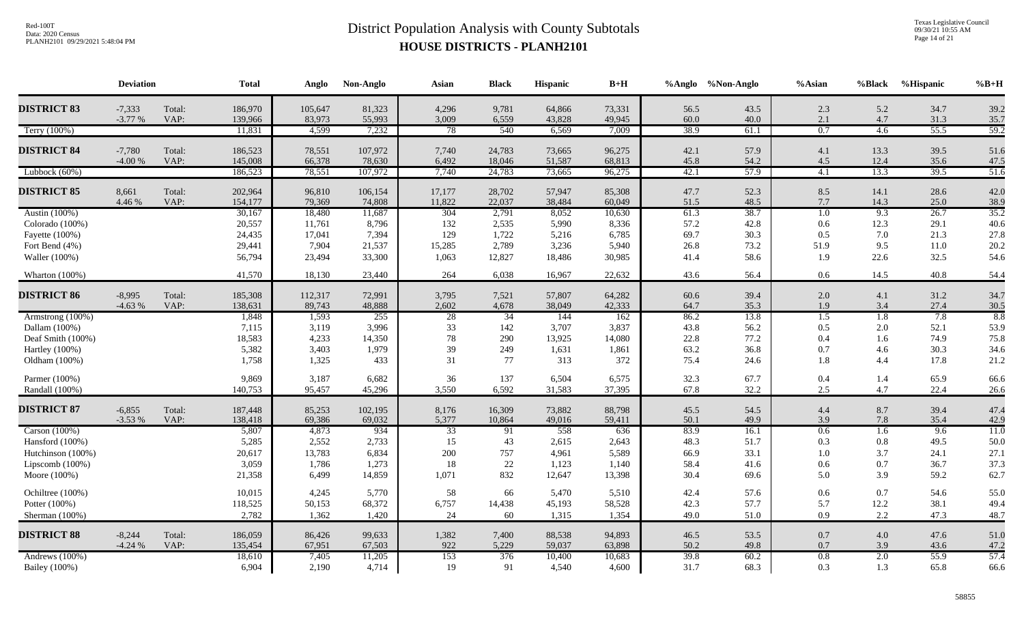Texas Legislative Council 09/30/21 10:55 AM Page 14 of 21

|                    | <b>Deviation</b> |        | <b>Total</b> | Anglo   | Non-Anglo | Asian           | <b>Black</b> | <b>Hispanic</b> | $B+H$  |      | %Anglo %Non-Anglo | %Asian           | %Black | %Hispanic | $%B+H$ |
|--------------------|------------------|--------|--------------|---------|-----------|-----------------|--------------|-----------------|--------|------|-------------------|------------------|--------|-----------|--------|
| <b>DISTRICT 83</b> | $-7,333$         | Total: | 186,970      | 105,647 | 81,323    | 4,296           | 9,781        | 64,866          | 73,331 | 56.5 | 43.5              | 2.3              | 5.2    | 34.7      | 39.2   |
|                    | $-3.77%$         | VAP:   | 139,966      | 83,973  | 55,993    | 3,009           | 6,559        | 43,828          | 49,945 | 60.0 | 40.0              | 2.1              | 4.7    | 31.3      | 35.7   |
| Terry (100%)       |                  |        | 11,831       | 4,599   | 7,232     | 78              | 540          | 6,569           | 7,009  | 38.9 | 61.1              | 0.7              | 4.6    | 55.5      | 59.2   |
| <b>DISTRICT 84</b> | $-7,780$         | Total: | 186,523      | 78,551  | 107,972   | 7,740           | 24,783       | 73,665          | 96,275 | 42.1 | 57.9              | 4.1              | 13.3   | 39.5      | 51.6   |
|                    | $-4.00%$         | VAP:   | 145,008      | 66,378  | 78,630    | 6,492           | 18,046       | 51,587          | 68,813 | 45.8 | 54.2              | 4.5              | 12.4   | 35.6      | 47.5   |
| Lubbock (60%)      |                  |        | 186,523      | 78,551  | 107,972   | 7,740           | 24,783       | 73,665          | 96,275 | 42.1 | 57.9              | 4.1              | 13.3   | 39.5      | 51.6   |
| <b>DISTRICT 85</b> | 8,661            | Total: | 202,964      | 96,810  | 106,154   | 17,177          | 28,702       | 57,947          | 85,308 | 47.7 | 52.3              | 8.5              | 14.1   | 28.6      | 42.0   |
|                    | 4.46 %           | VAP:   | 154,177      | 79,369  | 74,808    | 11,822          | 22,037       | 38,484          | 60,049 | 51.5 | 48.5              | 7.7              | 14.3   | 25.0      | 38.9   |
| Austin (100%)      |                  |        | 30,167       | 18,480  | 11,687    | 304             | 2,791        | 8,052           | 10,630 | 61.3 | 38.7              | 1.0              | 9.3    | 26.7      | 35.2   |
| Colorado (100%)    |                  |        | 20,557       | 11,761  | 8,796     | 132             | 2,535        | 5,990           | 8,336  | 57.2 | 42.8              | 0.6              | 12.3   | 29.1      | 40.6   |
| Fayette (100%)     |                  |        | 24,435       | 17,041  | 7,394     | 129             | 1,722        | 5,216           | 6,785  | 69.7 | 30.3              | 0.5              | 7.0    | 21.3      | 27.8   |
| Fort Bend (4%)     |                  |        | 29,441       | 7,904   | 21,537    | 15,285          | 2,789        | 3,236           | 5,940  | 26.8 | 73.2              | 51.9             | 9.5    | 11.0      | 20.2   |
| Waller (100%)      |                  |        | 56,794       | 23,494  | 33,300    | 1,063           | 12,827       | 18,486          | 30,985 | 41.4 | 58.6              | 1.9              | 22.6   | 32.5      | 54.6   |
| Wharton (100%)     |                  |        | 41,570       | 18,130  | 23,440    | 264             | 6,038        | 16,967          | 22,632 | 43.6 | 56.4              | $0.6\,$          | 14.5   | 40.8      | 54.4   |
| <b>DISTRICT 86</b> | $-8,995$         | Total: | 185,308      | 112,317 | 72,991    | 3,795           | 7,521        | 57,807          | 64,282 | 60.6 | 39.4              | 2.0              | 4.1    | 31.2      | 34.7   |
|                    | $-4.63%$         | VAP:   | 138,631      | 89,743  | 48,888    | 2,602           | 4,678        | 38,049          | 42,333 | 64.7 | 35.3              | 1.9              | 3.4    | 27.4      | 30.5   |
| Armstrong (100%)   |                  |        | 1,848        | 1,593   | 255       | $\overline{28}$ | 34           | 144             | 162    | 86.2 | 13.8              | $\overline{1.5}$ | 1.8    | 7.8       | 8.8    |
| Dallam (100%)      |                  |        | 7,115        | 3,119   | 3,996     | 33              | 142          | 3,707           | 3,837  | 43.8 | 56.2              | 0.5              | 2.0    | 52.1      | 53.9   |
| Deaf Smith (100%)  |                  |        | 18,583       | 4,233   | 14,350    | 78              | 290          | 13,925          | 14,080 | 22.8 | 77.2              | 0.4              | 1.6    | 74.9      | 75.8   |
| Hartley (100%)     |                  |        | 5,382        | 3,403   | 1,979     | 39              | 249          | 1,631           | 1,861  | 63.2 | 36.8              | 0.7              | 4.6    | 30.3      | 34.6   |
| Oldham (100%)      |                  |        | 1,758        | 1,325   | 433       | 31              | 77           | 313             | 372    | 75.4 | 24.6              | 1.8              | 4.4    | 17.8      | 21.2   |
| Parmer (100%)      |                  |        | 9,869        | 3,187   | 6,682     | 36              | 137          | 6,504           | 6,575  | 32.3 | 67.7              | 0.4              | 1.4    | 65.9      | 66.6   |
| Randall (100%)     |                  |        | 140,753      | 95,457  | 45,296    | 3,550           | 6,592        | 31,583          | 37,395 | 67.8 | 32.2              | 2.5              | 4.7    | 22.4      | 26.6   |
| <b>DISTRICT 87</b> | $-6,855$         | Total: | 187,448      | 85,253  | 102,195   | 8,176           | 16,309       | 73,882          | 88,798 | 45.5 | 54.5              | 4.4              | 8.7    | 39.4      | 47.4   |
|                    | $-3.53%$         | VAP:   | 138,418      | 69,386  | 69,032    | 5,377           | 10,864       | 49,016          | 59,411 | 50.1 | 49.9              | 3.9              | 7.8    | 35.4      | 42.9   |
| Carson $(100\%)$   |                  |        | 5,807        | 4,873   | 934       | 33              | 91           | 558             | 636    | 83.9 | 16.1              | 0.6              | 1.6    | 9.6       | 11.0   |
| Hansford (100%)    |                  |        | 5,285        | 2,552   | 2,733     | 15              | 43           | 2,615           | 2,643  | 48.3 | 51.7              | 0.3              | 0.8    | 49.5      | 50.0   |
| Hutchinson (100%)  |                  |        | 20,617       | 13,783  | 6,834     | 200             | 757          | 4,961           | 5,589  | 66.9 | 33.1              | 1.0              | 3.7    | 24.1      | 27.1   |
| Lipscomb (100%)    |                  |        | 3,059        | 1,786   | 1,273     | 18              | 22           | 1,123           | 1,140  | 58.4 | 41.6              | 0.6              | 0.7    | 36.7      | 37.3   |
| Moore (100%)       |                  |        | 21,358       | 6,499   | 14,859    | 1,071           | 832          | 12,647          | 13,398 | 30.4 | 69.6              | 5.0              | 3.9    | 59.2      | 62.7   |
| Ochiltree (100%)   |                  |        | 10,015       | 4,245   | 5,770     | 58              | 66           | 5,470           | 5,510  | 42.4 | 57.6              | 0.6              | 0.7    | 54.6      | 55.0   |
| Potter (100%)      |                  |        | 118,525      | 50,153  | 68,372    | 6,757           | 14,438       | 45,193          | 58,528 | 42.3 | 57.7              | 5.7              | 12.2   | 38.1      | 49.4   |
| Sherman (100%)     |                  |        | 2,782        | 1,362   | 1,420     | 24              | 60           | 1,315           | 1,354  | 49.0 | 51.0              | 0.9              | 2.2    | 47.3      | 48.7   |
| <b>DISTRICT 88</b> | $-8,244$         | Total: | 186,059      | 86,426  | 99,633    | 1,382           | 7,400        | 88,538          | 94,893 | 46.5 | 53.5              | $0.7\,$          | 4.0    | 47.6      | 51.0   |
|                    | $-4.24%$         | VAP:   | 135,454      | 67,951  | 67,503    | 922             | 5,229        | 59,037          | 63,898 | 50.2 | 49.8              | 0.7              | 3.9    | 43.6      | 47.2   |
| Andrews (100%)     |                  |        | 18,610       | 7,405   | 11,205    | 153             | 376          | 10,400          | 10,683 | 39.8 | 60.2              | $0.8\,$          | 2.0    | 55.9      | 57.4   |
| Bailey (100%)      |                  |        | 6,904        | 2,190   | 4,714     | 19              | 91           | 4,540           | 4,600  | 31.7 | 68.3              | 0.3              | 1.3    | 65.8      | 66.6   |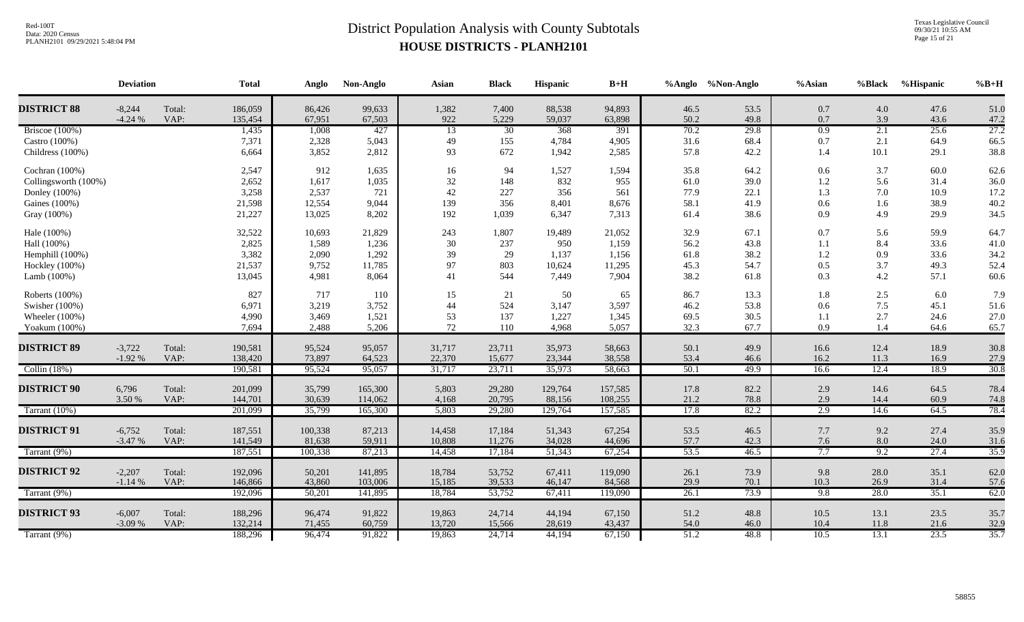Texas Legislative Council 09/30/21 10:55 AM Page 15 of 21

|                      | <b>Deviation</b>     |                | <b>Total</b>       | Anglo            | Non-Anglo        | Asian        | <b>Black</b>   | Hispanic         | $B+H$            |              | %Anglo %Non-Anglo | %Asian     | %Black     | %Hispanic    | $%B+H$       |
|----------------------|----------------------|----------------|--------------------|------------------|------------------|--------------|----------------|------------------|------------------|--------------|-------------------|------------|------------|--------------|--------------|
| <b>DISTRICT 88</b>   | $-8,244$<br>$-4.24%$ | Total:<br>VAP: | 186,059<br>135,454 | 86,426<br>67,951 | 99,633<br>67,503 | 1,382<br>922 | 7,400<br>5,229 | 88,538<br>59,037 | 94,893<br>63,898 | 46.5<br>50.2 | 53.5<br>49.8      | 0.7<br>0.7 | 4.0<br>3.9 | 47.6<br>43.6 | 51.0<br>47.2 |
| Briscoe $(100\%)$    |                      |                | 1,435              | 1,008            | 427              | 13           | 30             | 368              | 391              | 70.2         | 29.8              | 0.9        | 2.1        | 25.6         | 27.2         |
| Castro $(100\%)$     |                      |                | 7,371              | 2,328            | 5,043            | 49           | 155            | 4,784            | 4,905            | 31.6         | 68.4              | 0.7        | 2.1        | 64.9         | 66.5         |
| Childress (100%)     |                      |                | 6,664              | 3,852            | 2,812            | 93           | 672            | 1,942            | 2,585            | 57.8         | 42.2              | 1.4        | 10.1       | 29.1         | 38.8         |
| Cochran (100%)       |                      |                | 2,547              | 912              | 1,635            | 16           | 94             | 1,527            | 1,594            | 35.8         | 64.2              | 0.6        | 3.7        | 60.0         | 62.6         |
| Collingsworth (100%) |                      |                | 2,652              | 1,617            | 1,035            | 32           | 148            | 832              | 955              | 61.0         | 39.0              | 1.2        | 5.6        | 31.4         | 36.0         |
| Donley (100%)        |                      |                | 3,258              | 2,537            | 721              | 42           | 227            | 356              | 561              | 77.9         | 22.1              | 1.3        | 7.0        | 10.9         | 17.2         |
| Gaines (100%)        |                      |                | 21,598             | 12,554           | 9,044            | 139          | 356            | 8,401            | 8,676            | 58.1         | 41.9              | 0.6        | 1.6        | 38.9         | 40.2         |
| Gray (100%)          |                      |                | 21,227             | 13,025           | 8,202            | 192          | 1,039          | 6,347            | 7,313            | 61.4         | 38.6              | 0.9        | 4.9        | 29.9         | 34.5         |
| Hale (100%)          |                      |                | 32,522             | 10,693           | 21,829           | 243          | 1,807          | 19,489           | 21,052           | 32.9         | 67.1              | 0.7        | 5.6        | 59.9         | 64.7         |
| Hall (100%)          |                      |                | 2,825              | 1,589            | 1,236            | 30           | 237            | 950              | 1,159            | 56.2         | 43.8              | 1.1        | 8.4        | 33.6         | 41.0         |
| Hemphill (100%)      |                      |                | 3,382              | 2,090            | 1,292            | 39           | 29             | 1,137            | 1,156            | 61.8         | 38.2              | 1.2        | 0.9        | 33.6         | 34.2         |
| Hockley (100%)       |                      |                | 21,537             | 9,752            | 11,785           | 97           | 803            | 10,624           | 11,295           | 45.3         | 54.7              | 0.5        | 3.7        | 49.3         | 52.4         |
| Lamb (100%)          |                      |                | 13,045             | 4,981            | 8,064            | 41           | 544            | 7,449            | 7,904            | 38.2         | 61.8              | 0.3        | 4.2        | 57.1         | 60.6         |
| Roberts (100%)       |                      |                | 827                | 717              | 110              | 15           | 21             | 50               | 65               | 86.7         | 13.3              | 1.8        | 2.5        | 6.0          | 7.9          |
| Swisher (100%)       |                      |                | 6,971              | 3,219            | 3,752            | 44           | 524            | 3,147            | 3,597            | 46.2         | 53.8              | 0.6        | 7.5        | 45.1         | 51.6         |
| Wheeler $(100\%)$    |                      |                | 4,990              | 3,469            | 1,521            | 53           | 137            | 1,227            | 1,345            | 69.5         | 30.5              | 1.1        | 2.7        | 24.6         | 27.0         |
| Yoakum (100%)        |                      |                | 7,694              | 2,488            | 5,206            | 72           | 110            | 4,968            | 5,057            | 32.3         | 67.7              | 0.9        | 1.4        | 64.6         | 65.7         |
| <b>DISTRICT 89</b>   | $-3,722$             | Total:         | 190,581            | 95,524           | 95,057           | 31,717       | 23,711         | 35,973           | 58,663           | 50.1         | 49.9              | 16.6       | 12.4       | 18.9         | 30.8         |
|                      | $-1.92%$             | VAP:           | 138,420            | 73,897           | 64,523           | 22,370       | 15,677         | 23,344           | 38,558           | 53.4         | 46.6              | 16.2       | 11.3       | 16.9         | 27.9         |
| Collin $(18%)$       |                      |                | 190,581            | 95,524           | 95,057           | 31,717       | 23,711         | 35,973           | 58,663           | 50.1         | 49.9              | 16.6       | 12.4       | 18.9         | 30.8         |
| <b>DISTRICT 90</b>   | 6,796                | Total:         | 201,099            | 35,799           | 165,300          | 5,803        | 29,280         | 129,764          | 157,585          | 17.8         | 82.2              | 2.9        | 14.6       | 64.5         | 78.4         |
|                      | 3.50 %               | VAP:           | 144,701            | 30,639           | 114,062          | 4,168        | 20,795         | 88,156           | 108,255          | 21.2         | 78.8              | 2.9        | 14.4       | 60.9         | 74.8         |
| Tarrant (10%)        |                      |                | 201,099            | 35,799           | 165,300          | 5,803        | 29,280         | 129,764          | 157,585          | 17.8         | 82.2              | 2.9        | 14.6       | 64.5         | 78.4         |
| <b>DISTRICT 91</b>   | $-6,752$             | Total:         | 187,551            | 100,338          | 87,213           | 14,458       | 17,184         | 51,343           | 67,254           | 53.5         | 46.5              | 7.7        | 9.2        | 27.4         | 35.9         |
|                      | $-3.47%$             | VAP:           | 141,549            | 81,638           | 59,911           | 10,808       | 11,276         | 34,028           | 44,696           | 57.7         | 42.3              | 7.6        | 8.0        | 24.0         | 31.6         |
| Tarrant (9%)         |                      |                | 187,551            | 100,338          | 87,213           | 14,458       | 17,184         | 51,343           | 67,254           | 53.5         | 46.5              | 7.7        | 9.2        | 27.4         | 35.9         |
| <b>DISTRICT 92</b>   | $-2,207$             | Total:         | 192,096            | 50,201           | 141,895          | 18,784       | 53,752         | 67,411           | 119,090          | 26.1         | 73.9              | 9.8        | 28.0       | 35.1         | 62.0         |
|                      | $-1.14%$             | VAP:           | 146,866            | 43,860           | 103,006          | 15,185       | 39,533         | 46,147           | 84,568           | 29.9         | 70.1              | 10.3       | 26.9       | 31.4         | 57.6         |
| Tarrant (9%)         |                      |                | 192,096            | 50,201           | 141,895          | 18,784       | 53,752         | 67,411           | 119,090          | 26.1         | 73.9              | 9.8        | 28.0       | 35.1         | 62.0         |
| <b>DISTRICT 93</b>   | $-6,007$             | Total:         | 188,296            | 96,474           | 91,822           | 19,863       | 24,714         | 44,194           | 67,150           | 51.2         | 48.8              | 10.5       | 13.1       | 23.5         | 35.7         |
|                      | $-3.09%$             | VAP:           | 132,214            | 71,455           | 60,759           | 13,720       | 15,566         | 28,619           | 43,437           | 54.0         | 46.0              | 10.4       | 11.8       | 21.6         | 32.9         |
| Tarrant $(9\%)$      |                      |                | 188,296            | 96,474           | 91,822           | 19,863       | 24,714         | 44,194           | 67,150           | 51.2         | 48.8              | 10.5       | 13.1       | 23.5         | 35.7         |
|                      |                      |                |                    |                  |                  |              |                |                  |                  |              |                   |            |            |              |              |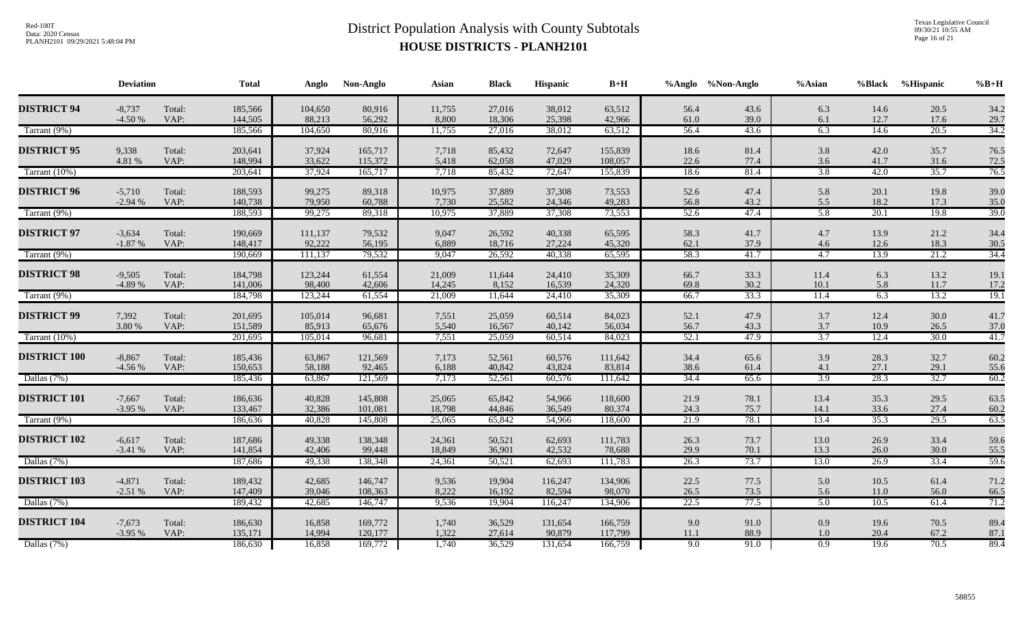Texas Legislative Council 09/30/21 10:55 AM Page 16 of 21

|                     | <b>Deviation</b>     |                | <b>Total</b>       | Anglo             | Non-Anglo          | Asian            | <b>Black</b>     | Hispanic          | $\mathbf{B}+\mathbf{H}$ |              | %Anglo %Non-Anglo | %Asian           | %Black       | %Hispanic      | $%B+H$       |
|---------------------|----------------------|----------------|--------------------|-------------------|--------------------|------------------|------------------|-------------------|-------------------------|--------------|-------------------|------------------|--------------|----------------|--------------|
| <b>DISTRICT 94</b>  | $-8,737$<br>$-4.50%$ | Total:<br>VAP: | 185,566<br>144,505 | 104,650<br>88,213 | 80,916<br>56,292   | 11,755<br>8,800  | 27,016<br>18,306 | 38,012<br>25,398  | 63,512<br>42,966        | 56.4<br>61.0 | 43.6<br>39.0      | 6.3<br>6.1       | 14.6<br>12.7 | 20.5<br>17.6   | 34.2<br>29.7 |
| Tarrant (9%)        |                      |                | 185,566            | 104,650           | 80,916             | 11,755           | 27,016           | 38,012            | 63,512                  | 56.4         | 43.6              | 6.3              | 14.6         | 20.5           | 34.2         |
| <b>DISTRICT 95</b>  | 9,338<br>4.81 %      | Total:<br>VAP: | 203,641<br>148,994 | 37,924<br>33,622  | 165,717<br>115,372 | 7,718<br>5,418   | 85,432<br>62,058 | 72,647<br>47,029  | 155,839<br>108,057      | 18.6<br>22.6 | 81.4<br>77.4      | 3.8<br>3.6       | 42.0<br>41.7 | 35.7<br>31.6   | 76.5<br>72.5 |
| Tarrant (10%)       |                      |                | 203,641            | 37,924            | 165,717            | 7,718            | 85,432           | 72,647            | 155,839                 | 18.6         | 81.4              | 3.8              | 42.0         | 35.7           | 76.5         |
| <b>DISTRICT 96</b>  | $-5,710$<br>$-2.94%$ | Total:<br>VAP: | 188,593<br>140,738 | 99,275<br>79,950  | 89,318<br>60,788   | 10,975<br>7,730  | 37,889<br>25,582 | 37,308<br>24,346  | 73,553<br>49,283        | 52.6<br>56.8 | 47.4<br>43.2      | 5.8<br>5.5       | 20.1<br>18.2 | 19.8<br>17.3   | 39.0<br>35.0 |
| Tarrant (9%)        |                      |                | 188,593            | 99,275            | 89,318             | 10,975           | 37,889           | 37,308            | 73,553                  | 52.6         | 47.4              | 5.8              | 20.1         | 19.8           | 39.0         |
| <b>DISTRICT 97</b>  | $-3,634$<br>$-1.87%$ | Total:<br>VAP: | 190,669<br>148,417 | 111,137<br>92,222 | 79,532<br>56,195   | 9,047<br>6,889   | 26,592<br>18,716 | 40,338<br>27,224  | 65,595<br>45,320        | 58.3<br>62.1 | 41.7<br>37.9      | 4.7<br>4.6       | 13.9<br>12.6 | 21.2<br>18.3   | 34.4<br>30.5 |
| Tarrant (9%)        |                      |                | 190,669            | 111,137           | 79,532             | 9,047            | 26,592           | 40,338            | 65,595                  | 58.3         | 41.7              | $-4.7$           | 13.9         | 21.2           | 34.4         |
| <b>DISTRICT 98</b>  | $-9,505$<br>-4.89 %  | Total:<br>VAP: | 184,798<br>141,006 | 123,244<br>98,400 | 61,554<br>42,606   | 21,009<br>14,245 | 11,644<br>8,152  | 24,410<br>16,539  | 35,309<br>24,320        | 66.7<br>69.8 | 33.3<br>30.2      | 11.4<br>10.1     | 6.3<br>5.8   | 13.2<br>11.7   | 19.1<br>17.2 |
| Tarrant (9%)        |                      |                | 184,798            | 123,244           | 61,554             | 21,009           | 11,644           | 24,410            | 35,309                  | 66.7         | 33.3              | 11.4             | 6.3          | 13.2           | 19.1         |
| <b>DISTRICT 99</b>  | 7,392<br>3.80 %      | Total:<br>VAP: | 201,695<br>151,589 | 105,014<br>85,913 | 96,681<br>65,676   | 7,551<br>5,540   | 25,059<br>16,567 | 60,514<br>40,142  | 84,023<br>56,034        | 52.1<br>56.7 | 47.9<br>43.3      | 3.7<br>$3.7\,$   | 12.4<br>10.9 | 30.0<br>26.5   | 41.7<br>37.0 |
| Tarrant (10%)       |                      |                | 201,695            | 105,014           | 96,681             | 7,551            | 25,059           | 60,514            | 84,023                  | 52.1         | 47.9              | 3.7              | 12.4         | 30.0           | 41.7         |
| <b>DISTRICT 100</b> | $-8,867$<br>$-4.56%$ | Total:<br>VAP: | 185,436<br>150,653 | 63,867<br>58,188  | 121,569<br>92,465  | 7,173<br>6,188   | 52,561<br>40,842 | 60,576<br>43,824  | 111,642<br>83,814       | 34.4<br>38.6 | 65.6<br>61.4      | 3.9<br>4.1       | 28.3<br>27.1 | 32.7<br>29.1   | 60.2<br>55.6 |
| Dallas (7%)         |                      |                | 185,436            | 63,867            | 121,569            | 7,173            | 52,561           | 60,576            | 111,642                 | 34.4         | 65.6              | $\overline{3.9}$ | 28.3         | 32.7           | 60.2         |
| <b>DISTRICT 101</b> | $-7,667$<br>$-3.95%$ | Total:<br>VAP: | 186,636<br>133,467 | 40,828<br>32,386  | 145,808<br>101,081 | 25,065<br>18,798 | 65,842<br>44,846 | 54,966<br>36,549  | 118,600<br>80,374       | 21.9<br>24.3 | 78.1<br>75.7      | 13.4<br>14.1     | 35.3<br>33.6 | 29.5<br>27.4   | 63.5<br>60.2 |
| Tarrant (9%)        |                      |                | 186,636            | 40,828            | 145,808            | 25,065           | 65,842           | 54,966            | 118,600                 | 21.9         | 78.1              | 13.4             | 35.3         | 29.5           | 63.5         |
| <b>DISTRICT 102</b> | $-6,617$<br>$-3.41%$ | Total:<br>VAP: | 187,686<br>141,854 | 49,338<br>42,406  | 138,348<br>99,448  | 24,361<br>18,849 | 50,521<br>36,901 | 62,693<br>42,532  | 111,783<br>78,688       | 26.3<br>29.9 | 73.7<br>70.1      | 13.0<br>13.3     | 26.9<br>26.0 | 33.4<br>$30.0$ | 59.6<br>55.5 |
| Dallas (7%)         |                      |                | 187,686            | 49,338            | 138,348            | 24,361           | 50,521           | 62,693            | 111,783                 | 26.3         | 73.7              | 13.0             | 26.9         | 33.4           | 59.6         |
| <b>DISTRICT 103</b> | $-4,871$<br>$-2.51%$ | Total:<br>VAP: | 189,432<br>147,409 | 42,685<br>39,046  | 146,747<br>108,363 | 9,536<br>8,222   | 19,904<br>16,192 | 116,247<br>82,594 | 134,906<br>98,070       | 22.5<br>26.5 | 77.5<br>73.5      | 5.0<br>5.6       | 10.5<br>11.0 | 61.4<br>56.0   | 71.2<br>66.5 |
| Dallas (7%)         |                      |                | 189,432            | 42,685            | 146,747            | 9,536            | 19,904           | 116,247           | 134,906                 | 22.5         | 77.5              | 5.0              | 10.5         | 61.4           | 71.2         |
| <b>DISTRICT 104</b> | $-7,673$<br>$-3.95%$ | Total:<br>VAP: | 186,630<br>135,171 | 16,858<br>14,994  | 169,772<br>120,177 | 1,740<br>1,322   | 36,529<br>27,614 | 131,654<br>90,879 | 166,759<br>117,799      | 9.0<br>11.1  | 91.0<br>88.9      | 0.9<br>$1.0\,$   | 19.6<br>20.4 | 70.5<br>67.2   | 89.4<br>87.1 |
| Dallas (7%)         |                      |                | 186,630            | 16,858            | 169,772            | 1,740            | 36,529           | 131,654           | 166,759                 | 9.0          | 91.0              | $\overline{0.9}$ | 19.6         | 70.5           | 89.4         |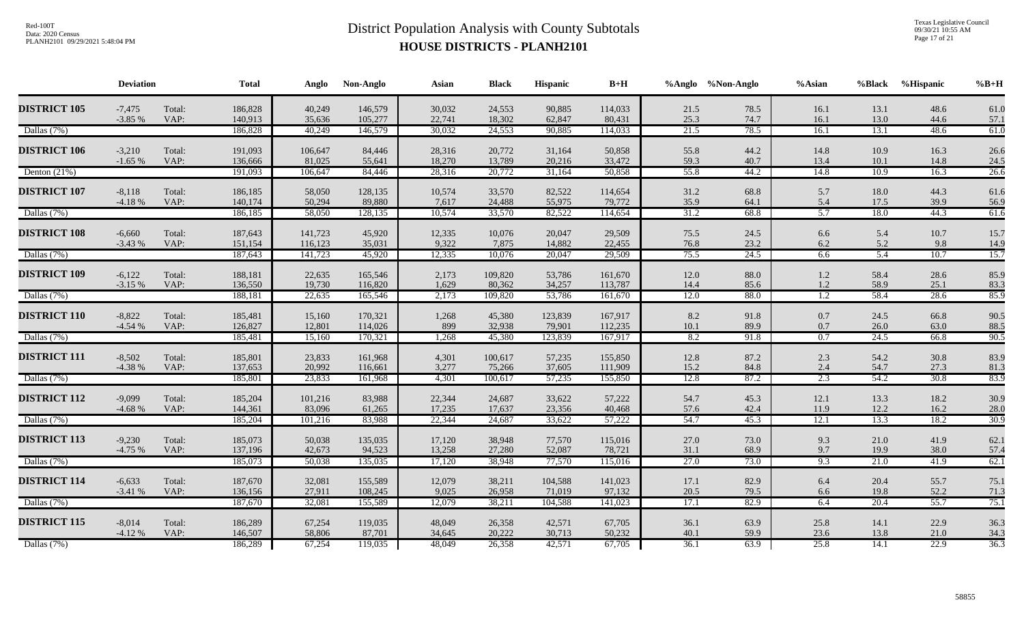Texas Legislative Council 09/30/21 10:55 AM Page 17 of 21

|                     | <b>Deviation</b>     |                | <b>Total</b>       | Anglo              | Non-Anglo          | Asian            | <b>Black</b>      | Hispanic          | $B+H$              |              | %Anglo %Non-Anglo | %Asian           | %Black       | <b>%Hispanic</b> | $%B+H$       |
|---------------------|----------------------|----------------|--------------------|--------------------|--------------------|------------------|-------------------|-------------------|--------------------|--------------|-------------------|------------------|--------------|------------------|--------------|
| <b>DISTRICT 105</b> | $-7,475$<br>$-3.85%$ | Total:<br>VAP: | 186,828<br>140,913 | 40,249<br>35,636   | 146,579<br>105,277 | 30,032<br>22,741 | 24,553<br>18,302  | 90,885<br>62,847  | 114,033<br>80,431  | 21.5<br>25.3 | 78.5<br>74.7      | 16.1<br>16.1     | 13.1<br>13.0 | 48.6<br>44.6     | 61.0<br>57.1 |
| Dallas (7%)         |                      |                | 186,828            | 40,249             | 146,579            | 30,032           | 24,553            | 90,885            | 114,033            | 21.5         | 78.5              | 16.1             | 13.1         | 48.6             | 61.0         |
| <b>DISTRICT 106</b> | $-3,210$<br>$-1.65%$ | Total:<br>VAP: | 191,093<br>136,666 | 106,647<br>81,025  | 84,446<br>55,641   | 28,316<br>18,270 | 20,772<br>13,789  | 31,164<br>20,216  | 50,858<br>33,472   | 55.8<br>59.3 | 44.2<br>40.7      | 14.8<br>13.4     | 10.9<br>10.1 | 16.3<br>14.8     | 26.6<br>24.5 |
| Denton $(21%)$      |                      |                | 191,093            | 106,647            | 84,446             | 28,316           | 20,772            | 31,164            | 50,858             | 55.8         | 44.2              | 14.8             | 10.9         | 16.3             | 26.6         |
| <b>DISTRICT 107</b> | $-8,118$<br>$-4.18%$ | Total:<br>VAP: | 186,185<br>140,174 | 58,050<br>50,294   | 128,135<br>89,880  | 10,574<br>7,617  | 33,570<br>24,488  | 82,522<br>55,975  | 114,654<br>79,772  | 31.2<br>35.9 | 68.8<br>64.1      | 5.7<br>5.4       | 18.0<br>17.5 | 44.3<br>39.9     | 61.6<br>56.9 |
| Dallas (7%)         |                      |                | 186,185            | 58,050             | 128,135            | 10,574           | 33,570            | 82,522            | 114,654            | 31.2         | 68.8              | 5.7              | 18.0         | 44.3             | 61.6         |
| <b>DISTRICT 108</b> | $-6,660$<br>$-3.43%$ | Total:<br>VAP: | 187,643<br>151,154 | 141,723<br>116,123 | 45,920<br>35,031   | 12,335<br>9,322  | 10,076<br>7,875   | 20,047<br>14,882  | 29,509<br>22,455   | 75.5<br>76.8 | 24.5<br>23.2      | 6.6<br>6.2       | 5.4<br>5.2   | 10.7<br>9.8      | 15.7<br>14.9 |
| Dallas (7%)         |                      |                | 187,643            | 141,723            | 45,920             | 12,335           | 10,076            | 20,047            | 29,509             | 75.5         | 24.5              | 6.6              | 5.4          | 10.7             | 15.7         |
| <b>DISTRICT 109</b> | $-6,122$<br>$-3.15%$ | Total:<br>VAP: | 188,181<br>136,550 | 22,635<br>19,730   | 165,546<br>116,820 | 2,173<br>1,629   | 109,820<br>80,362 | 53,786<br>34,257  | 161,670<br>113,787 | 12.0<br>14.4 | 88.0<br>85.6      | 1.2<br>1.2       | 58.4<br>58.9 | 28.6<br>25.1     | 85.9<br>83.3 |
| Dallas (7%)         |                      |                | 188,181            | 22,635             | 165,546            | 2,173            | 109,820           | 53,786            | 161,670            | 12.0         | 88.0              | $\overline{1.2}$ | 58.4         | 28.6             | 85.9         |
| <b>DISTRICT 110</b> | $-8,822$<br>$-4.54%$ | Total:<br>VAP: | 185,481<br>126,827 | 15,160<br>12,801   | 170,321<br>114,026 | 1,268<br>899     | 45,380<br>32,938  | 123,839<br>79,901 | 167,917<br>112,235 | 8.2<br>10.1  | 91.8<br>89.9      | 0.7<br>$0.7\,$   | 24.5<br>26.0 | 66.8<br>63.0     | 90.5<br>88.5 |
| Dallas (7%)         |                      |                | 185,481            | 15,160             | 170,321            | 1,268            | 45,380            | 123,839           | 167,917            | 8.2          | 91.8              | 0.7              | 24.5         | 66.8             | 90.5         |
| <b>DISTRICT 111</b> | $-8,502$<br>$-4.38%$ | Total:<br>VAP: | 185,801<br>137,653 | 23,833<br>20,992   | 161,968<br>116,661 | 4,301<br>3,277   | 100,617<br>75,266 | 57,235<br>37,605  | 155,850<br>111,909 | 12.8<br>15.2 | 87.2<br>84.8      | 2.3<br>2.4       | 54.2<br>54.7 | 30.8<br>27.3     | 83.9<br>81.3 |
| Dallas (7%)         |                      |                | 185,801            | 23,833             | 161,968            | 4,301            | 100,617           | 57,235            | 155,850            | 12.8         | 87.2              | 2.3              | 54.2         | 30.8             | 83.9         |
| <b>DISTRICT 112</b> | $-9,099$<br>$-4.68%$ | Total:<br>VAP: | 185,204<br>144,361 | 101,216<br>83,096  | 83,988<br>61,265   | 22,344<br>17,235 | 24,687<br>17,637  | 33,622<br>23,356  | 57,222<br>40,468   | 54.7<br>57.6 | 45.3<br>42.4      | 12.1<br>11.9     | 13.3<br>12.2 | 18.2<br>16.2     | 30.9<br>28.0 |
| Dallas (7%)         |                      |                | 185,204            | 101,216            | 83,988             | 22,344           | 24,687            | 33,622            | 57,222             | 54.7         | 45.3              | 12.1             | 13.3         | 18.2             | 30.9         |
| <b>DISTRICT 113</b> | $-9,230$<br>$-4.75%$ | Total:<br>VAP: | 185,073<br>137,196 | 50,038<br>42,673   | 135,035<br>94,523  | 17,120<br>13,258 | 38,948<br>27,280  | 77,570<br>52,087  | 115,016<br>78,721  | 27.0<br>31.1 | 73.0<br>68.9      | 9.3<br>9.7       | 21.0<br>19.9 | 41.9<br>38.0     | 62.1<br>57.4 |
| Dallas (7%)         |                      |                | 185,073            | 50,038             | 135,035            | 17,120           | 38,948            | 77,570            | 115,016            | 27.0         | 73.0              | 9.3              | 21.0         | 41.9             | 62.1         |
| <b>DISTRICT 114</b> | $-6,633$<br>$-3.41%$ | Total:<br>VAP: | 187,670<br>136,156 | 32,081<br>27,911   | 155,589<br>108,245 | 12,079<br>9,025  | 38,211<br>26,958  | 104,588<br>71,019 | 141,023<br>97,132  | 17.1<br>20.5 | 82.9<br>79.5      | 6.4<br>6.6       | 20.4<br>19.8 | 55.7<br>52.2     | 75.1<br>71.3 |
| Dallas (7%)         |                      |                | 187,670            | 32,081             | 155,589            | 12,079           | 38,211            | 104,588           | 141,023            | 17.1         | 82.9              | 6.4              | 20.4         | 55.7             | 75.1         |
| <b>DISTRICT 115</b> | $-8,014$<br>$-4.12%$ | Total:<br>VAP: | 186,289<br>146,507 | 67,254<br>58,806   | 119,035<br>87,701  | 48,049<br>34,645 | 26,358<br>20,222  | 42,571<br>30,713  | 67,705<br>50,232   | 36.1<br>40.1 | 63.9<br>59.9      | 25.8<br>23.6     | 14.1<br>13.8 | 22.9<br>21.0     | 36.3<br>34.3 |
| Dallas (7%)         |                      |                | 186,289            | 67,254             | 119,035            | 48,049           | 26,358            | 42,571            | 67,705             | 36.1         | 63.9              | 25.8             | 14.1         | 22.9             | 36.3         |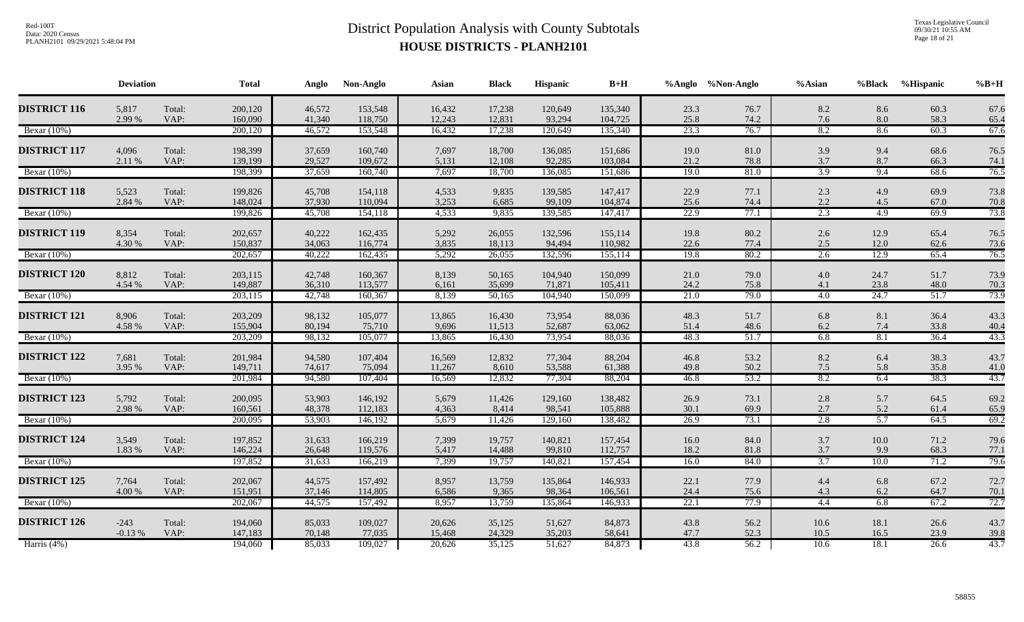Texas Legislative Council 09/30/21 10:55 AM Page 18 of 21

|                     | <b>Deviation</b>   |                | <b>Total</b>       | Anglo            | Non-Anglo          | Asian            | <b>Black</b>     | Hispanic          | $B+H$              |              | %Anglo %Non-Anglo | %Asian           | %Black          | %Hispanic    | $%B+H$       |
|---------------------|--------------------|----------------|--------------------|------------------|--------------------|------------------|------------------|-------------------|--------------------|--------------|-------------------|------------------|-----------------|--------------|--------------|
| <b>DISTRICT 116</b> | 5,817<br>2.99 %    | Total:<br>VAP: | 200,120<br>160,090 | 46,572<br>41,340 | 153,548<br>118,750 | 16,432<br>12,243 | 17,238<br>12,831 | 120,649<br>93,294 | 135,340<br>104,725 | 23.3<br>25.8 | 76.7<br>74.2      | 8.2<br>7.6       | 8.6<br>8.0      | 60.3<br>58.3 | 67.6<br>65.4 |
| Bexar $(10\%)$      |                    |                | 200,120            | 46,572           | 153,548            | 16,432           | 17,238           | 120,649           | 135,340            | 23.3         | 76.7              | 8.2              | 8.6             | 60.3         | 67.6         |
| <b>DISTRICT 117</b> | 4,096<br>2.11 %    | Total:<br>VAP: | 198,399<br>139,199 | 37,659<br>29,527 | 160,740<br>109,672 | 7,697<br>5,131   | 18,700<br>12,108 | 136,085<br>92,285 | 151,686<br>103,084 | 19.0<br>21.2 | 81.0<br>78.8      | 3.9<br>3.7       | 9.4<br>8.7      | 68.6<br>66.3 | 76.5<br>74.1 |
| Bexar $(10\%)$      |                    |                | 198,399            | 37,659           | 160,740            | 7,697            | 18,700           | 136,085           | 151,686            | 19.0         | 81.0              | 3.9              | 9.4             | 68.6         | 76.5         |
| <b>DISTRICT 118</b> | 5,523<br>2.84 %    | Total:<br>VAP: | 199,826<br>148,024 | 45,708<br>37,930 | 154,118<br>110,094 | 4,533<br>3,253   | 9,835<br>6,685   | 139,585<br>99,109 | 147,417<br>104,874 | 22.9<br>25.6 | 77.1<br>74.4      | 2.3<br>2.2       | 4.9<br>4.5      | 69.9<br>67.0 | 73.8<br>70.8 |
| Bexar $(10\%)$      |                    |                | 199,826            | 45,708           | 154,118            | 4,533            | 9,835            | 139,585           | 147,417            | 22.9         | 77.1              | 2.3              | 4.9             | 69.9         | 73.8         |
| <b>DISTRICT 119</b> | 8,354<br>4.30 %    | Total:<br>VAP: | 202,657<br>150,837 | 40,222<br>34,063 | 162,435<br>116,774 | 5,292<br>3,835   | 26,055<br>18,113 | 132,596<br>94,494 | 155,114<br>110,982 | 19.8<br>22.6 | 80.2<br>77.4      | 2.6<br>2.5       | 12.9<br>12.0    | 65.4<br>62.6 | 76.5<br>73.6 |
| Bexar $(10\%)$      |                    |                | 202,657            | 40,222           | 162,435            | 5,292            | 26,055           | 132,596           | 155,114            | 19.8         | 80.2              | 2.6              | 12.9            | 65.4         | 76.5         |
| <b>DISTRICT 120</b> | 8,812<br>4.54 %    | Total:<br>VAP: | 203,115<br>149,887 | 42,748<br>36,310 | 160,367<br>113,577 | 8,139<br>6,161   | 50,165<br>35,699 | 104,940<br>71,871 | 150,099<br>105,411 | 21.0<br>24.2 | 79.0<br>75.8      | 4.0<br>4.1       | 24.7<br>23.8    | 51.7<br>48.0 | 73.9<br>70.3 |
| Bexar (10%)         |                    |                | 203,115            | 42,748           | 160,367            | 8,139            | 50,165           | 104,940           | 150,099            | 21.0         | 79.0              | $\overline{4.0}$ | 24.7            | 51.7         | 73.9         |
| <b>DISTRICT 121</b> | 8,906<br>4.58 %    | Total:<br>VAP: | 203,209<br>155,904 | 98,132<br>80,194 | 105,077<br>75,710  | 13,865<br>9,696  | 16,430<br>11,513 | 73,954<br>52,687  | 88,036<br>63,062   | 48.3<br>51.4 | 51.7<br>48.6      | 6.8<br>6.2       | 8.1<br>7.4      | 36.4<br>33.8 | 43.3<br>40.4 |
| Bexar $(10\%)$      |                    |                | 203,209            | 98,132           | 105,077            | 13,865           | 16,430           | 73,954            | 88,036             | 48.3         | 51.7              | 6.8              | 8.1             | 36.4         | 43.3         |
| <b>DISTRICT 122</b> | 7,681<br>3.95 %    | Total:<br>VAP: | 201,984<br>149,711 | 94,580<br>74,617 | 107,404<br>75,094  | 16,569<br>11,267 | 12,832<br>8,610  | 77,304<br>53,588  | 88,204<br>61,388   | 46.8<br>49.8 | 53.2<br>50.2      | 8.2<br>$7.5$     | 6.4<br>5.8      | 38.3<br>35.8 | 43.7<br>41.0 |
| Bexar (10%)         |                    |                | 201,984            | 94,580           | 107,404            | 16,569           | 12,832           | 77,304            | 88,204             | 46.8         | 53.2              | 8.2              | 6.4             | 38.3         | 43.7         |
| <b>DISTRICT 123</b> | 5,792<br>2.98 %    | Total:<br>VAP: | 200,095<br>160,561 | 53,903<br>48,378 | 146,192<br>112,183 | 5,679<br>4,363   | 11,426<br>8,414  | 129,160<br>98,541 | 138,482<br>105,888 | 26.9<br>30.1 | 73.1<br>69.9      | $2.8\,$<br>2.7   | 5.7<br>5.2      | 64.5<br>61.4 | 69.2<br>65.9 |
| Bexar $(10\%)$      |                    |                | 200,095            | 53,903           | 146,192            | 5,679            | 11,426           | 129,160           | 138,482            | 26.9         | 73.1              | 2.8              | 5.7             | 64.5         | 69.2         |
| <b>DISTRICT 124</b> | 3,549<br>1.83 %    | Total:<br>VAP: | 197,852<br>146,224 | 31,633<br>26,648 | 166,219<br>119,576 | 7,399<br>5,417   | 19,757<br>14,488 | 140,821<br>99,810 | 157,454<br>112,757 | 16.0<br>18.2 | 84.0<br>81.8      | 3.7<br>3.7       | $10.0\,$<br>9.9 | 71.2<br>68.3 | 79.6<br>77.1 |
| Bexar $(10\%)$      |                    |                | 197,852            | 31,633           | 166,219            | 7,399            | 19,757           | 140,821           | 157,454            | 16.0         | 84.0              | $\overline{3.7}$ | 10.0            | 71.2         | 79.6         |
| <b>DISTRICT 125</b> | 7,764<br>4.00 %    | Total:<br>VAP: | 202,067<br>151,951 | 44,575<br>37,146 | 157,492<br>114,805 | 8,957<br>6,586   | 13,759<br>9,365  | 135,864<br>98,364 | 146,933<br>106,561 | 22.1<br>24.4 | 77.9<br>75.6      | 4.4<br>4.3       | 6.8<br>6.2      | 67.2<br>64.7 | 72.7<br>70.1 |
| Bexar (10%)         |                    |                | 202,067            | 44,575           | 157,492            | 8,957            | 13,759           | 135,864           | 146,933            | 22.1         | 77.9              | 4.4              | 6.8             | 67.2         | 72.7         |
| <b>DISTRICT 126</b> | $-243$<br>$-0.13%$ | Total:<br>VAP: | 194,060<br>147,183 | 85,033<br>70,148 | 109,027<br>77,035  | 20,626<br>15,468 | 35,125<br>24,329 | 51,627<br>35,203  | 84,873<br>58,641   | 43.8<br>47.7 | 56.2<br>52.3      | 10.6<br>10.5     | 18.1<br>16.5    | 26.6<br>23.9 | 43.7<br>39.8 |
| Harris $(4%)$       |                    |                | 194,060            | 85,033           | 109,027            | 20,626           | 35,125           | 51,627            | 84,873             | 43.8         | 56.2              | 10.6             | 18.1            | 26.6         | 43.7         |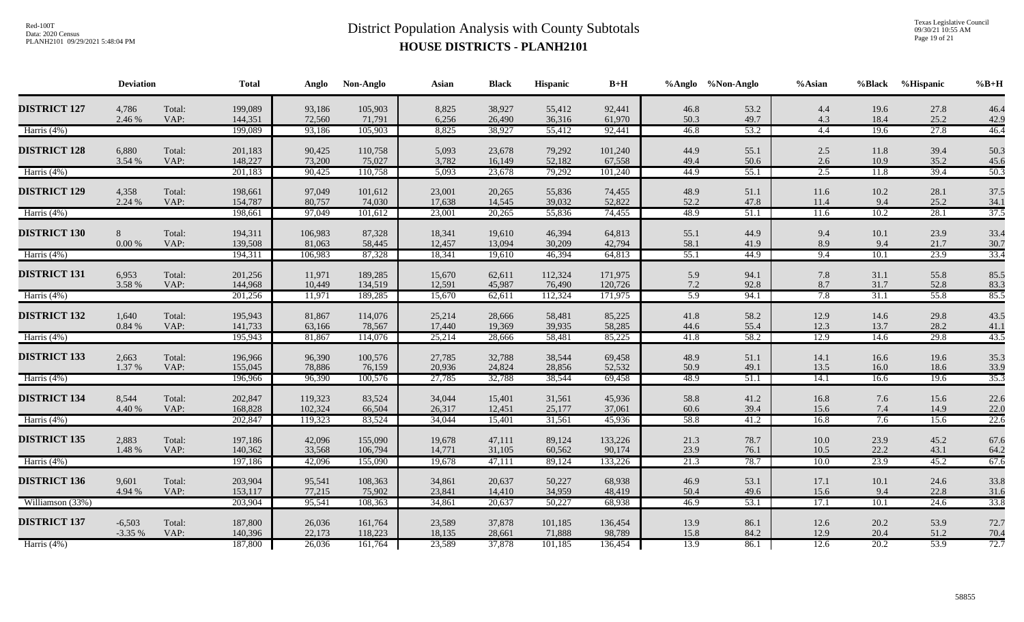Texas Legislative Council 09/30/21 10:55 AM Page 19 of 21

|                     | <b>Deviation</b>     |                | <b>Total</b>       | Anglo              | Non-Anglo          | Asian            | <b>Black</b>     | <b>Hispanic</b>   | $B+H$              |              | %Anglo %Non-Anglo | %Asian       | %Black       | <b>%Hispanic</b> | $\%B+H$      |
|---------------------|----------------------|----------------|--------------------|--------------------|--------------------|------------------|------------------|-------------------|--------------------|--------------|-------------------|--------------|--------------|------------------|--------------|
| <b>DISTRICT 127</b> | 4,786<br>2.46 %      | Total:<br>VAP: | 199,089<br>144,351 | 93,186<br>72,560   | 105,903<br>71,791  | 8,825<br>6,256   | 38,927<br>26,490 | 55,412<br>36,316  | 92,441<br>61,970   | 46.8<br>50.3 | 53.2<br>49.7      | 4.4<br>4.3   | 19.6<br>18.4 | 27.8<br>25.2     | 46.4<br>42.9 |
| Harris (4%)         |                      |                | 199,089            | 93,186             | 105,903            | 8,825            | 38,927           | 55,412            | 92,441             | 46.8         | 53.2              | 4.4          | 19.6         | 27.8             | 46.4         |
| <b>DISTRICT 128</b> | 6,880<br>3.54 %      | Total:<br>VAP: | 201,183<br>148,227 | 90,425<br>73,200   | 110,758<br>75,027  | 5,093<br>3,782   | 23,678<br>16,149 | 79,292<br>52,182  | 101,240<br>67,558  | 44.9<br>49.4 | 55.1<br>50.6      | 2.5<br>2.6   | 11.8<br>10.9 | 39.4<br>35.2     | 50.3<br>45.6 |
| Harris (4%)         |                      |                | 201,183            | 90,425             | 110,758            | 5,093            | 23,678           | 79,292            | 101,240            | 44.9         | 55.1              | 2.5          | 11.8         | 39.4             | 50.3         |
| <b>DISTRICT 129</b> | 4,358<br>2.24 %      | Total:<br>VAP: | 198,661<br>154,787 | 97,049<br>80,757   | 101,612<br>74,030  | 23,001<br>17,638 | 20,265<br>14,545 | 55,836<br>39,032  | 74,455<br>52,822   | 48.9<br>52.2 | 51.1<br>47.8      | 11.6<br>11.4 | 10.2<br>9.4  | 28.1<br>25.2     | 37.5<br>34.1 |
| Harris (4%)         |                      |                | 198,661            | 97,049             | 101,612            | 23,001           | 20,265           | 55,836            | 74,455             | 48.9         | 51.1              | 11.6         | 10.2         | 28.1             | 37.5         |
| <b>DISTRICT 130</b> | 8<br>0.00 %          | Total:<br>VAP: | 194,311<br>139,508 | 106,983<br>81,063  | 87,328<br>58,445   | 18,341<br>12,457 | 19,610<br>13,094 | 46,394<br>30,209  | 64,813<br>42,794   | 55.1<br>58.1 | 44.9<br>41.9      | 9.4<br>8.9   | 10.1<br>9.4  | 23.9<br>21.7     | 33.4<br>30.7 |
| Harris (4%)         |                      |                | 194,311            | 106,983            | 87,328             | 18,341           | 19,610           | 46,394            | 64,813             | 55.1         | 44.9              | 9.4          | 10.1         | 23.9             | 33.4         |
| <b>DISTRICT 131</b> | 6,953<br>3.58 %      | Total:<br>VAP: | 201,256<br>144,968 | 11,971<br>10,449   | 189,285<br>134,519 | 15,670<br>12,591 | 62,611<br>45,987 | 112,324<br>76,490 | 171,975<br>120,726 | 5.9<br>7.2   | 94.1<br>92.8      | 7.8<br>8.7   | 31.1<br>31.7 | 55.8<br>52.8     | 85.5<br>83.3 |
| Harris $(4%)$       |                      |                | 201,256            | 11,971             | 189,285            | 15,670           | 62,611           | 112,324           | 171,975            | 5.9          | 94.1              | 7.8          | 31.1         | 55.8             | 85.5         |
| <b>DISTRICT 132</b> | 1,640<br>$0.84~\%$   | Total:<br>VAP: | 195,943<br>141,733 | 81,867<br>63,166   | 114,076<br>78,567  | 25,214<br>17,440 | 28,666<br>19,369 | 58,481<br>39,935  | 85,225<br>58,285   | 41.8<br>44.6 | 58.2<br>55.4      | 12.9<br>12.3 | 14.6<br>13.7 | 29.8<br>28.2     | 43.5<br>41.1 |
| Harris (4%)         |                      |                | 195,943            | 81,867             | 114,076            | 25,214           | 28,666           | 58,481            | 85,225             | 41.8         | 58.2              | 12.9         | 14.6         | 29.8             | 43.5         |
| <b>DISTRICT 133</b> | 2,663<br>1.37 %      | Total:<br>VAP: | 196,966<br>155,045 | 96,390<br>78,886   | 100,576<br>76,159  | 27,785<br>20,936 | 32,788<br>24,824 | 38,544<br>28,856  | 69,458<br>52,532   | 48.9<br>50.9 | 51.1<br>49.1      | 14.1<br>13.5 | 16.6<br>16.0 | 19.6<br>18.6     | 35.3<br>33.9 |
| Harris (4%)         |                      |                | 196,966            | 96,390             | 100,576            | 27,785           | 32,788           | 38,544            | 69,458             | 48.9         | 51.1              | 14.1         | 16.6         | 19.6             | 35.3         |
| <b>DISTRICT 134</b> | 8,544<br>4.40 %      | Total:<br>VAP: | 202,847<br>168,828 | 119,323<br>102,324 | 83,524<br>66,504   | 34,044<br>26,317 | 15,401<br>12,451 | 31,561<br>25,177  | 45,936<br>37,061   | 58.8<br>60.6 | 41.2<br>39.4      | 16.8<br>15.6 | 7.6<br>7.4   | 15.6<br>14.9     | 22.6<br>22.0 |
| Harris $(4%)$       |                      |                | 202,847            | 119,323            | 83,524             | 34,044           | 15,401           | 31,561            | 45,936             | 58.8         | 41.2              | 16.8         | 7.6          | 15.6             | 22.6         |
| <b>DISTRICT 135</b> | 2,883<br>1.48 %      | Total:<br>VAP: | 197,186<br>140,362 | 42,096<br>33,568   | 155,090<br>106,794 | 19,678<br>14,771 | 47,111<br>31,105 | 89,124<br>60,562  | 133,226<br>90,174  | 21.3<br>23.9 | 78.7<br>76.1      | 10.0<br>10.5 | 23.9<br>22.2 | 45.2<br>43.1     | 67.6<br>64.2 |
| Harris (4%)         |                      |                | 197,186            | 42,096             | 155,090            | 19,678           | 47,111           | 89,124            | 133,226            | 21.3         | 78.7              | 10.0         | 23.9         | 45.2             | 67.6         |
| <b>DISTRICT 136</b> | 9,601<br>4.94 %      | Total:<br>VAP: | 203,904<br>153,117 | 95,541<br>77,215   | 108,363<br>75,902  | 34,861<br>23,841 | 20,637<br>14,410 | 50,227<br>34,959  | 68,938<br>48,419   | 46.9<br>50.4 | 53.1<br>49.6      | 17.1<br>15.6 | 10.1<br>9.4  | 24.6<br>22.8     | 33.8<br>31.6 |
| Williamson (33%)    |                      |                | 203,904            | 95,541             | 108,363            | 34,861           | 20,637           | 50,227            | 68,938             | 46.9         | 53.1              | 17.1         | 10.1         | 24.6             | 33.8         |
| <b>DISTRICT 137</b> | $-6,503$<br>$-3.35%$ | Total:<br>VAP: | 187,800<br>140,396 | 26,036<br>22,173   | 161,764<br>118,223 | 23,589<br>18,135 | 37,878<br>28,661 | 101,185<br>71,888 | 136,454<br>98,789  | 13.9<br>15.8 | 86.1<br>84.2      | 12.6<br>12.9 | 20.2<br>20.4 | 53.9<br>51.2     | 72.7<br>70.4 |
| Harris $(4%)$       |                      |                | 187,800            | 26,036             | 161,764            | 23,589           | 37,878           | 101,185           | 136,454            | 13.9         | 86.1              | 12.6         | 20.2         | 53.9             | 72.7         |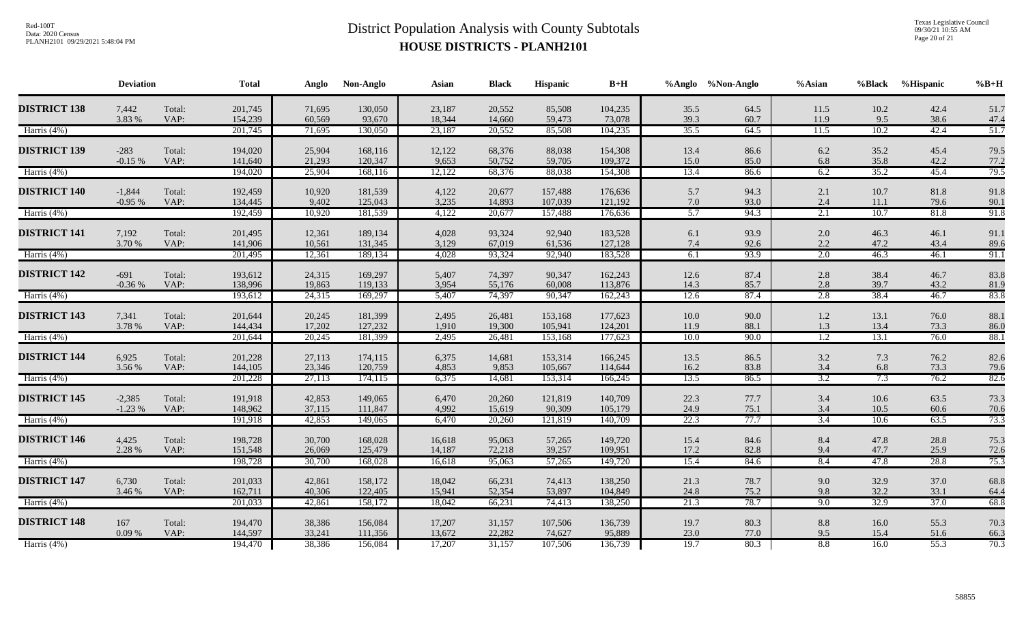Texas Legislative Council 09/30/21 10:55 AM Page 20 of 21

|                     | <b>Deviation</b>     |                | <b>Total</b>       | Anglo            | Non-Anglo          | Asian            | <b>Black</b>     | Hispanic           | $B+H$              |                | %Anglo %Non-Anglo | %Asian             | %Black       | %Hispanic    | $%B+H$       |
|---------------------|----------------------|----------------|--------------------|------------------|--------------------|------------------|------------------|--------------------|--------------------|----------------|-------------------|--------------------|--------------|--------------|--------------|
| <b>DISTRICT 138</b> | 7,442<br>3.83 %      | Total:<br>VAP: | 201,745<br>154,239 | 71,695<br>60,569 | 130,050<br>93,670  | 23,187<br>18,344 | 20,552<br>14,660 | 85,508<br>59,473   | 104,235<br>73,078  | 35.5<br>39.3   | 64.5<br>60.7      | 11.5<br>11.9       | 10.2<br>9.5  | 42.4<br>38.6 | 51.7<br>47.4 |
| Harris (4%)         |                      |                | 201,745            | 71,695           | 130,050            | 23,187           | 20,552           | 85,508             | 104,235            | 35.5           | 64.5              | 11.5               | 10.2         | 42.4         | 51.7         |
| <b>DISTRICT 139</b> | $-283$<br>$-0.15%$   | Total:<br>VAP: | 194,020<br>141,640 | 25,904<br>21,293 | 168,116<br>120,347 | 12,122<br>9,653  | 68,376<br>50,752 | 88,038<br>59,705   | 154,308<br>109,372 | 13.4<br>15.0   | 86.6<br>85.0      | 6.2<br>6.8         | 35.2<br>35.8 | 45.4<br>42.2 | 79.5<br>77.2 |
| Harris $(4%)$       |                      |                | 194,020            | 25,904           | 168,116            | 12,122           | 68,376           | 88,038             | 154,308            | 13.4           | 86.6              | 6.2                | 35.2         | 45.4         | 79.5         |
| <b>DISTRICT 140</b> | $-1,844$<br>$-0.95%$ | Total:<br>VAP: | 192,459<br>134,445 | 10,920<br>9,402  | 181,539<br>125,043 | 4,122<br>3,235   | 20,677<br>14,893 | 157,488<br>107,039 | 176,636<br>121,192 | 5.7<br>7.0     | 94.3<br>93.0      | 2.1<br>2.4         | 10.7<br>11.1 | 81.8<br>79.6 | 91.8<br>90.1 |
| Harris (4%)         |                      |                | 192,459            | 10,920           | 181,539            | 4,122            | 20,677           | 157,488            | 176,636            | 5.7            | 94.3              | 2.1                | 10.7         | 81.8         | 91.8         |
| <b>DISTRICT 141</b> | 7,192<br>3.70 %      | Total:<br>VAP: | 201,495<br>141,906 | 12,361<br>10,561 | 189,134<br>131,345 | 4,028<br>3,129   | 93,324<br>67,019 | 92,940<br>61,536   | 183,528<br>127,128 | 6.1<br>7.4     | 93.9<br>92.6      | 2.0<br>2.2         | 46.3<br>47.2 | 46.1<br>43.4 | 91.1<br>89.6 |
| Harris (4%)         |                      |                | 201,495            | 12,361           | 189,134            | 4,028            | 93,324           | 92,940             | 183,528            | 6.1            | 93.9              | 2.0                | 46.3         | 46.1         | 91.1         |
| <b>DISTRICT 142</b> | $-691$<br>$-0.36%$   | Total:<br>VAP: | 193,612<br>138,996 | 24,315<br>19,863 | 169,297<br>119,133 | 5,407<br>3,954   | 74,397<br>55,176 | 90,347<br>60,008   | 162,243<br>113,876 | 12.6<br>14.3   | 87.4<br>85.7      | 2.8<br>2.8         | 38.4<br>39.7 | 46.7<br>43.2 | 83.8<br>81.9 |
| Harris (4%)         |                      |                | 193,612            | 24,315           | 169,297            | 5,407            | 74,397           | 90,347             | 162,243            | 12.6           | 87.4              | 2.8                | 38.4         | 46.7         | 83.8         |
| <b>DISTRICT 143</b> | 7,341<br>3.78 %      | Total:<br>VAP: | 201,644<br>144,434 | 20,245<br>17,202 | 181,399<br>127,232 | 2,495<br>1,910   | 26,481<br>19,300 | 153,168<br>105,941 | 177,623<br>124,201 | $10.0$<br>11.9 | 90.0<br>88.1      | $1.2\,$<br>$1.3\,$ | 13.1<br>13.4 | 76.0<br>73.3 | 88.1<br>86.0 |
| Harris (4%)         |                      |                | 201,644            | 20,245           | 181,399            | 2,495            | 26,481           | 153,168            | 177,623            | 10.0           | 90.0              | 1.2                | 13.1         | 76.0         | 88.1         |
| <b>DISTRICT 144</b> | 6,925<br>3.56 %      | Total:<br>VAP: | 201,228<br>144,105 | 27,113<br>23,346 | 174,115<br>120,759 | 6,375<br>4,853   | 14,681<br>9,853  | 153,314<br>105,667 | 166,245<br>114,644 | 13.5<br>16.2   | 86.5<br>83.8      | 3.2<br>3.4         | 7.3<br>6.8   | 76.2<br>73.3 | 82.6<br>79.6 |
| Harris (4%)         |                      |                | 201,228            | 27,113           | 174,115            | 6,375            | 14,681           | 153,314            | 166,245            | 13.5           | 86.5              | 3.2                | 7.3          | 76.2         | 82.6         |
| <b>DISTRICT 145</b> | $-2,385$<br>$-1.23%$ | Total:<br>VAP: | 191,918<br>148,962 | 42,853<br>37,115 | 149,065<br>111,847 | 6,470<br>4,992   | 20,260<br>15,619 | 121,819<br>90,309  | 140,709<br>105,179 | 22.3<br>24.9   | 77.7<br>75.1      | 3.4<br>3.4         | 10.6<br>10.5 | 63.5<br>60.6 | 73.3<br>70.6 |
| Harris (4%)         |                      |                | 191,918            | 42,853           | 149,065            | 6,470            | 20,260           | 121,819            | 140,709            | 22.3           | 77.7              | 3.4                | 10.6         | 63.5         | 73.3         |
| <b>DISTRICT 146</b> | 4,425<br>2.28 %      | Total:<br>VAP: | 198,728<br>151,548 | 30,700<br>26,069 | 168,028<br>125,479 | 16,618<br>14,187 | 95,063<br>72,218 | 57,265<br>39,257   | 149,720<br>109,951 | 15.4<br>17.2   | 84.6<br>82.8      | 8.4<br>9.4         | 47.8<br>47.7 | 28.8<br>25.9 | 75.3<br>72.6 |
| Harris (4%)         |                      |                | 198,728            | 30,700           | 168,028            | 16,618           | 95,063           | 57,265             | 149,720            | 15.4           | 84.6              | 8.4                | 47.8         | 28.8         | 75.3         |
| <b>DISTRICT 147</b> | 6,730<br>3.46 %      | Total:<br>VAP: | 201,033<br>162,711 | 42,861<br>40,306 | 158,172<br>122,405 | 18,042<br>15,941 | 66,231<br>52,354 | 74,413<br>53,897   | 138,250<br>104,849 | 21.3<br>24.8   | 78.7<br>75.2      | 9.0<br>9.8         | 32.9<br>32.2 | 37.0<br>33.1 | 68.8<br>64.4 |
| Harris (4%)         |                      |                | 201,033            | 42,861           | 158,172            | 18,042           | 66,231           | 74,413             | 138,250            | 21.3           | 78.7              | 9.0                | 32.9         | 37.0         | 68.8         |
| <b>DISTRICT 148</b> | 167<br>0.09%         | Total:<br>VAP: | 194,470<br>144,597 | 38,386<br>33,241 | 156,084<br>111,356 | 17,207<br>13,672 | 31,157<br>22,282 | 107,506<br>74,627  | 136,739<br>95,889  | 19.7<br>23.0   | 80.3<br>77.0      | $8.8\,$<br>9.5     | 16.0<br>15.4 | 55.3<br>51.6 | 70.3<br>66.3 |
| Harris $(4%)$       |                      |                | 194,470            | 38,386           | 156,084            | 17,207           | 31,157           | 107,506            | 136,739            | 19.7           | 80.3              | 8.8                | 16.0         | 55.3         | 70.3         |